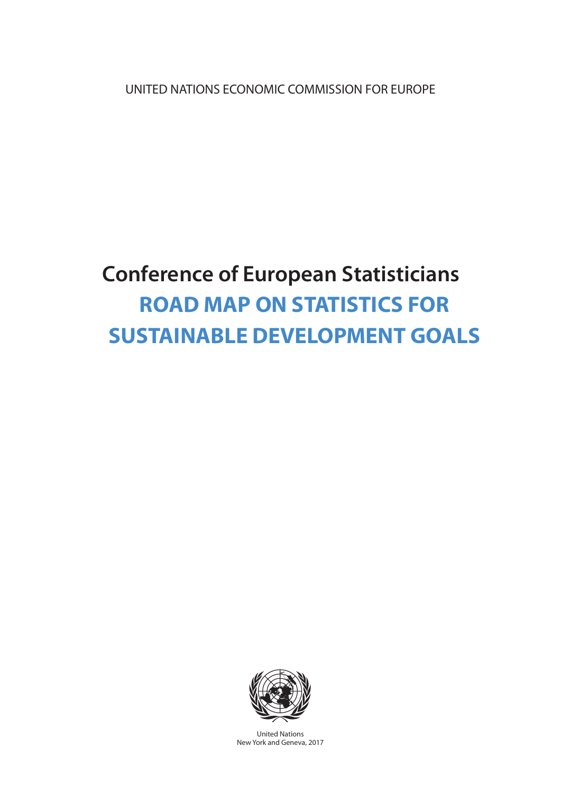UNITED NATIONS ECONOMIC COMMISSION FOR EUROPE

# **Conference of European Statisticians ROAD MAP ON STATISTICS FOR SUSTAINABLE DEVELOPMENT GOALS**



United Nations New York and Geneva, 2017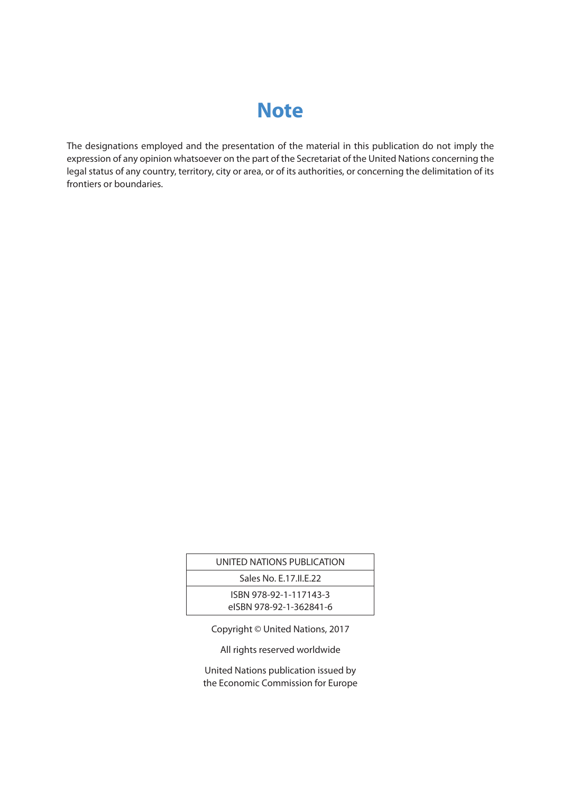## **Note**

The designations employed and the presentation of the material in this publication do not imply the expression of any opinion whatsoever on the part of the Secretariat of the United Nations concerning the legal status of any country, territory, city or area, or of its authorities, or concerning the delimitation of its frontiers or boundaries.

| UNITED NATIONS PUBLICATION |  |
|----------------------------|--|
| Sales No. E.17.II.E.22     |  |
| ISBN 978-92-1-117143-3     |  |
| eISBN 978-92-1-362841-6    |  |
|                            |  |

Copyright © United Nations, 2017

All rights reserved worldwide

United Nations publication issued by the Economic Commission for Europe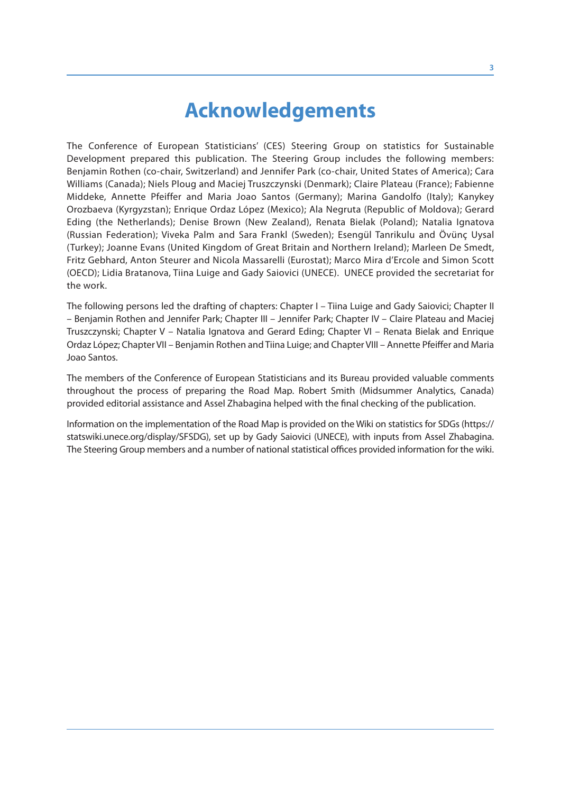## **Acknowledgements**

The Conference of European Statisticians' (CES) Steering Group on statistics for Sustainable Development prepared this publication. The Steering Group includes the following members: Benjamin Rothen (co-chair, Switzerland) and Jennifer Park (co-chair, United States of America); Cara Williams (Canada); Niels Ploug and Maciej Truszczynski (Denmark); Claire Plateau (France); Fabienne Middeke, Annette Pfeiffer and Maria Joao Santos (Germany); Marina Gandolfo (Italy); Kanykey Orozbaeva (Kyrgyzstan); Enrique Ordaz López (Mexico); Ala Negruta (Republic of Moldova); Gerard Eding (the Netherlands); Denise Brown (New Zealand), Renata Bielak (Poland); Natalia Ignatova (Russian Federation); Viveka Palm and Sara Frankl (Sweden); Esengül Tanrikulu and Övünç Uysal (Turkey); Joanne Evans (United Kingdom of Great Britain and Northern Ireland); Marleen De Smedt, Fritz Gebhard, Anton Steurer and Nicola Massarelli (Eurostat); Marco Mira d'Ercole and Simon Scott (OECD); Lidia Bratanova, Tiina Luige and Gady Saiovici (UNECE). UNECE provided the secretariat for the work.

The following persons led the drafting of chapters: Chapter I – Tiina Luige and Gady Saiovici; Chapter II – Benjamin Rothen and Jennifer Park; Chapter III – Jennifer Park; Chapter IV – Claire Plateau and Maciej Truszczynski; Chapter V – Natalia Ignatova and Gerard Eding; Chapter VI – Renata Bielak and Enrique Ordaz López; Chapter VII – Benjamin Rothen and Tiina Luige; and Chapter VIII – Annette Pfeiffer and Maria Joao Santos.

The members of the Conference of European Statisticians and its Bureau provided valuable comments throughout the process of preparing the Road Map. Robert Smith (Midsummer Analytics, Canada) provided editorial assistance and Assel Zhabagina helped with the final checking of the publication.

Information on the implementation of the Road Map is provided on the Wiki on statistics for SDGs (https:// statswiki.unece.org/display/SFSDG), set up by Gady Saiovici (UNECE), with inputs from Assel Zhabagina. The Steering Group members and a number of national statistical offices provided information for the wiki.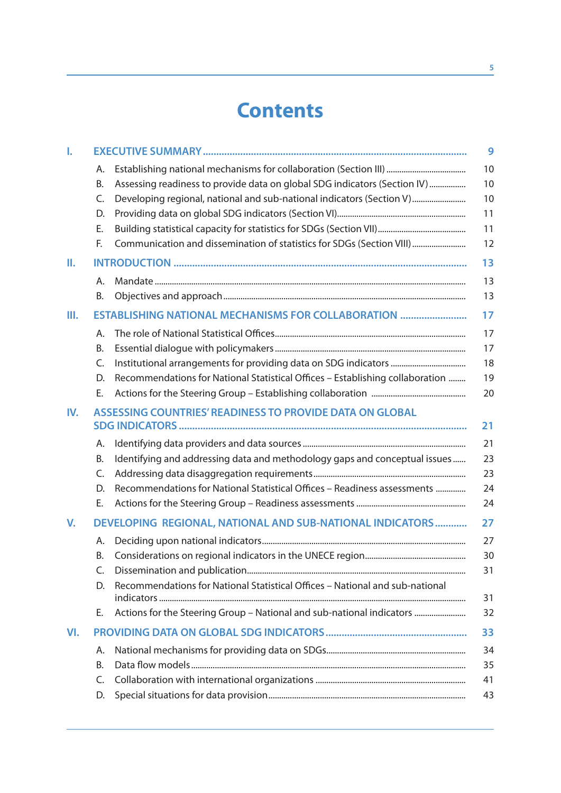## **Contents**

| I.  |          | 9                                                                                   |
|-----|----------|-------------------------------------------------------------------------------------|
|     | Α.       | 10                                                                                  |
|     | Β.       | Assessing readiness to provide data on global SDG indicators (Section IV)<br>10     |
|     | C.       | 10<br>Developing regional, national and sub-national indicators (Section V)         |
|     | D.       | 11                                                                                  |
|     | Ε.       | 11                                                                                  |
|     | F.       | Communication and dissemination of statistics for SDGs (Section VIII)<br>12         |
| Ш.  |          | 13                                                                                  |
|     | Α.       | 13                                                                                  |
|     | В.       | 13                                                                                  |
| Ш.  |          | ESTABLISHING NATIONAL MECHANISMS FOR COLLABORATION<br>17                            |
|     | Α.       | 17                                                                                  |
|     | Β.       | 17                                                                                  |
|     | C.       | 18                                                                                  |
|     | D.       | 19<br>Recommendations for National Statistical Offices - Establishing collaboration |
|     | Ε.       | 20                                                                                  |
| IV. |          | ASSESSING COUNTRIES' READINESS TO PROVIDE DATA ON GLOBAL<br>21                      |
|     | Α.       | 21                                                                                  |
|     | Β.       | Identifying and addressing data and methodology gaps and conceptual issues<br>23    |
|     | C.       | 23                                                                                  |
|     | D.       | 24<br>Recommendations for National Statistical Offices - Readiness assessments      |
|     | Ε.       | 24                                                                                  |
| V.  |          | DEVELOPING REGIONAL, NATIONAL AND SUB-NATIONAL INDICATORS<br>27                     |
|     | Α.<br>Β. | 27<br>30                                                                            |
|     | C.       | 31                                                                                  |
|     | D.       | Recommendations for National Statistical Offices - National and sub-national        |
|     |          | 31                                                                                  |
|     | Е.       | Actions for the Steering Group - National and sub-national indicators<br>32         |
| VI. |          | 33                                                                                  |
|     | Α.       | 34                                                                                  |
|     | В.       | 35                                                                                  |
|     | C.       | 41                                                                                  |
|     | D.       | 43                                                                                  |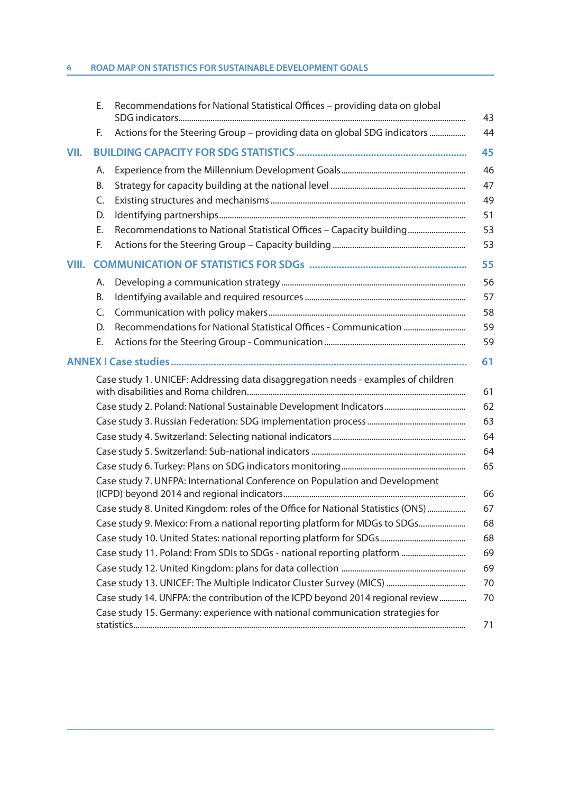|       | Е. | Recommendations for National Statistical Offices - providing data on global       |
|-------|----|-----------------------------------------------------------------------------------|
|       | F. | Actions for the Steering Group - providing data on global SDG indicators          |
| VII.  |    |                                                                                   |
|       | А. |                                                                                   |
|       | Β. |                                                                                   |
|       | C. |                                                                                   |
|       | D. |                                                                                   |
|       | Ε. | Recommendations to National Statistical Offices - Capacity building               |
|       | F. |                                                                                   |
| VIII. |    |                                                                                   |
|       | А. |                                                                                   |
|       | Β. |                                                                                   |
|       | C. |                                                                                   |
|       | D. | Recommendations for National Statistical Offices - Communication                  |
|       | Е. |                                                                                   |
|       |    | 61                                                                                |
|       |    | Case study 1. UNICEF: Addressing data disaggregation needs - examples of children |
|       |    |                                                                                   |
|       |    |                                                                                   |
|       |    |                                                                                   |
|       |    |                                                                                   |
|       |    |                                                                                   |
|       |    | Case study 7. UNFPA: International Conference on Population and Development       |
|       |    |                                                                                   |
|       |    | Case study 8. United Kingdom: roles of the Office for National Statistics (ONS)   |
|       |    | Case study 9. Mexico: From a national reporting platform for MDGs to SDGs         |
|       |    |                                                                                   |
|       |    | Case study 11. Poland: From SDIs to SDGs - national reporting platform            |
|       |    |                                                                                   |
|       |    |                                                                                   |
|       |    | Case study 14. UNFPA: the contribution of the ICPD beyond 2014 regional review    |
|       |    | Case study 15. Germany: experience with national communication strategies for     |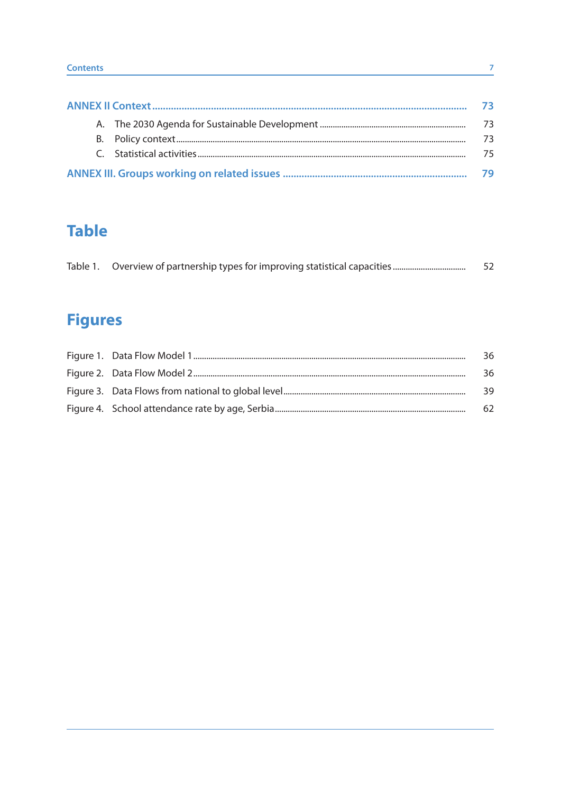|  | 73. |
|--|-----|
|  | 73  |
|  | 73  |
|  | 75  |
|  | 79  |

## **Table**

|  | -52 |
|--|-----|
|  |     |

## **Figures**

|  | 36 |
|--|----|
|  | 36 |
|  | 39 |
|  | 62 |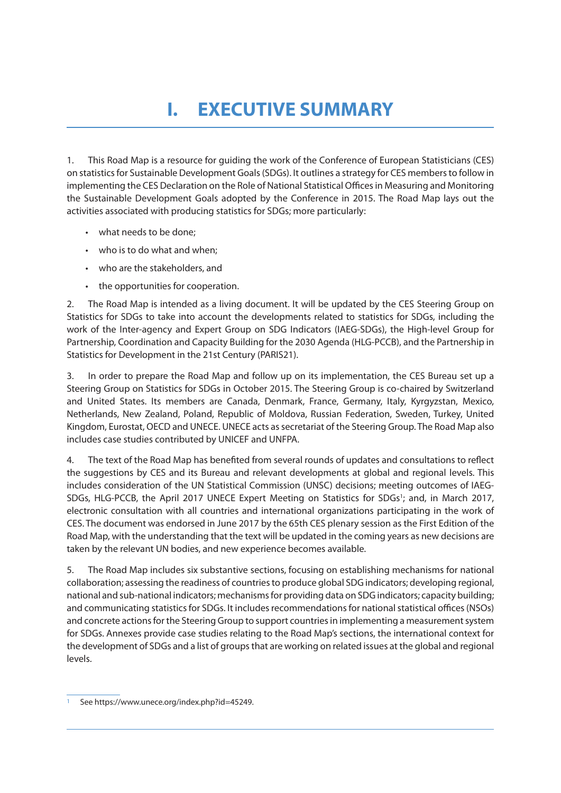## **I. EXECUTIVE SUMMARY**

1. This Road Map is a resource for guiding the work of the Conference of European Statisticians (CES) on statistics for Sustainable Development Goals (SDGs). It outlines a strategy for CES members to follow in implementing the CES Declaration on the Role of National Statistical Offices in Measuring and Monitoring the Sustainable Development Goals adopted by the Conference in 2015. The Road Map lays out the activities associated with producing statistics for SDGs; more particularly:

- what needs to be done;
- who is to do what and when;
- who are the stakeholders, and
- the opportunities for cooperation.

2. The Road Map is intended as a living document. It will be updated by the CES Steering Group on Statistics for SDGs to take into account the developments related to statistics for SDGs, including the work of the Inter-agency and Expert Group on SDG Indicators (IAEG-SDGs), the High-level Group for Partnership, Coordination and Capacity Building for the 2030 Agenda (HLG-PCCB), and the Partnership in Statistics for Development in the 21st Century (PARIS21).

3. In order to prepare the Road Map and follow up on its implementation, the CES Bureau set up a Steering Group on Statistics for SDGs in October 2015. The Steering Group is co-chaired by Switzerland and United States. Its members are Canada, Denmark, France, Germany, Italy, Kyrgyzstan, Mexico, Netherlands, New Zealand, Poland, Republic of Moldova, Russian Federation, Sweden, Turkey, United Kingdom, Eurostat, OECD and UNECE. UNECE acts as secretariat of the Steering Group. The Road Map also includes case studies contributed by UNICEF and UNFPA.

4. The text of the Road Map has benefited from several rounds of updates and consultations to reflect the suggestions by CES and its Bureau and relevant developments at global and regional levels. This includes consideration of the UN Statistical Commission (UNSC) decisions; meeting outcomes of IAEG-SDGs, HLG-PCCB, the April 2017 UNECE Expert Meeting on Statistics for SDGs<sup>1</sup>; and, in March 2017, electronic consultation with all countries and international organizations participating in the work of CES. The document was endorsed in June 2017 by the 65th CES plenary session as the First Edition of the Road Map, with the understanding that the text will be updated in the coming years as new decisions are taken by the relevant UN bodies, and new experience becomes available.

5. The Road Map includes six substantive sections, focusing on establishing mechanisms for national collaboration; assessing the readiness of countries to produce global SDG indicators; developing regional, national and sub-national indicators; mechanisms for providing data on SDG indicators; capacity building; and communicating statistics for SDGs. It includes recommendations for national statistical offices (NSOs) and concrete actions for the Steering Group to support countries in implementing a measurement system for SDGs. Annexes provide case studies relating to the Road Map's sections, the international context for the development of SDGs and a list of groups that are working on related issues at the global and regional levels.

<sup>1</sup> See https://www.unece.org/index.php?id=45249.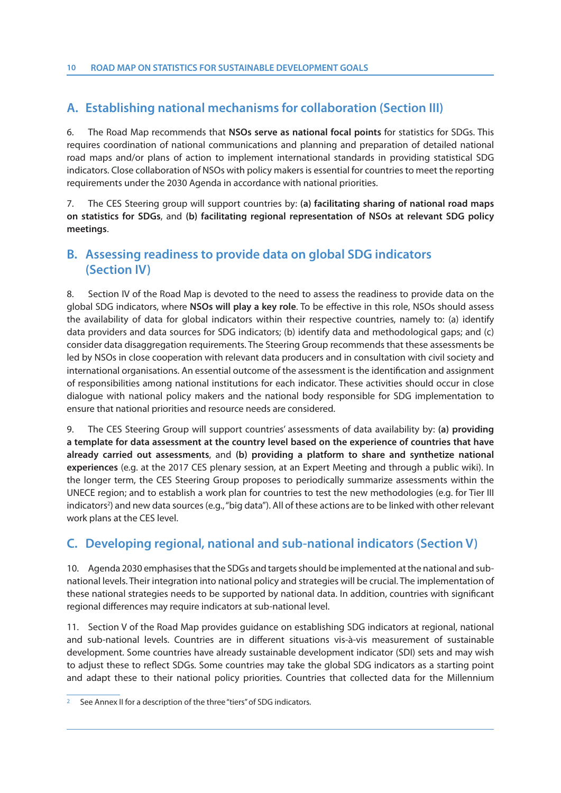## **A. Establishing national mechanisms for collaboration (Section III)**

6. The Road Map recommends that **NSOs serve as national focal points** for statistics for SDGs. This requires coordination of national communications and planning and preparation of detailed national road maps and/or plans of action to implement international standards in providing statistical SDG indicators. Close collaboration of NSOs with policy makers is essential for countries to meet the reporting requirements under the 2030 Agenda in accordance with national priorities.

7. The CES Steering group will support countries by: **(a) facilitating sharing of national road maps on statistics for SDGs**, and **(b) facilitating regional representation of NSOs at relevant SDG policy meetings**.

### **B. Assessing readiness to provide data on global SDG indicators (Section IV)**

8. Section IV of the Road Map is devoted to the need to assess the readiness to provide data on the global SDG indicators, where **NSOs will play a key role**. To be effective in this role, NSOs should assess the availability of data for global indicators within their respective countries, namely to: (a) identify data providers and data sources for SDG indicators; (b) identify data and methodological gaps; and (c) consider data disaggregation requirements. The Steering Group recommends that these assessments be led by NSOs in close cooperation with relevant data producers and in consultation with civil society and international organisations. An essential outcome of the assessment is the identification and assignment of responsibilities among national institutions for each indicator. These activities should occur in close dialogue with national policy makers and the national body responsible for SDG implementation to ensure that national priorities and resource needs are considered.

9. The CES Steering Group will support countries' assessments of data availability by: **(a) providing a template for data assessment at the country level based on the experience of countries that have already carried out assessments**, and **(b) providing a platform to share and synthetize national experiences** (e.g. at the 2017 CES plenary session, at an Expert Meeting and through a public wiki). In the longer term, the CES Steering Group proposes to periodically summarize assessments within the UNECE region; and to establish a work plan for countries to test the new methodologies (e.g. for Tier III indicators<sup>2</sup>) and new data sources (e.g., "big data"). All of these actions are to be linked with other relevant work plans at the CES level.

## **C. Developing regional, national and sub-national indicators (Section V)**

10. Agenda 2030 emphasises that the SDGs and targets should be implemented at the national and subnational levels. Their integration into national policy and strategies will be crucial. The implementation of these national strategies needs to be supported by national data. In addition, countries with significant regional differences may require indicators at sub-national level.

11. Section V of the Road Map provides guidance on establishing SDG indicators at regional, national and sub-national levels. Countries are in different situations vis-à-vis measurement of sustainable development. Some countries have already sustainable development indicator (SDI) sets and may wish to adjust these to reflect SDGs. Some countries may take the global SDG indicators as a starting point and adapt these to their national policy priorities. Countries that collected data for the Millennium

See Annex II for a description of the three "tiers" of SDG indicators.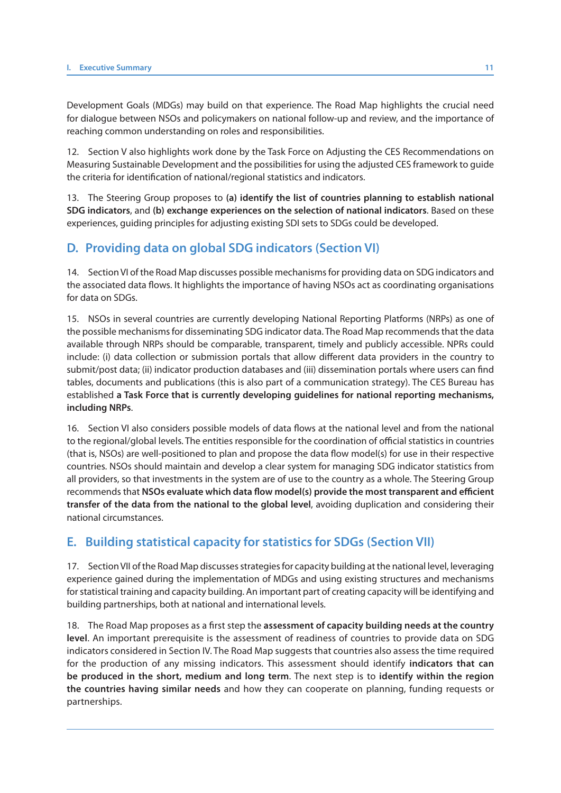Development Goals (MDGs) may build on that experience. The Road Map highlights the crucial need for dialogue between NSOs and policymakers on national follow-up and review, and the importance of reaching common understanding on roles and responsibilities.

12. Section V also highlights work done by the Task Force on Adjusting the CES Recommendations on Measuring Sustainable Development and the possibilities for using the adjusted CES framework to guide the criteria for identification of national/regional statistics and indicators.

13. The Steering Group proposes to **(a) identify the list of countries planning to establish national SDG indicators**, and **(b) exchange experiences on the selection of national indicators**. Based on these experiences, guiding principles for adjusting existing SDI sets to SDGs could be developed.

### **D. Providing data on global SDG indicators (Section VI)**

14. Section VI of the Road Map discusses possible mechanisms for providing data on SDG indicators and the associated data flows. It highlights the importance of having NSOs act as coordinating organisations for data on SDGs.

15. NSOs in several countries are currently developing National Reporting Platforms (NRPs) as one of the possible mechanisms for disseminating SDG indicator data. The Road Map recommends that the data available through NRPs should be comparable, transparent, timely and publicly accessible. NPRs could include: (i) data collection or submission portals that allow different data providers in the country to submit/post data; (ii) indicator production databases and (iii) dissemination portals where users can find tables, documents and publications (this is also part of a communication strategy). The CES Bureau has established **a Task Force that is currently developing guidelines for national reporting mechanisms, including NRPs**.

16. Section VI also considers possible models of data flows at the national level and from the national to the regional/global levels. The entities responsible for the coordination of official statistics in countries (that is, NSOs) are well-positioned to plan and propose the data flow model(s) for use in their respective countries. NSOs should maintain and develop a clear system for managing SDG indicator statistics from all providers, so that investments in the system are of use to the country as a whole. The Steering Group recommends that **NSOs evaluate which data flow model(s) provide the most transparent and efficient transfer of the data from the national to the global level**, avoiding duplication and considering their national circumstances.

### **E. Building statistical capacity for statistics for SDGs (Section VII)**

17. Section VII of the Road Map discusses strategies for capacity building at the national level, leveraging experience gained during the implementation of MDGs and using existing structures and mechanisms for statistical training and capacity building. An important part of creating capacity will be identifying and building partnerships, both at national and international levels.

18. The Road Map proposes as a first step the **assessment of capacity building needs at the country level**. An important prerequisite is the assessment of readiness of countries to provide data on SDG indicators considered in Section IV. The Road Map suggests that countries also assess the time required for the production of any missing indicators. This assessment should identify **indicators that can be produced in the short, medium and long term**. The next step is to **identify within the region the countries having similar needs** and how they can cooperate on planning, funding requests or partnerships.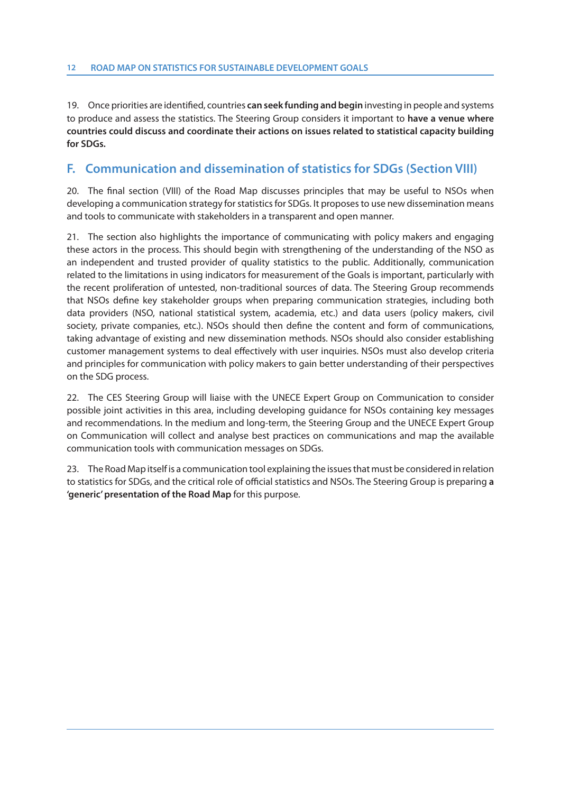19. Once priorities are identified, countries **can seek funding and begin** investing in people and systems to produce and assess the statistics. The Steering Group considers it important to **have a venue where countries could discuss and coordinate their actions on issues related to statistical capacity building for SDGs.** 

#### **F. Communication and dissemination of statistics for SDGs (Section VIII)**

20. The final section (VIII) of the Road Map discusses principles that may be useful to NSOs when developing a communication strategy for statistics for SDGs. It proposes to use new dissemination means and tools to communicate with stakeholders in a transparent and open manner.

21. The section also highlights the importance of communicating with policy makers and engaging these actors in the process. This should begin with strengthening of the understanding of the NSO as an independent and trusted provider of quality statistics to the public. Additionally, communication related to the limitations in using indicators for measurement of the Goals is important, particularly with the recent proliferation of untested, non-traditional sources of data. The Steering Group recommends that NSOs define key stakeholder groups when preparing communication strategies, including both data providers (NSO, national statistical system, academia, etc.) and data users (policy makers, civil society, private companies, etc.). NSOs should then define the content and form of communications, taking advantage of existing and new dissemination methods. NSOs should also consider establishing customer management systems to deal effectively with user inquiries. NSOs must also develop criteria and principles for communication with policy makers to gain better understanding of their perspectives on the SDG process.

22. The CES Steering Group will liaise with the UNECE Expert Group on Communication to consider possible joint activities in this area, including developing guidance for NSOs containing key messages and recommendations. In the medium and long-term, the Steering Group and the UNECE Expert Group on Communication will collect and analyse best practices on communications and map the available communication tools with communication messages on SDGs.

23. The Road Map itself is a communication tool explaining the issues that must be considered in relation to statistics for SDGs, and the critical role of official statistics and NSOs. The Steering Group is preparing **a 'generic' presentation of the Road Map** for this purpose.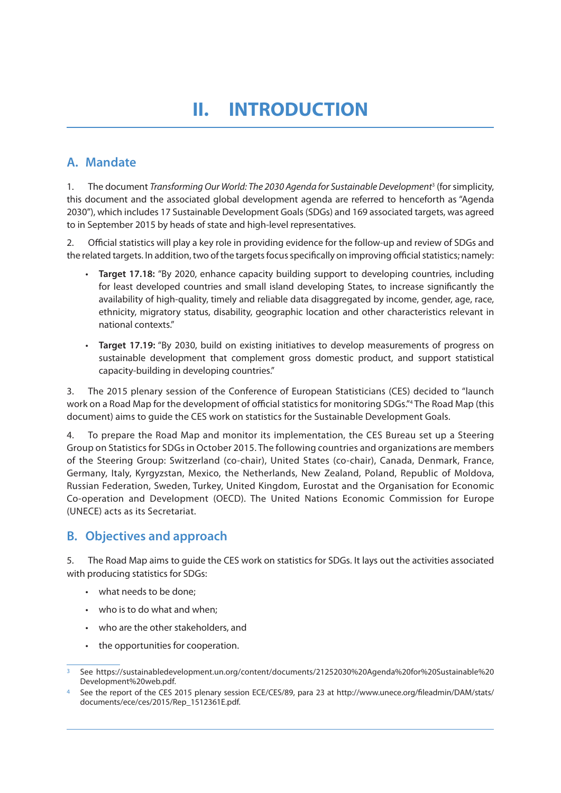## **II. INTRODUCTION**

## **A. Mandate**

1. The document Transforming Our World: The 2030 Agenda for Sustainable Development<sup>3</sup> (for simplicity, this document and the associated global development agenda are referred to henceforth as "Agenda 2030"), which includes 17 Sustainable Development Goals (SDGs) and 169 associated targets, was agreed to in September 2015 by heads of state and high-level representatives.

2. Official statistics will play a key role in providing evidence for the follow-up and review of SDGs and the related targets. In addition, two of the targets focus specifically on improving official statistics; namely:

- **Target 17.18:** "By 2020, enhance capacity building support to developing countries, including for least developed countries and small island developing States, to increase significantly the availability of high-quality, timely and reliable data disaggregated by income, gender, age, race, ethnicity, migratory status, disability, geographic location and other characteristics relevant in national contexts."
- **Target 17.19:** "By 2030, build on existing initiatives to develop measurements of progress on sustainable development that complement gross domestic product, and support statistical capacity-building in developing countries."

3. The 2015 plenary session of the Conference of European Statisticians (CES) decided to "launch work on a Road Map for the development of official statistics for monitoring SDGs."4 The Road Map (this document) aims to guide the CES work on statistics for the Sustainable Development Goals.

4. To prepare the Road Map and monitor its implementation, the CES Bureau set up a Steering Group on Statistics for SDGs in October 2015. The following countries and organizations are members of the Steering Group: Switzerland (co-chair), United States (co-chair), Canada, Denmark, France, Germany, Italy, Kyrgyzstan, Mexico, the Netherlands, New Zealand, Poland, Republic of Moldova, Russian Federation, Sweden, Turkey, United Kingdom, Eurostat and the Organisation for Economic Co-operation and Development (OECD). The United Nations Economic Commission for Europe (UNECE) acts as its Secretariat.

### **B. Objectives and approach**

5. The Road Map aims to guide the CES work on statistics for SDGs. It lays out the activities associated with producing statistics for SDGs:

- what needs to be done;
- who is to do what and when;
- who are the other stakeholders, and
- the opportunities for cooperation.

<sup>3</sup> See https://sustainabledevelopment.un.org/content/documents/21252030%20Agenda%20for%20Sustainable%20 Development%20web.pdf.

See the report of the CES 2015 plenary session ECE/CES/89, para 23 at http://www.unece.org/fileadmin/DAM/stats/ documents/ece/ces/2015/Rep\_1512361E.pdf.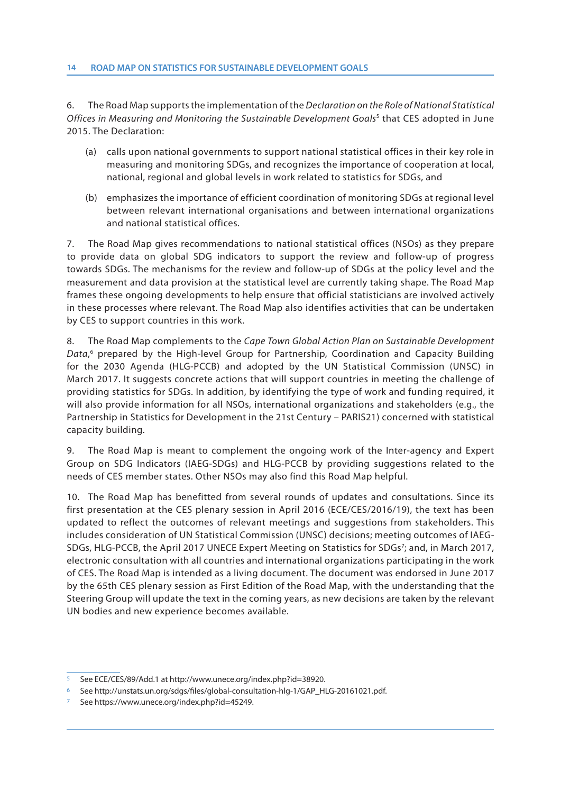6. The Road Map supports the implementation of the Declaration on the Role of National Statistical Offices in Measuring and Monitoring the Sustainable Development Goals<sup>5</sup> that CES adopted in June 2015. The Declaration:

- (a) calls upon national governments to support national statistical offices in their key role in measuring and monitoring SDGs, and recognizes the importance of cooperation at local, national, regional and global levels in work related to statistics for SDGs, and
- (b) emphasizes the importance of efficient coordination of monitoring SDGs at regional level between relevant international organisations and between international organizations and national statistical offices.

7. The Road Map gives recommendations to national statistical offices (NSOs) as they prepare to provide data on global SDG indicators to support the review and follow-up of progress towards SDGs. The mechanisms for the review and follow-up of SDGs at the policy level and the measurement and data provision at the statistical level are currently taking shape. The Road Map frames these ongoing developments to help ensure that official statisticians are involved actively in these processes where relevant. The Road Map also identifies activities that can be undertaken by CES to support countries in this work.

8. The Road Map complements to the Cape Town Global Action Plan on Sustainable Development Data,<sup>6</sup> prepared by the High-level Group for Partnership, Coordination and Capacity Building for the 2030 Agenda (HLG-PCCB) and adopted by the UN Statistical Commission (UNSC) in March 2017. It suggests concrete actions that will support countries in meeting the challenge of providing statistics for SDGs. In addition, by identifying the type of work and funding required, it will also provide information for all NSOs, international organizations and stakeholders (e.g., the Partnership in Statistics for Development in the 21st Century – PARIS21) concerned with statistical capacity building.

9. The Road Map is meant to complement the ongoing work of the Inter-agency and Expert Group on SDG Indicators (IAEG-SDGs) and HLG-PCCB by providing suggestions related to the needs of CES member states. Other NSOs may also find this Road Map helpful.

10. The Road Map has benefitted from several rounds of updates and consultations. Since its first presentation at the CES plenary session in April 2016 (ECE/CES/2016/19), the text has been updated to reflect the outcomes of relevant meetings and suggestions from stakeholders. This includes consideration of UN Statistical Commission (UNSC) decisions; meeting outcomes of IAEG-SDGs, HLG-PCCB, the April 2017 UNECE Expert Meeting on Statistics for SDGs<sup>7</sup>; and, in March 2017, electronic consultation with all countries and international organizations participating in the work of CES. The Road Map is intended as a living document. The document was endorsed in June 2017 by the 65th CES plenary session as First Edition of the Road Map, with the understanding that the Steering Group will update the text in the coming years, as new decisions are taken by the relevant UN bodies and new experience becomes available.

<sup>5</sup> See ECE/CES/89/Add.1 at http://www.unece.org/index.php?id=38920.

<sup>6</sup> See http://unstats.un.org/sdgs/files/global-consultation-hlg-1/GAP\_HLG-20161021.pdf.

See https://www.unece.org/index.php?id=45249.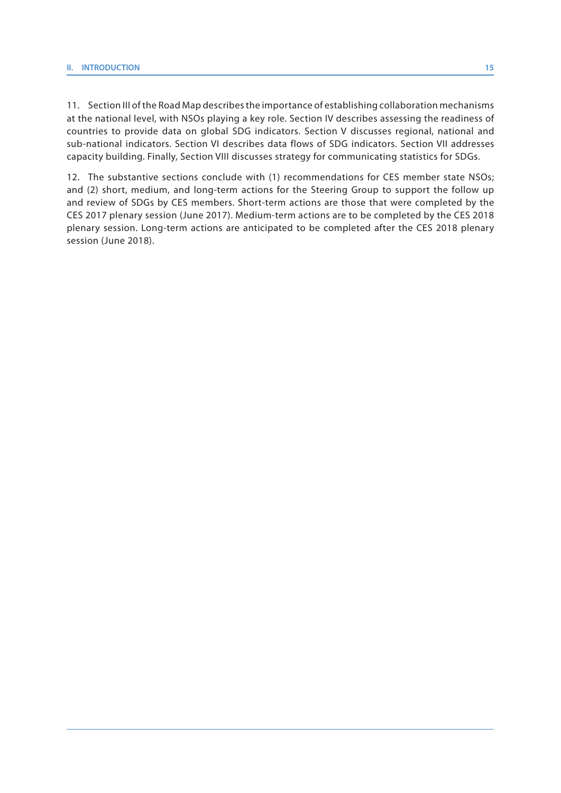11. Section III of the Road Map describes the importance of establishing collaboration mechanisms at the national level, with NSOs playing a key role. Section IV describes assessing the readiness of countries to provide data on global SDG indicators. Section V discusses regional, national and sub-national indicators. Section VI describes data flows of SDG indicators. Section VII addresses capacity building. Finally, Section VIII discusses strategy for communicating statistics for SDGs.

12. The substantive sections conclude with (1) recommendations for CES member state NSOs; and (2) short, medium, and long-term actions for the Steering Group to support the follow up and review of SDGs by CES members. Short-term actions are those that were completed by the CES 2017 plenary session (June 2017). Medium-term actions are to be completed by the CES 2018 plenary session. Long-term actions are anticipated to be completed after the CES 2018 plenary session (June 2018).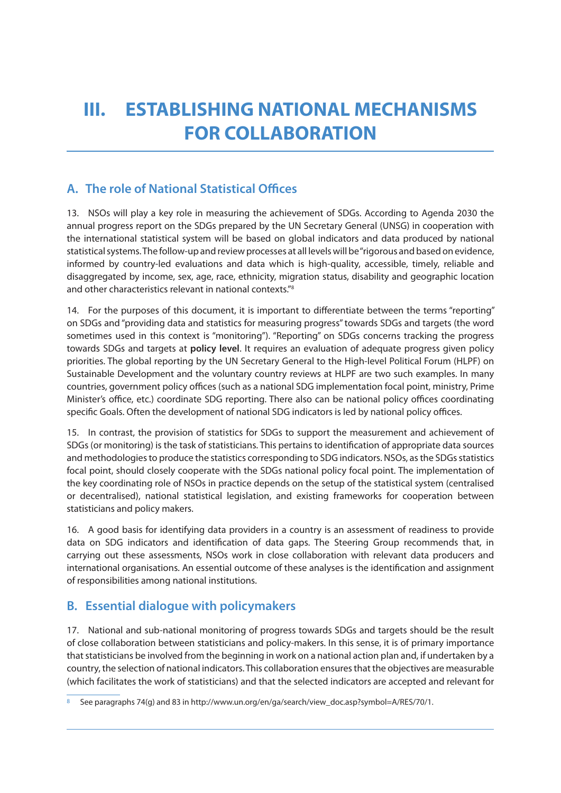## **III. ESTABLISHING NATIONAL MECHANISMS FOR COLLABORATION**

## **A. The role of National Statistical Offices**

13. NSOs will play a key role in measuring the achievement of SDGs. According to Agenda 2030 the annual progress report on the SDGs prepared by the UN Secretary General (UNSG) in cooperation with the international statistical system will be based on global indicators and data produced by national statistical systems. The follow-up and review processes at all levels will be "rigorous and based on evidence, informed by country-led evaluations and data which is high-quality, accessible, timely, reliable and disaggregated by income, sex, age, race, ethnicity, migration status, disability and geographic location and other characteristics relevant in national contexts."8

14. For the purposes of this document, it is important to differentiate between the terms "reporting" on SDGs and "providing data and statistics for measuring progress" towards SDGs and targets (the word sometimes used in this context is "monitoring"). "Reporting" on SDGs concerns tracking the progress towards SDGs and targets at **policy level**. It requires an evaluation of adequate progress given policy priorities. The global reporting by the UN Secretary General to the High-level Political Forum (HLPF) on Sustainable Development and the voluntary country reviews at HLPF are two such examples. In many countries, government policy offices (such as a national SDG implementation focal point, ministry, Prime Minister's office, etc.) coordinate SDG reporting. There also can be national policy offices coordinating specific Goals. Often the development of national SDG indicators is led by national policy offices.

15. In contrast, the provision of statistics for SDGs to support the measurement and achievement of SDGs (or monitoring) is the task of statisticians. This pertains to identification of appropriate data sources and methodologies to produce the statistics corresponding to SDG indicators. NSOs, as the SDGs statistics focal point, should closely cooperate with the SDGs national policy focal point. The implementation of the key coordinating role of NSOs in practice depends on the setup of the statistical system (centralised or decentralised), national statistical legislation, and existing frameworks for cooperation between statisticians and policy makers.

16. A good basis for identifying data providers in a country is an assessment of readiness to provide data on SDG indicators and identification of data gaps. The Steering Group recommends that, in carrying out these assessments, NSOs work in close collaboration with relevant data producers and international organisations. An essential outcome of these analyses is the identification and assignment of responsibilities among national institutions.

## **B. Essential dialogue with policymakers**

17. National and sub-national monitoring of progress towards SDGs and targets should be the result of close collaboration between statisticians and policy-makers. In this sense, it is of primary importance that statisticians be involved from the beginning in work on a national action plan and, if undertaken by a country, the selection of national indicators. This collaboration ensures that the objectives are measurable (which facilitates the work of statisticians) and that the selected indicators are accepted and relevant for

<sup>8</sup> See paragraphs 74(g) and 83 in http://www.un.org/en/ga/search/view\_doc.asp?symbol=A/RES/70/1.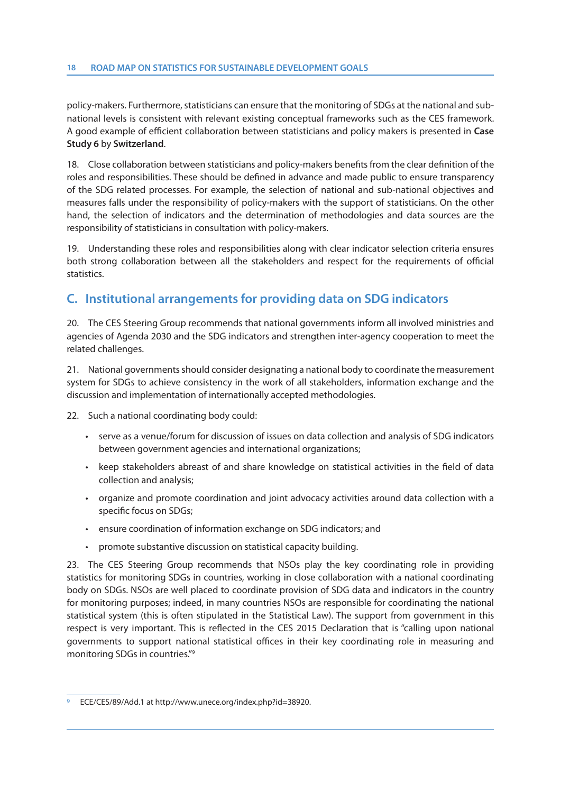policy-makers. Furthermore, statisticians can ensure that the monitoring of SDGs at the national and subnational levels is consistent with relevant existing conceptual frameworks such as the CES framework. A good example of efficient collaboration between statisticians and policy makers is presented in **Case Study 6** by **Switzerland**.

18. Close collaboration between statisticians and policy-makers benefits from the clear definition of the roles and responsibilities. These should be defined in advance and made public to ensure transparency of the SDG related processes. For example, the selection of national and sub-national objectives and measures falls under the responsibility of policy-makers with the support of statisticians. On the other hand, the selection of indicators and the determination of methodologies and data sources are the responsibility of statisticians in consultation with policy-makers.

19. Understanding these roles and responsibilities along with clear indicator selection criteria ensures both strong collaboration between all the stakeholders and respect for the requirements of official statistics.

### **C. Institutional arrangements for providing data on SDG indicators**

20. The CES Steering Group recommends that national governments inform all involved ministries and agencies of Agenda 2030 and the SDG indicators and strengthen inter-agency cooperation to meet the related challenges.

21. National governments should consider designating a national body to coordinate the measurement system for SDGs to achieve consistency in the work of all stakeholders, information exchange and the discussion and implementation of internationally accepted methodologies.

22. Such a national coordinating body could:

- serve as a venue/forum for discussion of issues on data collection and analysis of SDG indicators between government agencies and international organizations;
- keep stakeholders abreast of and share knowledge on statistical activities in the field of data collection and analysis;
- organize and promote coordination and joint advocacy activities around data collection with a specific focus on SDGs;
- ensure coordination of information exchange on SDG indicators; and
- promote substantive discussion on statistical capacity building.

23. The CES Steering Group recommends that NSOs play the key coordinating role in providing statistics for monitoring SDGs in countries, working in close collaboration with a national coordinating body on SDGs. NSOs are well placed to coordinate provision of SDG data and indicators in the country for monitoring purposes; indeed, in many countries NSOs are responsible for coordinating the national statistical system (this is often stipulated in the Statistical Law). The support from government in this respect is very important. This is reflected in the CES 2015 Declaration that is "calling upon national governments to support national statistical offices in their key coordinating role in measuring and monitoring SDGs in countries."9

<sup>9</sup> ECE/CES/89/Add.1 at http://www.unece.org/index.php?id=38920.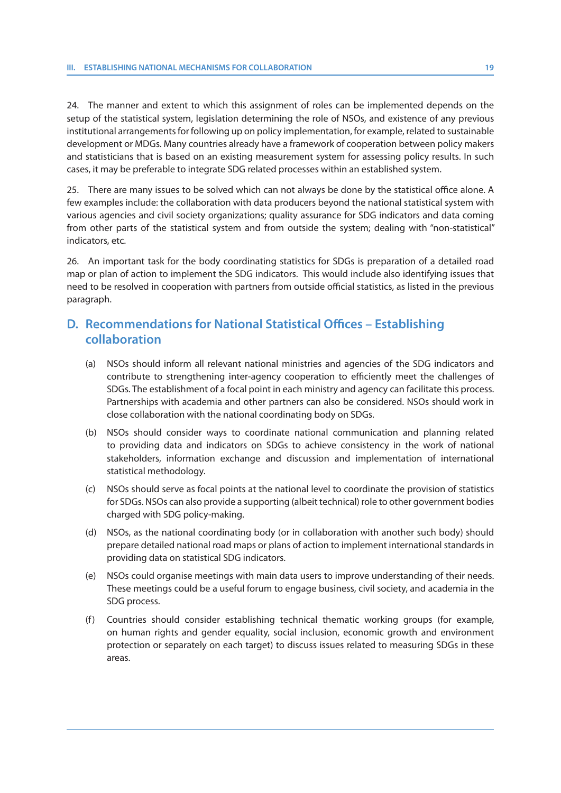24. The manner and extent to which this assignment of roles can be implemented depends on the setup of the statistical system, legislation determining the role of NSOs, and existence of any previous institutional arrangements for following up on policy implementation, for example, related to sustainable development or MDGs. Many countries already have a framework of cooperation between policy makers and statisticians that is based on an existing measurement system for assessing policy results. In such cases, it may be preferable to integrate SDG related processes within an established system.

25. There are many issues to be solved which can not always be done by the statistical office alone. A few examples include: the collaboration with data producers beyond the national statistical system with various agencies and civil society organizations; quality assurance for SDG indicators and data coming from other parts of the statistical system and from outside the system; dealing with "non-statistical" indicators, etc.

26. An important task for the body coordinating statistics for SDGs is preparation of a detailed road map or plan of action to implement the SDG indicators. This would include also identifying issues that need to be resolved in cooperation with partners from outside official statistics, as listed in the previous paragraph.

#### **D. Recommendations for National Statistical Offices – Establishing collaboration**

- (a) NSOs should inform all relevant national ministries and agencies of the SDG indicators and contribute to strengthening inter-agency cooperation to efficiently meet the challenges of SDGs. The establishment of a focal point in each ministry and agency can facilitate this process. Partnerships with academia and other partners can also be considered. NSOs should work in close collaboration with the national coordinating body on SDGs.
- (b) NSOs should consider ways to coordinate national communication and planning related to providing data and indicators on SDGs to achieve consistency in the work of national stakeholders, information exchange and discussion and implementation of international statistical methodology.
- (c) NSOs should serve as focal points at the national level to coordinate the provision of statistics for SDGs. NSOs can also provide a supporting (albeit technical) role to other government bodies charged with SDG policy-making.
- (d) NSOs, as the national coordinating body (or in collaboration with another such body) should prepare detailed national road maps or plans of action to implement international standards in providing data on statistical SDG indicators.
- (e) NSOs could organise meetings with main data users to improve understanding of their needs. These meetings could be a useful forum to engage business, civil society, and academia in the SDG process.
- (f) Countries should consider establishing technical thematic working groups (for example, on human rights and gender equality, social inclusion, economic growth and environment protection or separately on each target) to discuss issues related to measuring SDGs in these areas.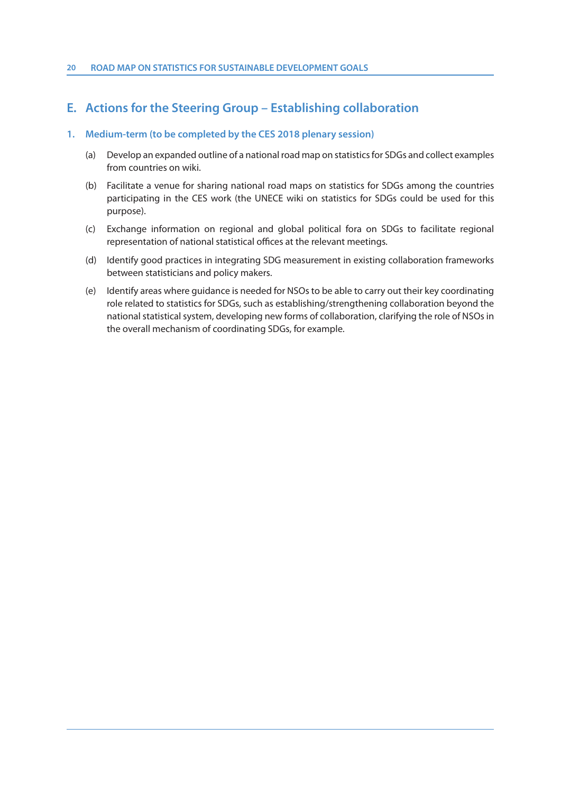### **E. Actions for the Steering Group – Establishing collaboration**

#### **1. Medium-term (to be completed by the CES 2018 plenary session)**

- (a) Develop an expanded outline of a national road map on statistics for SDGs and collect examples from countries on wiki.
- (b) Facilitate a venue for sharing national road maps on statistics for SDGs among the countries participating in the CES work (the UNECE wiki on statistics for SDGs could be used for this purpose).
- (c) Exchange information on regional and global political fora on SDGs to facilitate regional representation of national statistical offices at the relevant meetings.
- (d) Identify good practices in integrating SDG measurement in existing collaboration frameworks between statisticians and policy makers.
- (e) Identify areas where guidance is needed for NSOs to be able to carry out their key coordinating role related to statistics for SDGs, such as establishing/strengthening collaboration beyond the national statistical system, developing new forms of collaboration, clarifying the role of NSOs in the overall mechanism of coordinating SDGs, for example.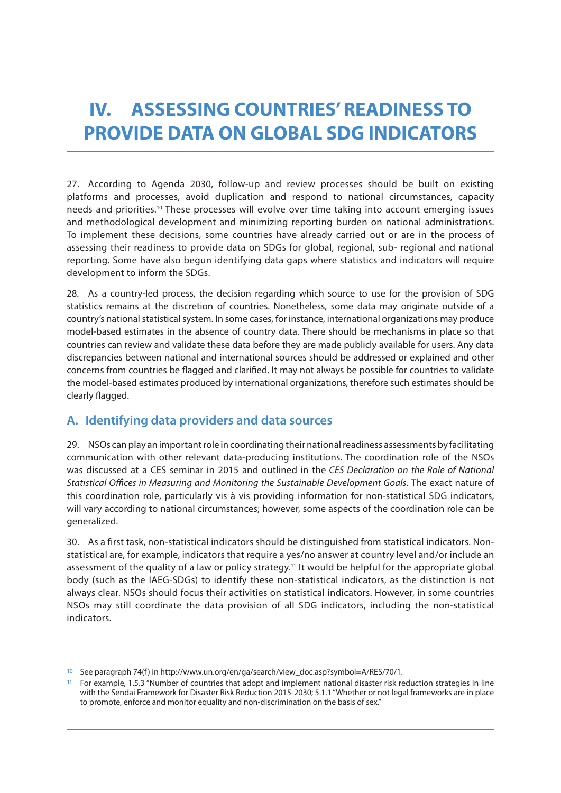## **IV. ASSESSING COUNTRIES' READINESS TO PROVIDE DATA ON GLOBAL SDG INDICATORS**

27. According to Agenda 2030, follow-up and review processes should be built on existing platforms and processes, avoid duplication and respond to national circumstances, capacity needs and priorities.10 These processes will evolve over time taking into account emerging issues and methodological development and minimizing reporting burden on national administrations. To implement these decisions, some countries have already carried out or are in the process of assessing their readiness to provide data on SDGs for global, regional, sub- regional and national reporting. Some have also begun identifying data gaps where statistics and indicators will require development to inform the SDGs.

28. As a country-led process, the decision regarding which source to use for the provision of SDG statistics remains at the discretion of countries. Nonetheless, some data may originate outside of a country's national statistical system. In some cases, for instance, international organizations may produce model-based estimates in the absence of country data. There should be mechanisms in place so that countries can review and validate these data before they are made publicly available for users. Any data discrepancies between national and international sources should be addressed or explained and other concerns from countries be flagged and clarified. It may not always be possible for countries to validate the model-based estimates produced by international organizations, therefore such estimates should be clearly flagged.

## **A. Identifying data providers and data sources**

29. NSOs can play an important role in coordinating their national readiness assessments by facilitating communication with other relevant data-producing institutions. The coordination role of the NSOs was discussed at a CES seminar in 2015 and outlined in the CES Declaration on the Role of National Statistical Offices in Measuring and Monitoring the Sustainable Development Goals. The exact nature of this coordination role, particularly vis à vis providing information for non-statistical SDG indicators, will vary according to national circumstances; however, some aspects of the coordination role can be generalized.

30. As a first task, non-statistical indicators should be distinguished from statistical indicators. Nonstatistical are, for example, indicators that require a yes/no answer at country level and/or include an assessment of the quality of a law or policy strategy.11 It would be helpful for the appropriate global body (such as the IAEG-SDGs) to identify these non-statistical indicators, as the distinction is not always clear. NSOs should focus their activities on statistical indicators. However, in some countries NSOs may still coordinate the data provision of all SDG indicators, including the non-statistical indicators.

<sup>10</sup> See paragraph 74(f) in http://www.un.org/en/ga/search/view\_doc.asp?symbol=A/RES/70/1.

<sup>11</sup> For example, 1.5.3 "Number of countries that adopt and implement national disaster risk reduction strategies in line with the Sendai Framework for Disaster Risk Reduction 2015-2030; 5.1.1 "Whether or not legal frameworks are in place to promote, enforce and monitor equality and non-discrimination on the basis of sex."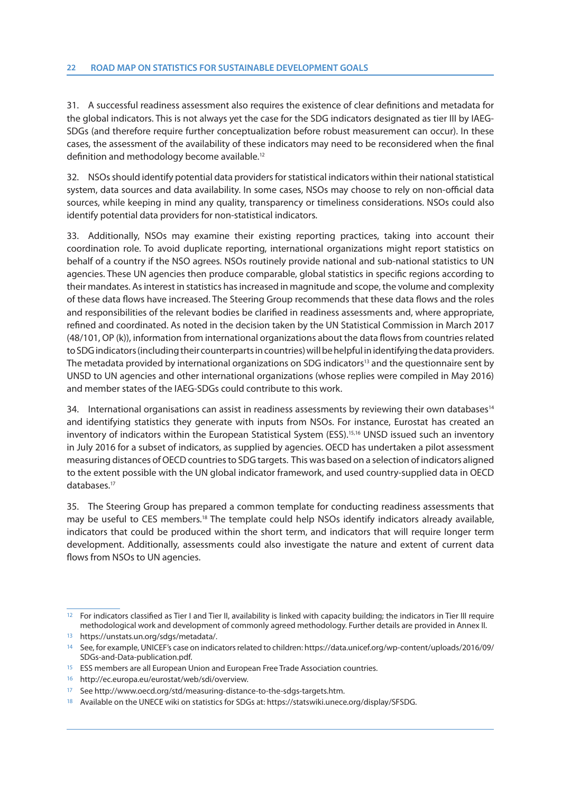31. A successful readiness assessment also requires the existence of clear definitions and metadata for the global indicators. This is not always yet the case for the SDG indicators designated as tier III by IAEG-SDGs (and therefore require further conceptualization before robust measurement can occur). In these cases, the assessment of the availability of these indicators may need to be reconsidered when the final definition and methodology become available.<sup>12</sup>

32. NSOs should identify potential data providers for statistical indicators within their national statistical system, data sources and data availability. In some cases, NSOs may choose to rely on non-official data sources, while keeping in mind any quality, transparency or timeliness considerations. NSOs could also identify potential data providers for non-statistical indicators.

33. Additionally, NSOs may examine their existing reporting practices, taking into account their coordination role. To avoid duplicate reporting, international organizations might report statistics on behalf of a country if the NSO agrees. NSOs routinely provide national and sub-national statistics to UN agencies. These UN agencies then produce comparable, global statistics in specific regions according to their mandates. As interest in statistics has increased in magnitude and scope, the volume and complexity of these data flows have increased. The Steering Group recommends that these data flows and the roles and responsibilities of the relevant bodies be clarified in readiness assessments and, where appropriate, refined and coordinated. As noted in the decision taken by the UN Statistical Commission in March 2017 (48/101, OP (k)), information from international organizations about the data flows from countries related to SDG indicators (including their counterparts in countries) will be helpful in identifying the data providers. The metadata provided by international organizations on SDG indicators<sup>13</sup> and the questionnaire sent by UNSD to UN agencies and other international organizations (whose replies were compiled in May 2016) and member states of the IAEG-SDGs could contribute to this work.

34. International organisations can assist in readiness assessments by reviewing their own databases<sup>14</sup> and identifying statistics they generate with inputs from NSOs. For instance, Eurostat has created an inventory of indicators within the European Statistical System (ESS).15,16 UNSD issued such an inventory in July 2016 for a subset of indicators, as supplied by agencies. OECD has undertaken a pilot assessment measuring distances of OECD countries to SDG targets. This was based on a selection of indicators aligned to the extent possible with the UN global indicator framework, and used country-supplied data in OECD databases.17

35. The Steering Group has prepared a common template for conducting readiness assessments that may be useful to CES members.<sup>18</sup> The template could help NSOs identify indicators already available, indicators that could be produced within the short term, and indicators that will require longer term development. Additionally, assessments could also investigate the nature and extent of current data flows from NSOs to UN agencies.

<sup>12</sup> For indicators classified as Tier I and Tier II, availability is linked with capacity building; the indicators in Tier III require methodological work and development of commonly agreed methodology. Further details are provided in Annex II.

<sup>13</sup> https://unstats.un.org/sdgs/metadata/.

<sup>14</sup> See, for example, UNICEF's case on indicators related to children: https://data.unicef.org/wp-content/uploads/2016/09/ SDGs-and-Data-publication.pdf.

<sup>15</sup> ESS members are all European Union and European Free Trade Association countries.

<sup>16</sup> http://ec.europa.eu/eurostat/web/sdi/overview.

<sup>17</sup> See http://www.oecd.org/std/measuring-distance-to-the-sdgs-targets.htm.

<sup>18</sup> Available on the UNECE wiki on statistics for SDGs at: https://statswiki.unece.org/display/SFSDG.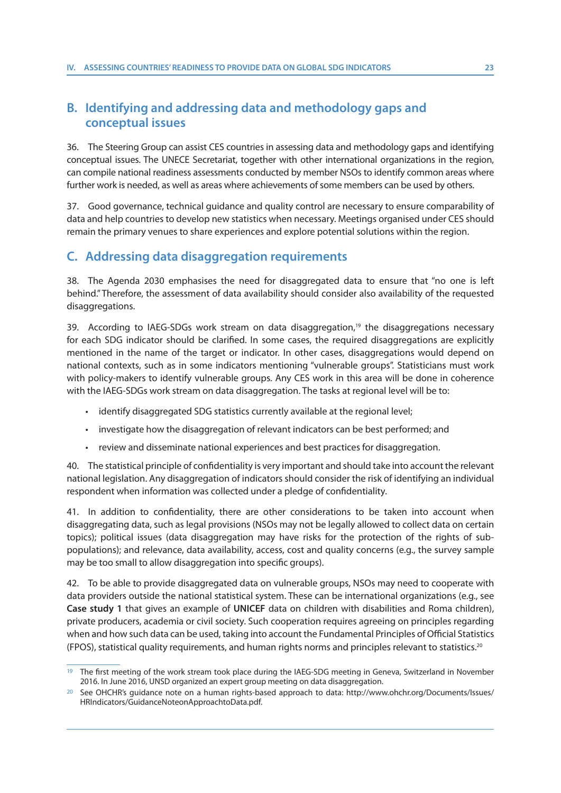### **B. Identifying and addressing data and methodology gaps and conceptual issues**

36. The Steering Group can assist CES countries in assessing data and methodology gaps and identifying conceptual issues. The UNECE Secretariat, together with other international organizations in the region, can compile national readiness assessments conducted by member NSOs to identify common areas where further work is needed, as well as areas where achievements of some members can be used by others.

37. Good governance, technical guidance and quality control are necessary to ensure comparability of data and help countries to develop new statistics when necessary. Meetings organised under CES should remain the primary venues to share experiences and explore potential solutions within the region.

### **C. Addressing data disaggregation requirements**

38. The Agenda 2030 emphasises the need for disaggregated data to ensure that "no one is left behind." Therefore, the assessment of data availability should consider also availability of the requested disaggregations.

39. According to IAEG-SDGs work stream on data disaggregation,<sup>19</sup> the disaggregations necessary for each SDG indicator should be clarified. In some cases, the required disaggregations are explicitly mentioned in the name of the target or indicator. In other cases, disaggregations would depend on national contexts, such as in some indicators mentioning "vulnerable groups". Statisticians must work with policy-makers to identify vulnerable groups. Any CES work in this area will be done in coherence with the IAEG-SDGs work stream on data disaggregation. The tasks at regional level will be to:

- identify disaggregated SDG statistics currently available at the regional level;
- investigate how the disaggregation of relevant indicators can be best performed; and
- review and disseminate national experiences and best practices for disaggregation.

40. The statistical principle of confidentiality is very important and should take into account the relevant national legislation. Any disaggregation of indicators should consider the risk of identifying an individual respondent when information was collected under a pledge of confidentiality.

41. In addition to confidentiality, there are other considerations to be taken into account when disaggregating data, such as legal provisions (NSOs may not be legally allowed to collect data on certain topics); political issues (data disaggregation may have risks for the protection of the rights of subpopulations); and relevance, data availability, access, cost and quality concerns (e.g., the survey sample may be too small to allow disaggregation into specific groups).

42. To be able to provide disaggregated data on vulnerable groups, NSOs may need to cooperate with data providers outside the national statistical system. These can be international organizations (e.g., see **Case study 1** that gives an example of **UNICEF** data on children with disabilities and Roma children), private producers, academia or civil society. Such cooperation requires agreeing on principles regarding when and how such data can be used, taking into account the Fundamental Principles of Official Statistics (FPOS), statistical quality requirements, and human rights norms and principles relevant to statistics.20

<sup>19</sup> The first meeting of the work stream took place during the IAEG-SDG meeting in Geneva, Switzerland in November 2016. In June 2016, UNSD organized an expert group meeting on data disaggregation.

<sup>20</sup> See OHCHR's guidance note on a human rights-based approach to data: http://www.ohchr.org/Documents/Issues/ HRIndicators/GuidanceNoteonApproachtoData.pdf.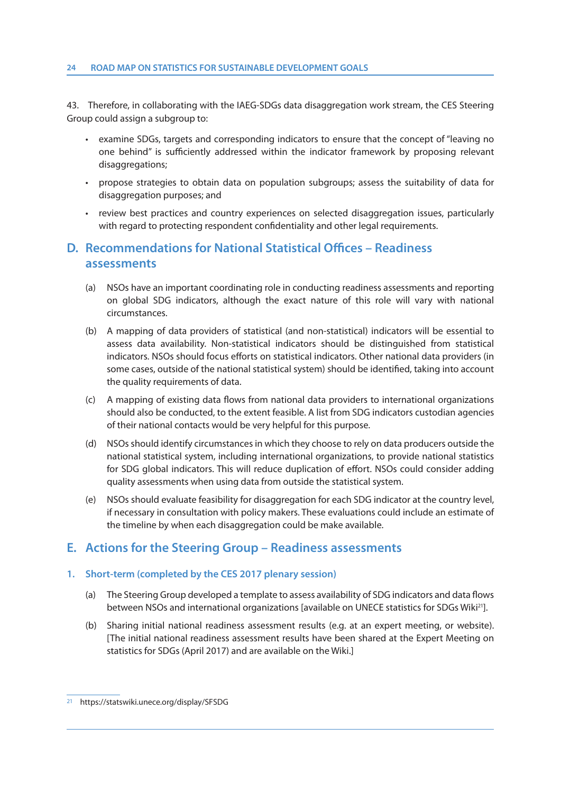43. Therefore, in collaborating with the IAEG-SDGs data disaggregation work stream, the CES Steering Group could assign a subgroup to:

- examine SDGs, targets and corresponding indicators to ensure that the concept of "leaving no one behind" is sufficiently addressed within the indicator framework by proposing relevant disaggregations;
- propose strategies to obtain data on population subgroups; assess the suitability of data for disaggregation purposes; and
- review best practices and country experiences on selected disaggregation issues, particularly with regard to protecting respondent confidentiality and other legal requirements.

### **D. Recommendations for National Statistical Offices – Readiness assessments**

- (a) NSOs have an important coordinating role in conducting readiness assessments and reporting on global SDG indicators, although the exact nature of this role will vary with national circumstances.
- (b) A mapping of data providers of statistical (and non-statistical) indicators will be essential to assess data availability. Non-statistical indicators should be distinguished from statistical indicators. NSOs should focus efforts on statistical indicators. Other national data providers (in some cases, outside of the national statistical system) should be identified, taking into account the quality requirements of data.
- (c) A mapping of existing data flows from national data providers to international organizations should also be conducted, to the extent feasible. A list from SDG indicators custodian agencies of their national contacts would be very helpful for this purpose.
- (d) NSOs should identify circumstances in which they choose to rely on data producers outside the national statistical system, including international organizations, to provide national statistics for SDG global indicators. This will reduce duplication of effort. NSOs could consider adding quality assessments when using data from outside the statistical system.
- (e) NSOs should evaluate feasibility for disaggregation for each SDG indicator at the country level, if necessary in consultation with policy makers. These evaluations could include an estimate of the timeline by when each disaggregation could be make available.

#### **E. Actions for the Steering Group – Readiness assessments**

#### **1. Short-term (completed by the CES 2017 plenary session)**

- (a) The Steering Group developed a template to assess availability of SDG indicators and data flows between NSOs and international organizations [available on UNECE statistics for SDGs Wiki<sup>21</sup>].
- (b) Sharing initial national readiness assessment results (e.g. at an expert meeting, or website). [The initial national readiness assessment results have been shared at the Expert Meeting on statistics for SDGs (April 2017) and are available on the Wiki.]

<sup>21</sup> https://statswiki.unece.org/display/SFSDG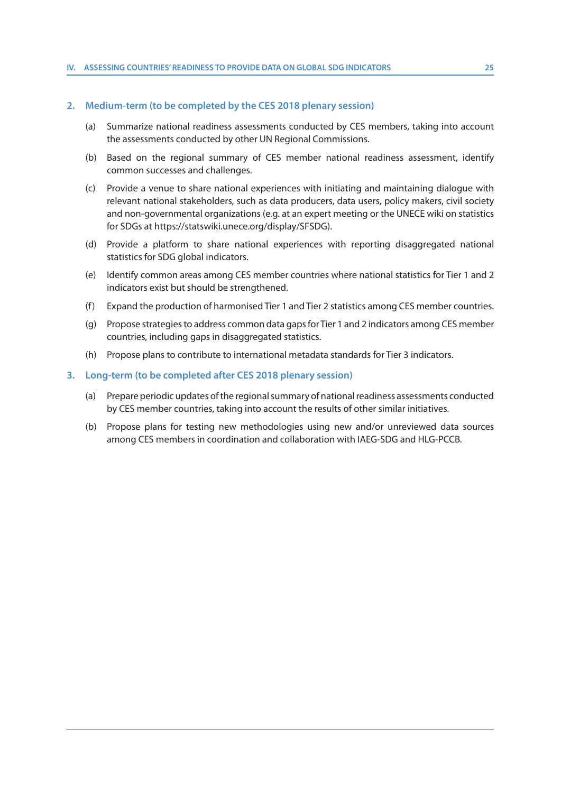#### **2. Medium-term (to be completed by the CES 2018 plenary session)**

- (a) Summarize national readiness assessments conducted by CES members, taking into account the assessments conducted by other UN Regional Commissions.
- (b) Based on the regional summary of CES member national readiness assessment, identify common successes and challenges.
- (c) Provide a venue to share national experiences with initiating and maintaining dialogue with relevant national stakeholders, such as data producers, data users, policy makers, civil society and non-governmental organizations (e.g. at an expert meeting or the UNECE wiki on statistics for SDGs at https://statswiki.unece.org/display/SFSDG).
- (d) Provide a platform to share national experiences with reporting disaggregated national statistics for SDG global indicators.
- (e) Identify common areas among CES member countries where national statistics for Tier 1 and 2 indicators exist but should be strengthened.
- (f) Expand the production of harmonised Tier 1 and Tier 2 statistics among CES member countries.
- (g) Propose strategies to address common data gaps for Tier 1 and 2 indicators among CES member countries, including gaps in disaggregated statistics.
- (h) Propose plans to contribute to international metadata standards for Tier 3 indicators.

#### **3. Long-term (to be completed after CES 2018 plenary session)**

- (a) Prepare periodic updates of the regional summary of national readiness assessments conducted by CES member countries, taking into account the results of other similar initiatives.
- (b) Propose plans for testing new methodologies using new and/or unreviewed data sources among CES members in coordination and collaboration with IAEG-SDG and HLG-PCCB.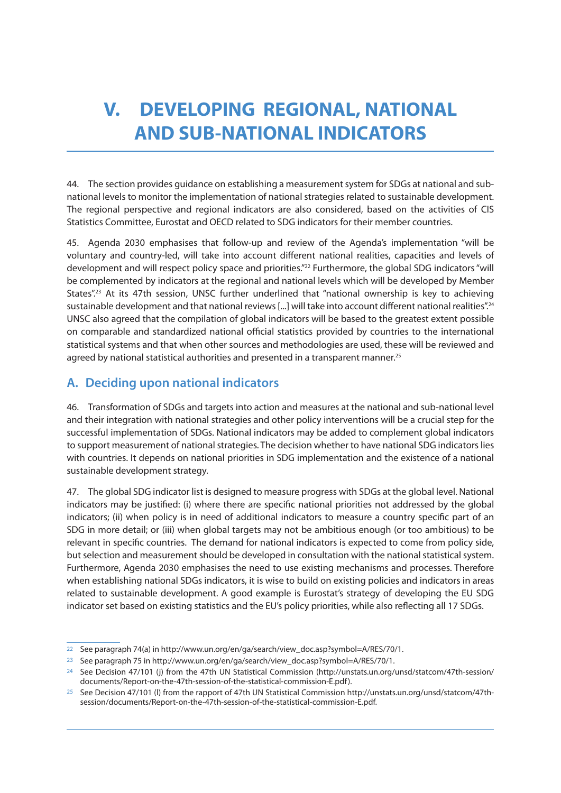## **V. DEVELOPING REGIONAL, NATIONAL AND SUB-NATIONAL INDICATORS**

44. The section provides guidance on establishing a measurement system for SDGs at national and subnational levels to monitor the implementation of national strategies related to sustainable development. The regional perspective and regional indicators are also considered, based on the activities of CIS Statistics Committee, Eurostat and OECD related to SDG indicators for their member countries.

45. Agenda 2030 emphasises that follow-up and review of the Agenda's implementation "will be voluntary and country-led, will take into account different national realities, capacities and levels of development and will respect policy space and priorities."<sup>22</sup> Furthermore, the global SDG indicators "will be complemented by indicators at the regional and national levels which will be developed by Member States".<sup>23</sup> At its 47th session, UNSC further underlined that "national ownership is key to achieving sustainable development and that national reviews [...] will take into account different national realities".<sup>24</sup> UNSC also agreed that the compilation of global indicators will be based to the greatest extent possible on comparable and standardized national official statistics provided by countries to the international statistical systems and that when other sources and methodologies are used, these will be reviewed and agreed by national statistical authorities and presented in a transparent manner.<sup>25</sup>

### **A. Deciding upon national indicators**

46. Transformation of SDGs and targets into action and measures at the national and sub-national level and their integration with national strategies and other policy interventions will be a crucial step for the successful implementation of SDGs. National indicators may be added to complement global indicators to support measurement of national strategies. The decision whether to have national SDG indicators lies with countries. It depends on national priorities in SDG implementation and the existence of a national sustainable development strategy.

47. The global SDG indicator list is designed to measure progress with SDGs at the global level. National indicators may be justified: (i) where there are specific national priorities not addressed by the global indicators; (ii) when policy is in need of additional indicators to measure a country specific part of an SDG in more detail; or (iii) when global targets may not be ambitious enough (or too ambitious) to be relevant in specific countries. The demand for national indicators is expected to come from policy side, but selection and measurement should be developed in consultation with the national statistical system. Furthermore, Agenda 2030 emphasises the need to use existing mechanisms and processes. Therefore when establishing national SDGs indicators, it is wise to build on existing policies and indicators in areas related to sustainable development. A good example is Eurostat's strategy of developing the EU SDG indicator set based on existing statistics and the EU's policy priorities, while also reflecting all 17 SDGs.

<sup>22</sup> See paragraph 74(a) in http://www.un.org/en/ga/search/view\_doc.asp?symbol=A/RES/70/1.

<sup>23</sup> See paragraph 75 in http://www.un.org/en/ga/search/view\_doc.asp?symbol=A/RES/70/1.

<sup>24</sup> See Decision 47/101 (j) from the 47th UN Statistical Commission (http://unstats.un.org/unsd/statcom/47th-session/ documents/Report-on-the-47th-session-of-the-statistical-commission-E.pdf).

<sup>25</sup> See Decision 47/101 (l) from the rapport of 47th UN Statistical Commission http://unstats.un.org/unsd/statcom/47thsession/documents/Report-on-the-47th-session-of-the-statistical-commission-E.pdf.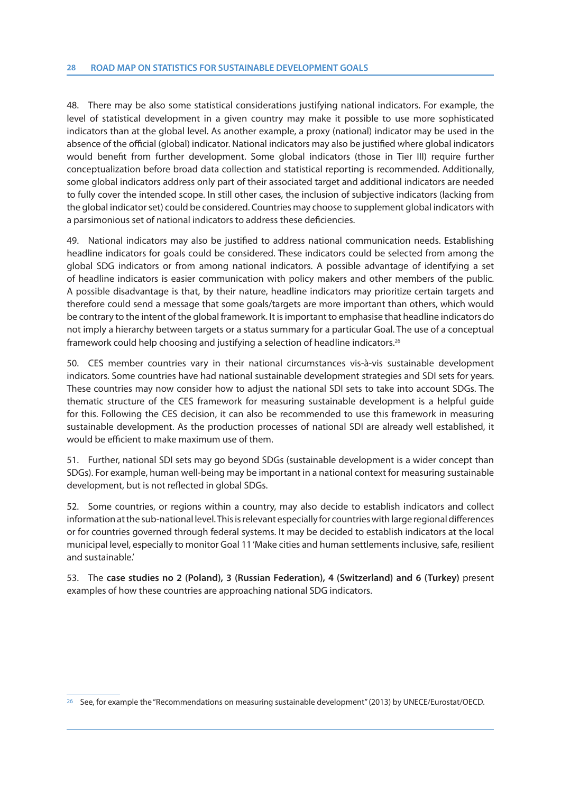48. There may be also some statistical considerations justifying national indicators. For example, the level of statistical development in a given country may make it possible to use more sophisticated indicators than at the global level. As another example, a proxy (national) indicator may be used in the absence of the official (global) indicator. National indicators may also be justified where global indicators would benefit from further development. Some global indicators (those in Tier III) require further conceptualization before broad data collection and statistical reporting is recommended. Additionally, some global indicators address only part of their associated target and additional indicators are needed to fully cover the intended scope. In still other cases, the inclusion of subjective indicators (lacking from the global indicator set) could be considered. Countries may choose to supplement global indicators with a parsimonious set of national indicators to address these deficiencies.

49. National indicators may also be justified to address national communication needs. Establishing headline indicators for goals could be considered. These indicators could be selected from among the global SDG indicators or from among national indicators. A possible advantage of identifying a set of headline indicators is easier communication with policy makers and other members of the public. A possible disadvantage is that, by their nature, headline indicators may prioritize certain targets and therefore could send a message that some goals/targets are more important than others, which would be contrary to the intent of the global framework. It is important to emphasise that headline indicators do not imply a hierarchy between targets or a status summary for a particular Goal. The use of a conceptual framework could help choosing and justifying a selection of headline indicators.<sup>26</sup>

50. CES member countries vary in their national circumstances vis-à-vis sustainable development indicators. Some countries have had national sustainable development strategies and SDI sets for years. These countries may now consider how to adjust the national SDI sets to take into account SDGs. The thematic structure of the CES framework for measuring sustainable development is a helpful guide for this. Following the CES decision, it can also be recommended to use this framework in measuring sustainable development. As the production processes of national SDI are already well established, it would be efficient to make maximum use of them.

51. Further, national SDI sets may go beyond SDGs (sustainable development is a wider concept than SDGs). For example, human well-being may be important in a national context for measuring sustainable development, but is not reflected in global SDGs.

52. Some countries, or regions within a country, may also decide to establish indicators and collect information at the sub-national level. This is relevant especially for countries with large regional differences or for countries governed through federal systems. It may be decided to establish indicators at the local municipal level, especially to monitor Goal 11 'Make cities and human settlements inclusive, safe, resilient and sustainable.'

53. The **case studies no 2 (Poland), 3 (Russian Federation), 4 (Switzerland) and 6 (Turkey)** present examples of how these countries are approaching national SDG indicators.

<sup>26</sup> See, for example the "Recommendations on measuring sustainable development" (2013) by UNECE/Eurostat/OECD.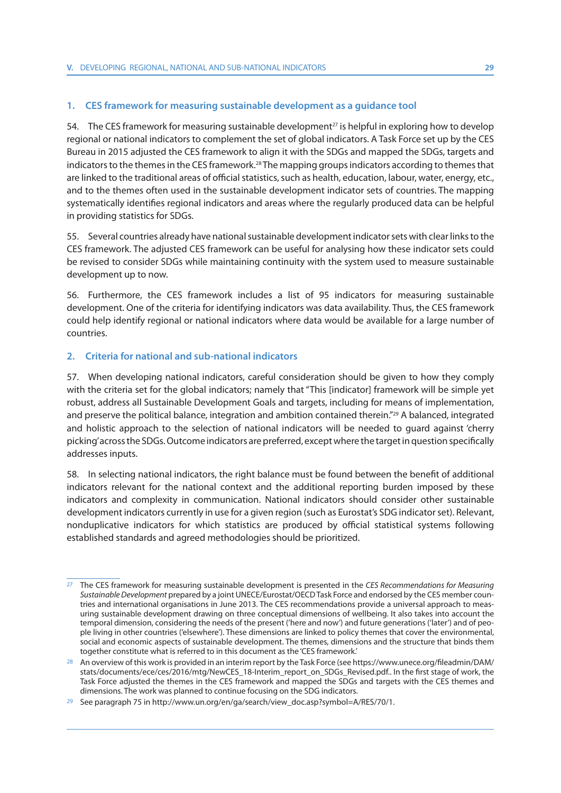#### **1. CES framework for measuring sustainable development as a guidance tool**

54. The CES framework for measuring sustainable development<sup>27</sup> is helpful in exploring how to develop regional or national indicators to complement the set of global indicators. A Task Force set up by the CES Bureau in 2015 adjusted the CES framework to align it with the SDGs and mapped the SDGs, targets and indicators to the themes in the CES framework.28 The mapping groups indicators according to themes that are linked to the traditional areas of official statistics, such as health, education, labour, water, energy, etc., and to the themes often used in the sustainable development indicator sets of countries. The mapping systematically identifies regional indicators and areas where the regularly produced data can be helpful in providing statistics for SDGs.

55. Several countries already have national sustainable development indicator sets with clear links to the CES framework. The adjusted CES framework can be useful for analysing how these indicator sets could be revised to consider SDGs while maintaining continuity with the system used to measure sustainable development up to now.

56. Furthermore, the CES framework includes a list of 95 indicators for measuring sustainable development. One of the criteria for identifying indicators was data availability. Thus, the CES framework could help identify regional or national indicators where data would be available for a large number of countries.

#### **2. Criteria for national and sub-national indicators**

57. When developing national indicators, careful consideration should be given to how they comply with the criteria set for the global indicators; namely that "This [indicator] framework will be simple yet robust, address all Sustainable Development Goals and targets, including for means of implementation, and preserve the political balance, integration and ambition contained therein."29 A balanced, integrated and holistic approach to the selection of national indicators will be needed to guard against 'cherry picking' across the SDGs. Outcome indicators are preferred, except where the target in question specifically addresses inputs.

58. In selecting national indicators, the right balance must be found between the benefit of additional indicators relevant for the national context and the additional reporting burden imposed by these indicators and complexity in communication. National indicators should consider other sustainable development indicators currently in use for a given region (such as Eurostat's SDG indicator set). Relevant, nonduplicative indicators for which statistics are produced by official statistical systems following established standards and agreed methodologies should be prioritized.

<sup>&</sup>lt;sup>27</sup> The CES framework for measuring sustainable development is presented in the CES Recommendations for Measuring Sustainable Development prepared by a joint UNECE/Eurostat/OECD Task Force and endorsed by the CES member countries and international organisations in June 2013. The CES recommendations provide a universal approach to measuring sustainable development drawing on three conceptual dimensions of wellbeing. It also takes into account the temporal dimension, considering the needs of the present ('here and now') and future generations ('later') and of people living in other countries ('elsewhere'). These dimensions are linked to policy themes that cover the environmental, social and economic aspects of sustainable development. The themes, dimensions and the structure that binds them together constitute what is referred to in this document as the 'CES framework.'

<sup>&</sup>lt;sup>28</sup> An overview of this work is provided in an interim report by the Task Force (see https://www.unece.org/fileadmin/DAM/ stats/documents/ece/ces/2016/mtg/NewCES\_18-Interim\_report\_on\_SDGs\_Revised.pdf.. In the first stage of work, the Task Force adjusted the themes in the CES framework and mapped the SDGs and targets with the CES themes and dimensions. The work was planned to continue focusing on the SDG indicators.

<sup>29</sup> See paragraph 75 in http://www.un.org/en/ga/search/view\_doc.asp?symbol=A/RES/70/1.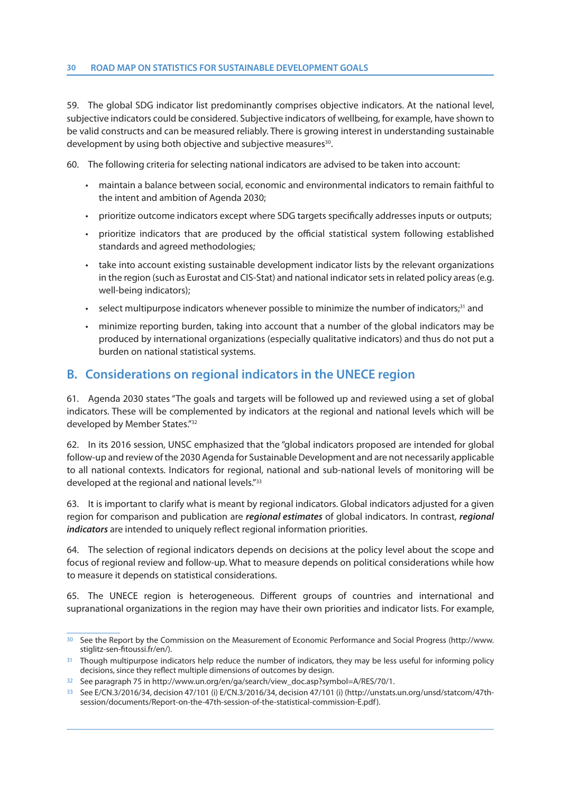59. The global SDG indicator list predominantly comprises objective indicators. At the national level, subjective indicators could be considered. Subjective indicators of wellbeing, for example, have shown to be valid constructs and can be measured reliably. There is growing interest in understanding sustainable development by using both objective and subjective measures<sup>30</sup>.

60. The following criteria for selecting national indicators are advised to be taken into account:

- maintain a balance between social, economic and environmental indicators to remain faithful to the intent and ambition of Agenda 2030;
- prioritize outcome indicators except where SDG targets specifically addresses inputs or outputs;
- prioritize indicators that are produced by the official statistical system following established standards and agreed methodologies;
- take into account existing sustainable development indicator lists by the relevant organizations in the region (such as Eurostat and CIS-Stat) and national indicator sets in related policy areas (e.g. well-being indicators);
- $\cdot$  select multipurpose indicators whenever possible to minimize the number of indicators; $31$  and
- minimize reporting burden, taking into account that a number of the global indicators may be produced by international organizations (especially qualitative indicators) and thus do not put a burden on national statistical systems.

#### **B. Considerations on regional indicators in the UNECE region**

61. Agenda 2030 states "The goals and targets will be followed up and reviewed using a set of global indicators. These will be complemented by indicators at the regional and national levels which will be developed by Member States."32

62. In its 2016 session, UNSC emphasized that the "global indicators proposed are intended for global follow-up and review of the 2030 Agenda for Sustainable Development and are not necessarily applicable to all national contexts. Indicators for regional, national and sub-national levels of monitoring will be developed at the regional and national levels."<sup>33</sup>

63. It is important to clarify what is meant by regional indicators. Global indicators adjusted for a given region for comparison and publication are *regional estimates* of global indicators. In contrast, *regional indicators* are intended to uniquely reflect regional information priorities.

64. The selection of regional indicators depends on decisions at the policy level about the scope and focus of regional review and follow-up. What to measure depends on political considerations while how to measure it depends on statistical considerations.

65. The UNECE region is heterogeneous. Different groups of countries and international and supranational organizations in the region may have their own priorities and indicator lists. For example,

<sup>30</sup> See the Report by the Commission on the Measurement of Economic Performance and Social Progress (http://www. stiglitz-sen-fitoussi.fr/en/).

Though multipurpose indicators help reduce the number of indicators, they may be less useful for informing policy decisions, since they reflect multiple dimensions of outcomes by design.

<sup>32</sup> See paragraph 75 in http://www.un.org/en/ga/search/view\_doc.asp?symbol=A/RES/70/1.

<sup>33</sup> See E/CN.3/2016/34, decision 47/101 (i) E/CN.3/2016/34, decision 47/101 (i) (http://unstats.un.org/unsd/statcom/47thsession/documents/Report-on-the-47th-session-of-the-statistical-commission-E.pdf).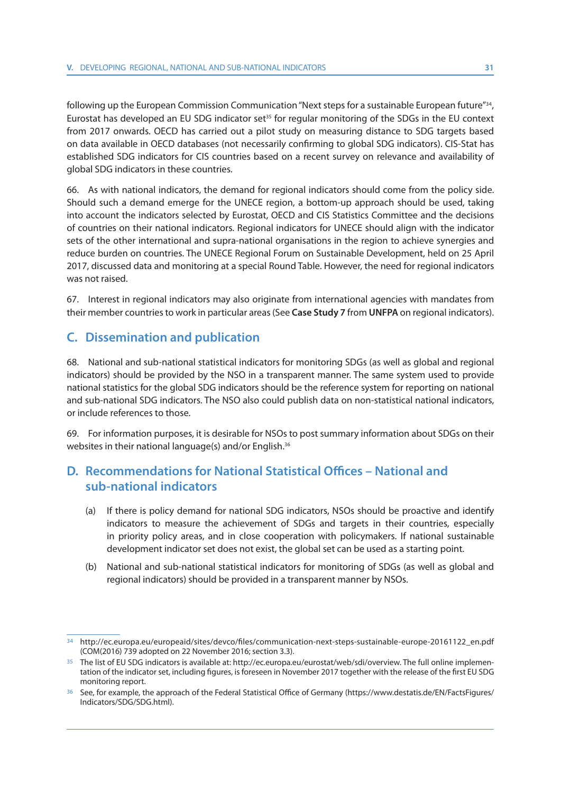following up the European Commission Communication "Next steps for a sustainable European future"34, Eurostat has developed an EU SDG indicator set<sup>35</sup> for regular monitoring of the SDGs in the EU context from 2017 onwards. OECD has carried out a pilot study on measuring distance to SDG targets based on data available in OECD databases (not necessarily confirming to global SDG indicators). CIS-Stat has established SDG indicators for CIS countries based on a recent survey on relevance and availability of global SDG indicators in these countries.

66. As with national indicators, the demand for regional indicators should come from the policy side. Should such a demand emerge for the UNECE region, a bottom-up approach should be used, taking into account the indicators selected by Eurostat, OECD and CIS Statistics Committee and the decisions of countries on their national indicators. Regional indicators for UNECE should align with the indicator sets of the other international and supra-national organisations in the region to achieve synergies and reduce burden on countries. The UNECE Regional Forum on Sustainable Development, held on 25 April 2017, discussed data and monitoring at a special Round Table. However, the need for regional indicators was not raised.

67. Interest in regional indicators may also originate from international agencies with mandates from their member countries to work in particular areas (See **Case Study 7** from **UNFPA** on regional indicators).

#### **C. Dissemination and publication**

68. National and sub-national statistical indicators for monitoring SDGs (as well as global and regional indicators) should be provided by the NSO in a transparent manner. The same system used to provide national statistics for the global SDG indicators should be the reference system for reporting on national and sub-national SDG indicators. The NSO also could publish data on non-statistical national indicators, or include references to those.

69. For information purposes, it is desirable for NSOs to post summary information about SDGs on their websites in their national language(s) and/or English.36

### **D. Recommendations for National Statistical Offices – National and sub-national indicators**

- (a) If there is policy demand for national SDG indicators, NSOs should be proactive and identify indicators to measure the achievement of SDGs and targets in their countries, especially in priority policy areas, and in close cooperation with policymakers. If national sustainable development indicator set does not exist, the global set can be used as a starting point.
- (b) National and sub-national statistical indicators for monitoring of SDGs (as well as global and regional indicators) should be provided in a transparent manner by NSOs.

<sup>34</sup> http://ec.europa.eu/europeaid/sites/devco/files/communication-next-steps-sustainable-europe-20161122\_en.pdf (COM(2016) 739 adopted on 22 November 2016; section 3.3).

<sup>35</sup> The list of EU SDG indicators is available at: http://ec.europa.eu/eurostat/web/sdi/overview. The full online implementation of the indicator set, including figures, is foreseen in November 2017 together with the release of the first EU SDG monitoring report.

<sup>36</sup> See, for example, the approach of the Federal Statistical Office of Germany (https://www.destatis.de/EN/FactsFigures/ Indicators/SDG/SDG.html).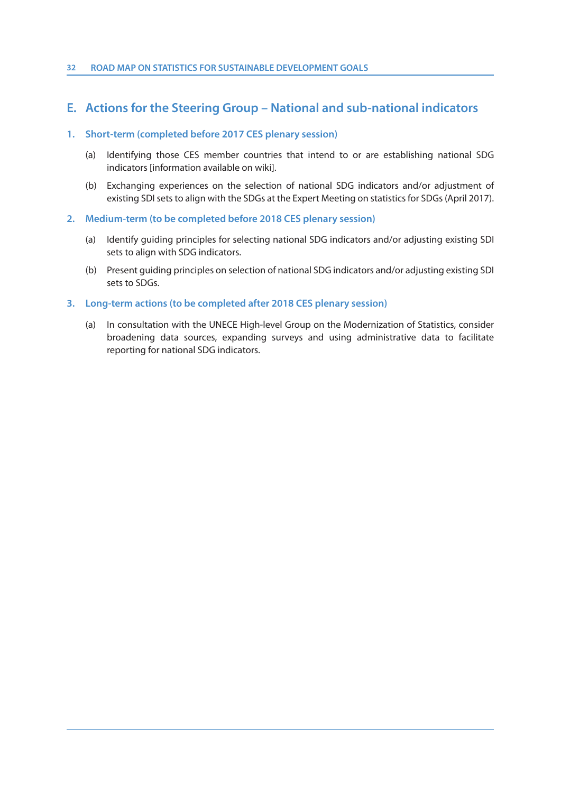#### **E. Actions for the Steering Group – National and sub-national indicators**

#### **1. Short-term (completed before 2017 CES plenary session)**

- (a) Identifying those CES member countries that intend to or are establishing national SDG indicators [information available on wiki].
- (b) Exchanging experiences on the selection of national SDG indicators and/or adjustment of existing SDI sets to align with the SDGs at the Expert Meeting on statistics for SDGs (April 2017).
- **2. Medium-term (to be completed before 2018 CES plenary session)**
	- (a) Identify guiding principles for selecting national SDG indicators and/or adjusting existing SDI sets to align with SDG indicators.
	- (b) Present guiding principles on selection of national SDG indicators and/or adjusting existing SDI sets to SDGs.

#### **3. Long-term actions (to be completed after 2018 CES plenary session)**

(a) In consultation with the UNECE High-level Group on the Modernization of Statistics, consider broadening data sources, expanding surveys and using administrative data to facilitate reporting for national SDG indicators.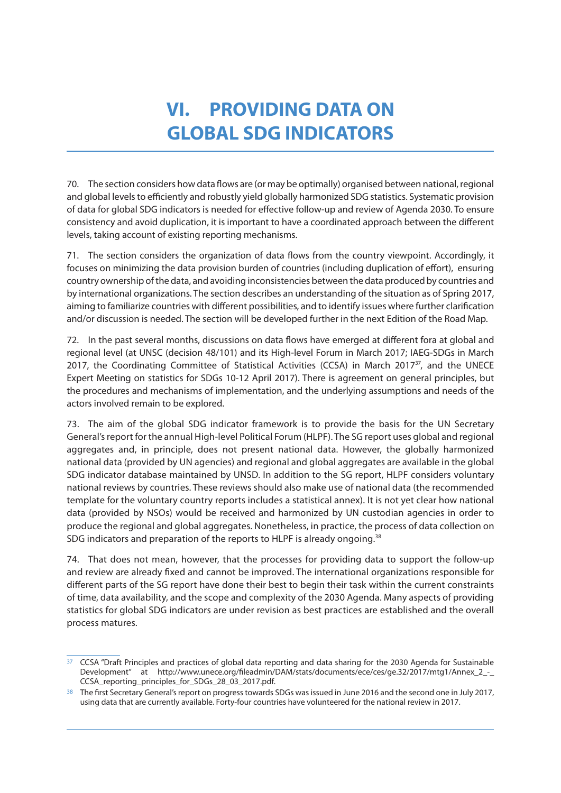## **VI. PROVIDING DATA ON GLOBAL SDG INDICATORS**

70. The section considers how data flows are (or may be optimally) organised between national, regional and global levels to efficiently and robustly yield globally harmonized SDG statistics. Systematic provision of data for global SDG indicators is needed for effective follow-up and review of Agenda 2030. To ensure consistency and avoid duplication, it is important to have a coordinated approach between the different levels, taking account of existing reporting mechanisms.

71. The section considers the organization of data flows from the country viewpoint. Accordingly, it focuses on minimizing the data provision burden of countries (including duplication of effort), ensuring country ownership of the data, and avoiding inconsistencies between the data produced by countries and by international organizations. The section describes an understanding of the situation as of Spring 2017, aiming to familiarize countries with different possibilities, and to identify issues where further clarification and/or discussion is needed. The section will be developed further in the next Edition of the Road Map.

72. In the past several months, discussions on data flows have emerged at different fora at global and regional level (at UNSC (decision 48/101) and its High-level Forum in March 2017; IAEG-SDGs in March 2017, the Coordinating Committee of Statistical Activities (CCSA) in March 2017<sup>37</sup>, and the UNECE Expert Meeting on statistics for SDGs 10-12 April 2017). There is agreement on general principles, but the procedures and mechanisms of implementation, and the underlying assumptions and needs of the actors involved remain to be explored.

73. The aim of the global SDG indicator framework is to provide the basis for the UN Secretary General's report for the annual High-level Political Forum (HLPF). The SG report uses global and regional aggregates and, in principle, does not present national data. However, the globally harmonized national data (provided by UN agencies) and regional and global aggregates are available in the global SDG indicator database maintained by UNSD. In addition to the SG report, HLPF considers voluntary national reviews by countries. These reviews should also make use of national data (the recommended template for the voluntary country reports includes a statistical annex). It is not yet clear how national data (provided by NSOs) would be received and harmonized by UN custodian agencies in order to produce the regional and global aggregates. Nonetheless, in practice, the process of data collection on SDG indicators and preparation of the reports to HLPF is already ongoing.<sup>38</sup>

74. That does not mean, however, that the processes for providing data to support the follow-up and review are already fixed and cannot be improved. The international organizations responsible for different parts of the SG report have done their best to begin their task within the current constraints of time, data availability, and the scope and complexity of the 2030 Agenda. Many aspects of providing statistics for global SDG indicators are under revision as best practices are established and the overall process matures.

<sup>&</sup>lt;sup>37</sup> CCSA "Draft Principles and practices of global data reporting and data sharing for the 2030 Agenda for Sustainable Development" at http://www.unece.org/fileadmin/DAM/stats/documents/ece/ces/ge.32/2017/mtg1/Annex\_2\_-\_ CCSA\_reporting\_principles\_for\_SDGs\_28\_03\_2017.pdf.

<sup>&</sup>lt;sup>38</sup> The first Secretary General's report on progress towards SDGs was issued in June 2016 and the second one in July 2017, using data that are currently available. Forty-four countries have volunteered for the national review in 2017.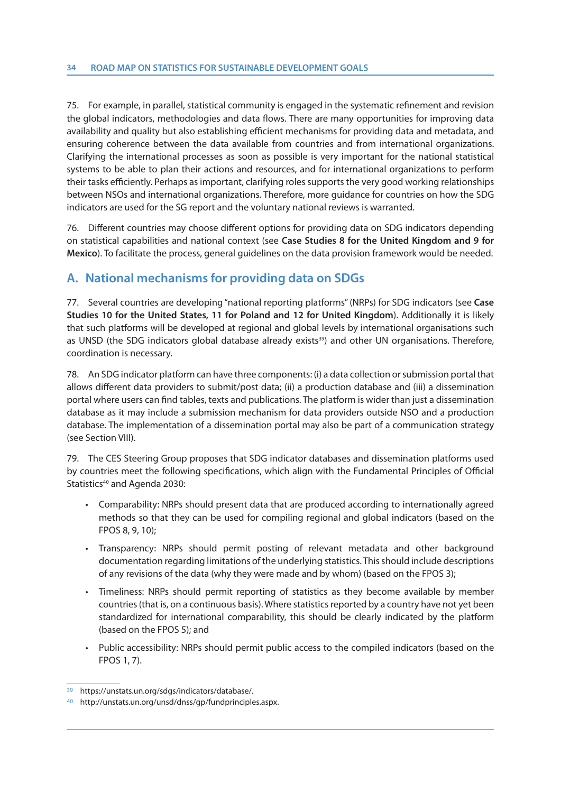75. For example, in parallel, statistical community is engaged in the systematic refinement and revision the global indicators, methodologies and data flows. There are many opportunities for improving data availability and quality but also establishing efficient mechanisms for providing data and metadata, and ensuring coherence between the data available from countries and from international organizations. Clarifying the international processes as soon as possible is very important for the national statistical systems to be able to plan their actions and resources, and for international organizations to perform their tasks efficiently. Perhaps as important, clarifying roles supports the very good working relationships between NSOs and international organizations. Therefore, more guidance for countries on how the SDG indicators are used for the SG report and the voluntary national reviews is warranted.

76. Different countries may choose different options for providing data on SDG indicators depending on statistical capabilities and national context (see **Case Studies 8 for the United Kingdom and 9 for Mexico**). To facilitate the process, general guidelines on the data provision framework would be needed.

### **A. National mechanisms for providing data on SDGs**

77. Several countries are developing "national reporting platforms" (NRPs) for SDG indicators (see **Case Studies 10 for the United States, 11 for Poland and 12 for United Kingdom**). Additionally it is likely that such platforms will be developed at regional and global levels by international organisations such as UNSD (the SDG indicators global database already exists<sup>39</sup>) and other UN organisations. Therefore, coordination is necessary.

78. An SDG indicator platform can have three components: (i) a data collection or submission portal that allows different data providers to submit/post data; (ii) a production database and (iii) a dissemination portal where users can find tables, texts and publications. The platform is wider than just a dissemination database as it may include a submission mechanism for data providers outside NSO and a production database. The implementation of a dissemination portal may also be part of a communication strategy (see Section VIII).

79. The CES Steering Group proposes that SDG indicator databases and dissemination platforms used by countries meet the following specifications, which align with the Fundamental Principles of Official Statistics<sup>40</sup> and Agenda 2030:

- Comparability: NRPs should present data that are produced according to internationally agreed methods so that they can be used for compiling regional and global indicators (based on the FPOS 8, 9, 10);
- Transparency: NRPs should permit posting of relevant metadata and other background documentation regarding limitations of the underlying statistics. This should include descriptions of any revisions of the data (why they were made and by whom) (based on the FPOS 3);
- Timeliness: NRPs should permit reporting of statistics as they become available by member countries (that is, on a continuous basis). Where statistics reported by a country have not yet been standardized for international comparability, this should be clearly indicated by the platform (based on the FPOS 5); and
- Public accessibility: NRPs should permit public access to the compiled indicators (based on the FPOS 1, 7).

<sup>39</sup> https://unstats.un.org/sdgs/indicators/database/.

<sup>40</sup> http://unstats.un.org/unsd/dnss/gp/fundprinciples.aspx.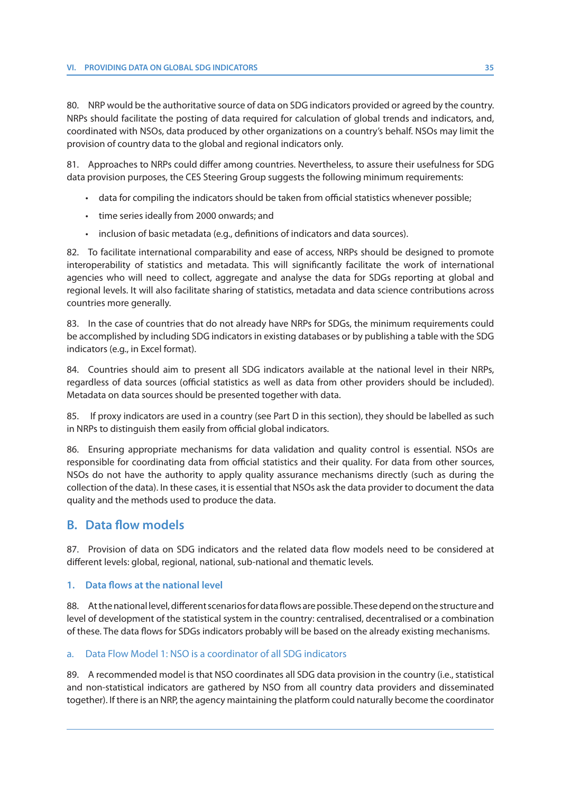80. NRP would be the authoritative source of data on SDG indicators provided or agreed by the country. NRPs should facilitate the posting of data required for calculation of global trends and indicators, and, coordinated with NSOs, data produced by other organizations on a country's behalf. NSOs may limit the provision of country data to the global and regional indicators only.

81. Approaches to NRPs could differ among countries. Nevertheless, to assure their usefulness for SDG data provision purposes, the CES Steering Group suggests the following minimum requirements:

- data for compiling the indicators should be taken from official statistics whenever possible;
- time series ideally from 2000 onwards; and
- inclusion of basic metadata (e.g., definitions of indicators and data sources).

82. To facilitate international comparability and ease of access, NRPs should be designed to promote interoperability of statistics and metadata. This will significantly facilitate the work of international agencies who will need to collect, aggregate and analyse the data for SDGs reporting at global and regional levels. It will also facilitate sharing of statistics, metadata and data science contributions across countries more generally.

83. In the case of countries that do not already have NRPs for SDGs, the minimum requirements could be accomplished by including SDG indicators in existing databases or by publishing a table with the SDG indicators (e.g., in Excel format).

84. Countries should aim to present all SDG indicators available at the national level in their NRPs, regardless of data sources (official statistics as well as data from other providers should be included). Metadata on data sources should be presented together with data.

85. If proxy indicators are used in a country (see Part D in this section), they should be labelled as such in NRPs to distinguish them easily from official global indicators.

86. Ensuring appropriate mechanisms for data validation and quality control is essential. NSOs are responsible for coordinating data from official statistics and their quality. For data from other sources, NSOs do not have the authority to apply quality assurance mechanisms directly (such as during the collection of the data). In these cases, it is essential that NSOs ask the data provider to document the data quality and the methods used to produce the data.

#### **B. Data flow models**

87. Provision of data on SDG indicators and the related data flow models need to be considered at different levels: global, regional, national, sub-national and thematic levels.

#### **1. Data flows at the national level**

88. At the national level, different scenarios for data flows are possible. These depend on the structure and level of development of the statistical system in the country: centralised, decentralised or a combination of these. The data flows for SDGs indicators probably will be based on the already existing mechanisms.

#### a. Data Flow Model 1: NSO is a coordinator of all SDG indicators

89. A recommended model is that NSO coordinates all SDG data provision in the country (i.e., statistical and non-statistical indicators are gathered by NSO from all country data providers and disseminated together). If there is an NRP, the agency maintaining the platform could naturally become the coordinator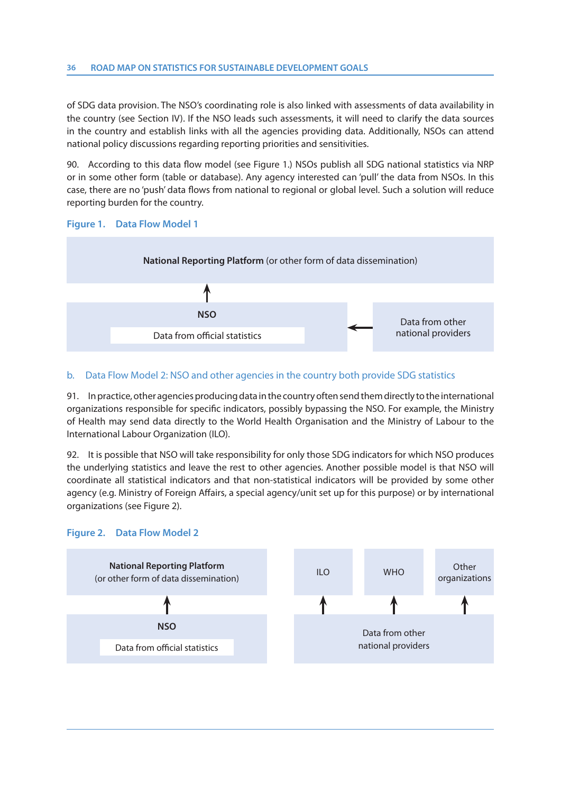of SDG data provision. The NSO's coordinating role is also linked with assessments of data availability in the country (see Section IV). If the NSO leads such assessments, it will need to clarify the data sources in the country and establish links with all the agencies providing data. Additionally, NSOs can attend national policy discussions regarding reporting priorities and sensitivities.

90. According to this data flow model (see Figure 1.) NSOs publish all SDG national statistics via NRP or in some other form (table or database). Any agency interested can 'pull' the data from NSOs. In this case, there are no 'push' data flows from national to regional or global level. Such a solution will reduce reporting burden for the country.



## b. Data Flow Model 2: NSO and other agencies in the country both provide SDG statistics

91. In practice, other agencies producing data in the country often send them directly to the international organizations responsible for specific indicators, possibly bypassing the NSO. For example, the Ministry of Health may send data directly to the World Health Organisation and the Ministry of Labour to the International Labour Organization (ILO).

92. It is possible that NSO will take responsibility for only those SDG indicators for which NSO produces the underlying statistics and leave the rest to other agencies. Another possible model is that NSO will coordinate all statistical indicators and that non-statistical indicators will be provided by some other agency (e.g. Ministry of Foreign Affairs, a special agency/unit set up for this purpose) or by international organizations (see Figure 2).



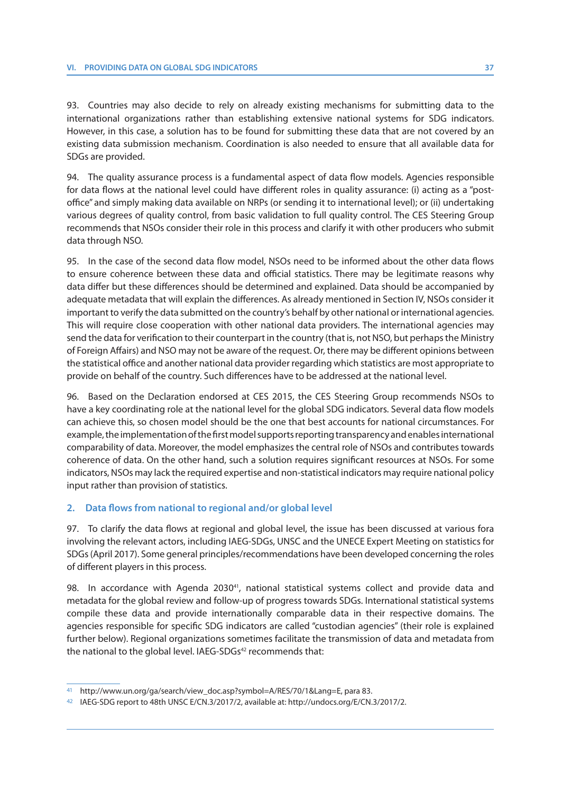93. Countries may also decide to rely on already existing mechanisms for submitting data to the international organizations rather than establishing extensive national systems for SDG indicators. However, in this case, a solution has to be found for submitting these data that are not covered by an existing data submission mechanism. Coordination is also needed to ensure that all available data for SDGs are provided.

94. The quality assurance process is a fundamental aspect of data flow models. Agencies responsible for data flows at the national level could have different roles in quality assurance: (i) acting as a "postoffice" and simply making data available on NRPs (or sending it to international level); or (ii) undertaking various degrees of quality control, from basic validation to full quality control. The CES Steering Group recommends that NSOs consider their role in this process and clarify it with other producers who submit data through NSO.

95. In the case of the second data flow model, NSOs need to be informed about the other data flows to ensure coherence between these data and official statistics. There may be legitimate reasons why data differ but these differences should be determined and explained. Data should be accompanied by adequate metadata that will explain the differences. As already mentioned in Section IV, NSOs consider it important to verify the data submitted on the country's behalf by other national or international agencies. This will require close cooperation with other national data providers. The international agencies may send the data for verification to their counterpart in the country (that is, not NSO, but perhaps the Ministry of Foreign Affairs) and NSO may not be aware of the request. Or, there may be different opinions between the statistical office and another national data provider regarding which statistics are most appropriate to provide on behalf of the country. Such differences have to be addressed at the national level.

96. Based on the Declaration endorsed at CES 2015, the CES Steering Group recommends NSOs to have a key coordinating role at the national level for the global SDG indicators. Several data flow models can achieve this, so chosen model should be the one that best accounts for national circumstances. For example, the implementation of the first model supports reporting transparency and enables international comparability of data. Moreover, the model emphasizes the central role of NSOs and contributes towards coherence of data. On the other hand, such a solution requires significant resources at NSOs. For some indicators, NSOs may lack the required expertise and non-statistical indicators may require national policy input rather than provision of statistics.

#### **2. Data flows from national to regional and/or global level**

97. To clarify the data flows at regional and global level, the issue has been discussed at various fora involving the relevant actors, including IAEG-SDGs, UNSC and the UNECE Expert Meeting on statistics for SDGs (April 2017). Some general principles/recommendations have been developed concerning the roles of different players in this process.

98. In accordance with Agenda 2030<sup>41</sup>, national statistical systems collect and provide data and metadata for the global review and follow-up of progress towards SDGs. International statistical systems compile these data and provide internationally comparable data in their respective domains. The agencies responsible for specific SDG indicators are called "custodian agencies" (their role is explained further below). Regional organizations sometimes facilitate the transmission of data and metadata from the national to the global level. IAEG-SDGs<sup>42</sup> recommends that:

<sup>41</sup> http://www.un.org/ga/search/view\_doc.asp?symbol=A/RES/70/1&Lang=E, para 83.

<sup>42</sup> IAEG-SDG report to 48th UNSC E/CN.3/2017/2, available at: http://undocs.org/E/CN.3/2017/2.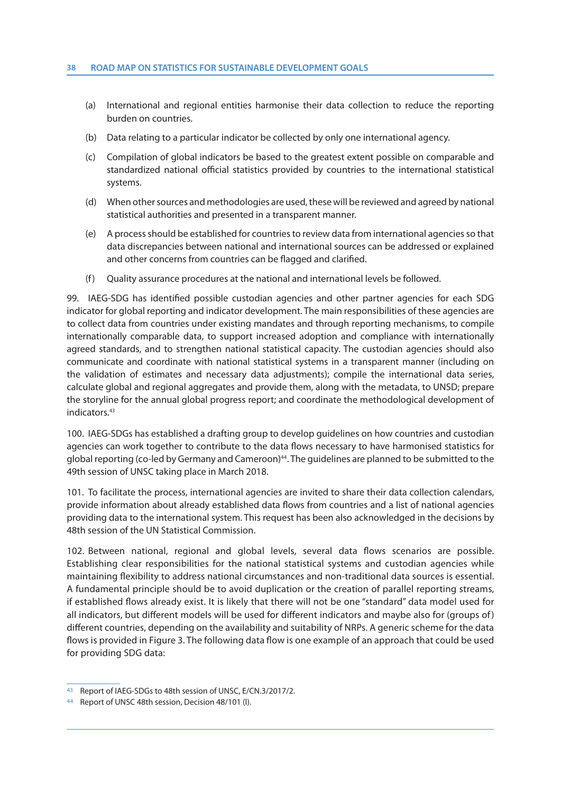#### **38 ROAD MAP ON STATISTICS FOR SUSTAINABLE DEVELOPMENT GOALS**

- (a) International and regional entities harmonise their data collection to reduce the reporting burden on countries.
- (b) Data relating to a particular indicator be collected by only one international agency.
- (c) Compilation of global indicators be based to the greatest extent possible on comparable and standardized national official statistics provided by countries to the international statistical systems.
- (d) When other sources and methodologies are used, these will be reviewed and agreed by national statistical authorities and presented in a transparent manner.
- (e) A process should be established for countries to review data from international agencies so that data discrepancies between national and international sources can be addressed or explained and other concerns from countries can be flagged and clarified.
- (f) Quality assurance procedures at the national and international levels be followed.

99. IAEG-SDG has identified possible custodian agencies and other partner agencies for each SDG indicator for global reporting and indicator development. The main responsibilities of these agencies are to collect data from countries under existing mandates and through reporting mechanisms, to compile internationally comparable data, to support increased adoption and compliance with internationally agreed standards, and to strengthen national statistical capacity. The custodian agencies should also communicate and coordinate with national statistical systems in a transparent manner (including on the validation of estimates and necessary data adjustments); compile the international data series, calculate global and regional aggregates and provide them, along with the metadata, to UNSD; prepare the storyline for the annual global progress report; and coordinate the methodological development of indicators.43

100. IAEG-SDGs has established a drafting group to develop guidelines on how countries and custodian agencies can work together to contribute to the data flows necessary to have harmonised statistics for global reporting (co-led by Germany and Cameroon)<sup>44</sup>. The guidelines are planned to be submitted to the 49th session of UNSC taking place in March 2018.

101. To facilitate the process, international agencies are invited to share their data collection calendars, provide information about already established data flows from countries and a list of national agencies providing data to the international system. This request has been also acknowledged in the decisions by 48th session of the UN Statistical Commission.

102. Between national, regional and global levels, several data flows scenarios are possible. Establishing clear responsibilities for the national statistical systems and custodian agencies while maintaining flexibility to address national circumstances and non-traditional data sources is essential. A fundamental principle should be to avoid duplication or the creation of parallel reporting streams, if established flows already exist. It is likely that there will not be one "standard" data model used for all indicators, but different models will be used for different indicators and maybe also for (groups of ) different countries, depending on the availability and suitability of NRPs. A generic scheme for the data flows is provided in Figure 3. The following data flow is one example of an approach that could be used for providing SDG data:

<sup>43</sup> Report of IAEG-SDGs to 48th session of UNSC, E/CN.3/2017/2.

<sup>44</sup> Report of UNSC 48th session, Decision 48/101 (l).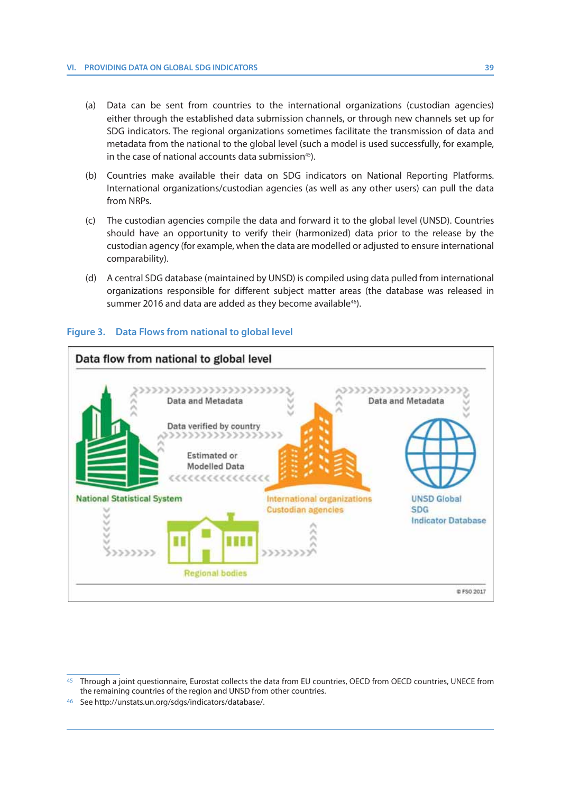- (a) Data can be sent from countries to the international organizations (custodian agencies) either through the established data submission channels, or through new channels set up for SDG indicators. The regional organizations sometimes facilitate the transmission of data and metadata from the national to the global level (such a model is used successfully, for example, in the case of national accounts data submission<sup>45</sup>).
- (b) Countries make available their data on SDG indicators on National Reporting Platforms. International organizations/custodian agencies (as well as any other users) can pull the data from NRPs.
- (c) The custodian agencies compile the data and forward it to the global level (UNSD). Countries should have an opportunity to verify their (harmonized) data prior to the release by the custodian agency (for example, when the data are modelled or adjusted to ensure international comparability).
- (d) A central SDG database (maintained by UNSD) is compiled using data pulled from international organizations responsible for different subject matter areas (the database was released in summer 2016 and data are added as they become available<sup>46</sup>).

## **Figure 3. Data Flows from national to global level**



<sup>45</sup> Through a joint questionnaire, Eurostat collects the data from EU countries, OECD from OECD countries, UNECE from the remaining countries of the region and UNSD from other countries.

<sup>46</sup> See http://unstats.un.org/sdgs/indicators/database/.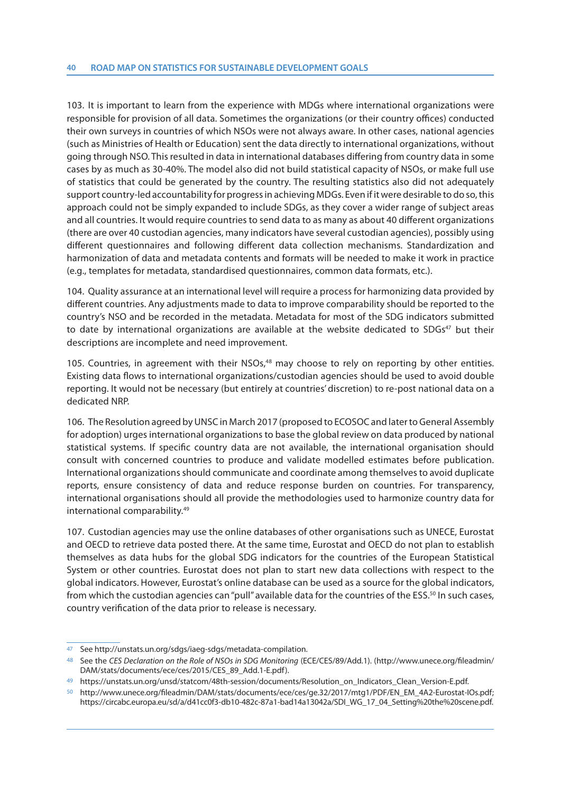103. It is important to learn from the experience with MDGs where international organizations were responsible for provision of all data. Sometimes the organizations (or their country offices) conducted their own surveys in countries of which NSOs were not always aware. In other cases, national agencies (such as Ministries of Health or Education) sent the data directly to international organizations, without going through NSO. This resulted in data in international databases differing from country data in some cases by as much as 30-40%. The model also did not build statistical capacity of NSOs, or make full use of statistics that could be generated by the country. The resulting statistics also did not adequately support country-led accountability for progress in achieving MDGs. Even if it were desirable to do so, this approach could not be simply expanded to include SDGs, as they cover a wider range of subject areas and all countries. It would require countries to send data to as many as about 40 different organizations (there are over 40 custodian agencies, many indicators have several custodian agencies), possibly using different questionnaires and following different data collection mechanisms. Standardization and harmonization of data and metadata contents and formats will be needed to make it work in practice (e.g., templates for metadata, standardised questionnaires, common data formats, etc.).

104. Quality assurance at an international level will require a process for harmonizing data provided by different countries. Any adjustments made to data to improve comparability should be reported to the country's NSO and be recorded in the metadata. Metadata for most of the SDG indicators submitted to date by international organizations are available at the website dedicated to  $SDGs<sup>47</sup>$  but their descriptions are incomplete and need improvement.

105. Countries, in agreement with their NSOs,<sup>48</sup> may choose to rely on reporting by other entities. Existing data flows to international organizations/custodian agencies should be used to avoid double reporting. It would not be necessary (but entirely at countries' discretion) to re-post national data on a dedicated NRP.

106. The Resolution agreed by UNSC in March 2017 (proposed to ECOSOC and later to General Assembly for adoption) urges international organizations to base the global review on data produced by national statistical systems. If specific country data are not available, the international organisation should consult with concerned countries to produce and validate modelled estimates before publication. International organizations should communicate and coordinate among themselves to avoid duplicate reports, ensure consistency of data and reduce response burden on countries. For transparency, international organisations should all provide the methodologies used to harmonize country data for international comparability.49

107. Custodian agencies may use the online databases of other organisations such as UNECE, Eurostat and OECD to retrieve data posted there. At the same time, Eurostat and OECD do not plan to establish themselves as data hubs for the global SDG indicators for the countries of the European Statistical System or other countries. Eurostat does not plan to start new data collections with respect to the global indicators. However, Eurostat's online database can be used as a source for the global indicators, from which the custodian agencies can "pull" available data for the countries of the ESS.<sup>50</sup> In such cases, country verification of the data prior to release is necessary.

See http://unstats.un.org/sdgs/iaeg-sdgs/metadata-compilation.

<sup>48</sup> See the CES Declaration on the Role of NSOs in SDG Monitoring (ECE/CES/89/Add.1). (http://www.unece.org/fileadmin/ DAM/stats/documents/ece/ces/2015/CES\_89\_Add.1-E.pdf).

<sup>49</sup> https://unstats.un.org/unsd/statcom/48th-session/documents/Resolution\_on\_Indicators\_Clean\_Version-E.pdf.

http://www.unece.org/fileadmin/DAM/stats/documents/ece/ces/ge.32/2017/mtg1/PDF/EN\_EM\_4A2-Eurostat-IOs.pdf; https://circabc.europa.eu/sd/a/d41cc0f3-db10-482c-87a1-bad14a13042a/SDI\_WG\_17\_04\_Setting%20the%20scene.pdf.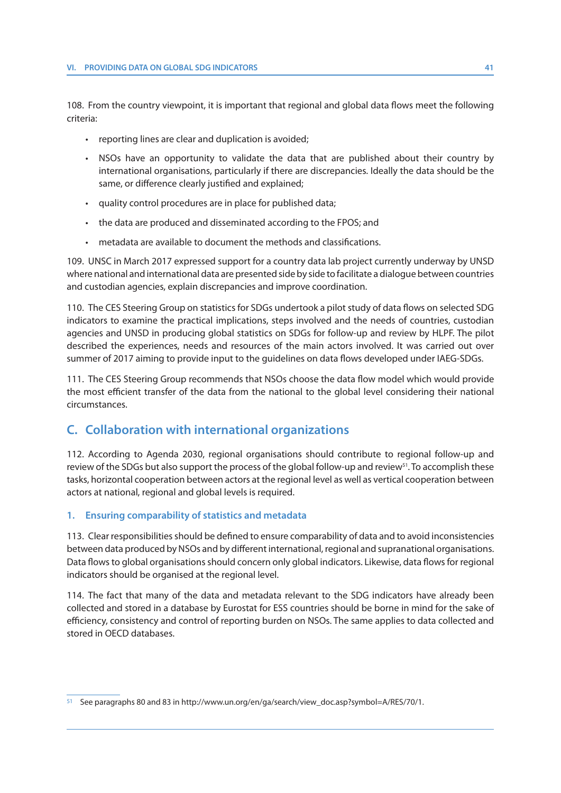108. From the country viewpoint, it is important that regional and global data flows meet the following criteria:

- reporting lines are clear and duplication is avoided;
- NSOs have an opportunity to validate the data that are published about their country by international organisations, particularly if there are discrepancies. Ideally the data should be the same, or difference clearly justified and explained;
- quality control procedures are in place for published data;
- the data are produced and disseminated according to the FPOS; and
- metadata are available to document the methods and classifications.

109. UNSC in March 2017 expressed support for a country data lab project currently underway by UNSD where national and international data are presented side by side to facilitate a dialogue between countries and custodian agencies, explain discrepancies and improve coordination.

110. The CES Steering Group on statistics for SDGs undertook a pilot study of data flows on selected SDG indicators to examine the practical implications, steps involved and the needs of countries, custodian agencies and UNSD in producing global statistics on SDGs for follow-up and review by HLPF. The pilot described the experiences, needs and resources of the main actors involved. It was carried out over summer of 2017 aiming to provide input to the guidelines on data flows developed under IAEG-SDGs.

111. The CES Steering Group recommends that NSOs choose the data flow model which would provide the most efficient transfer of the data from the national to the global level considering their national circumstances.

# **C. Collaboration with international organizations**

112. According to Agenda 2030, regional organisations should contribute to regional follow-up and review of the SDGs but also support the process of the global follow-up and review<sup>51</sup>. To accomplish these tasks, horizontal cooperation between actors at the regional level as well as vertical cooperation between actors at national, regional and global levels is required.

## **1. Ensuring comparability of statistics and metadata**

113. Clear responsibilities should be defined to ensure comparability of data and to avoid inconsistencies between data produced by NSOs and by different international, regional and supranational organisations. Data flows to global organisations should concern only global indicators. Likewise, data flows for regional indicators should be organised at the regional level.

114. The fact that many of the data and metadata relevant to the SDG indicators have already been collected and stored in a database by Eurostat for ESS countries should be borne in mind for the sake of efficiency, consistency and control of reporting burden on NSOs. The same applies to data collected and stored in OECD databases.

<sup>51</sup> See paragraphs 80 and 83 in http://www.un.org/en/ga/search/view\_doc.asp?symbol=A/RES/70/1.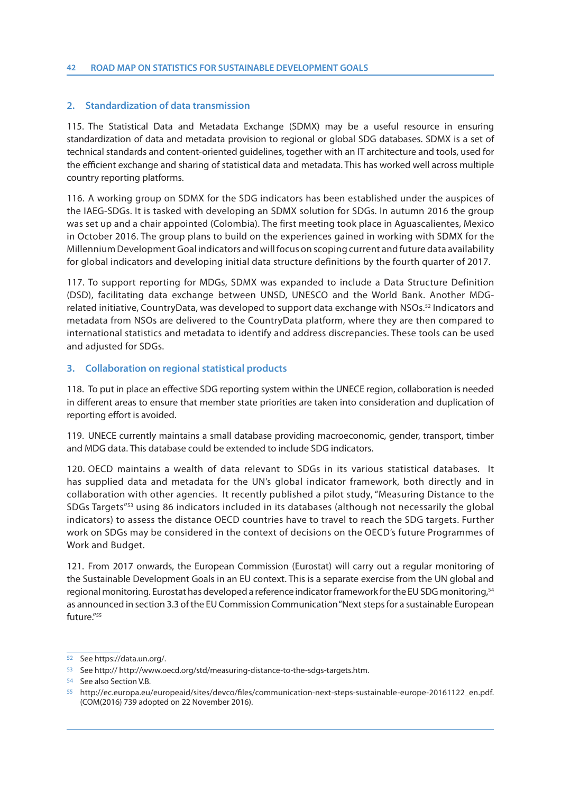## **2. Standardization of data transmission**

115. The Statistical Data and Metadata Exchange (SDMX) may be a useful resource in ensuring standardization of data and metadata provision to regional or global SDG databases. SDMX is a set of technical standards and content-oriented guidelines, together with an IT architecture and tools, used for the efficient exchange and sharing of statistical data and metadata. This has worked well across multiple country reporting platforms.

116. A working group on SDMX for the SDG indicators has been established under the auspices of the IAEG-SDGs. It is tasked with developing an SDMX solution for SDGs. In autumn 2016 the group was set up and a chair appointed (Colombia). The first meeting took place in Aguascalientes, Mexico in October 2016. The group plans to build on the experiences gained in working with SDMX for the Millennium Development Goal indicators and will focus on scoping current and future data availability for global indicators and developing initial data structure definitions by the fourth quarter of 2017.

117. To support reporting for MDGs, SDMX was expanded to include a Data Structure Definition (DSD), facilitating data exchange between UNSD, UNESCO and the World Bank. Another MDGrelated initiative, CountryData, was developed to support data exchange with NSOs.<sup>52</sup> Indicators and metadata from NSOs are delivered to the CountryData platform, where they are then compared to international statistics and metadata to identify and address discrepancies. These tools can be used and adjusted for SDGs.

## **3. Collaboration on regional statistical products**

118. To put in place an effective SDG reporting system within the UNECE region, collaboration is needed in different areas to ensure that member state priorities are taken into consideration and duplication of reporting effort is avoided.

119. UNECE currently maintains a small database providing macroeconomic, gender, transport, timber and MDG data. This database could be extended to include SDG indicators.

120. OECD maintains a wealth of data relevant to SDGs in its various statistical databases. It has supplied data and metadata for the UN's global indicator framework, both directly and in collaboration with other agencies. It recently published a pilot study, "Measuring Distance to the SDGs Targets"53 using 86 indicators included in its databases (although not necessarily the global indicators) to assess the distance OECD countries have to travel to reach the SDG targets. Further work on SDGs may be considered in the context of decisions on the OECD's future Programmes of Work and Budget.

121. From 2017 onwards, the European Commission (Eurostat) will carry out a regular monitoring of the Sustainable Development Goals in an EU context. This is a separate exercise from the UN global and regional monitoring. Eurostat has developed a reference indicator framework for the EU SDG monitoring,<sup>54</sup> as announced in section 3.3 of the EU Commission Communication "Next steps for a sustainable European  $f$ uture<sup>"55</sup>

<sup>52</sup> See https://data.un.org/.

<sup>53</sup> See http:// http://www.oecd.org/std/measuring-distance-to-the-sdgs-targets.htm.

<sup>54</sup> See also Section V.B.

<sup>55</sup> http://ec.europa.eu/europeaid/sites/devco/files/communication-next-steps-sustainable-europe-20161122\_en.pdf. (COM(2016) 739 adopted on 22 November 2016).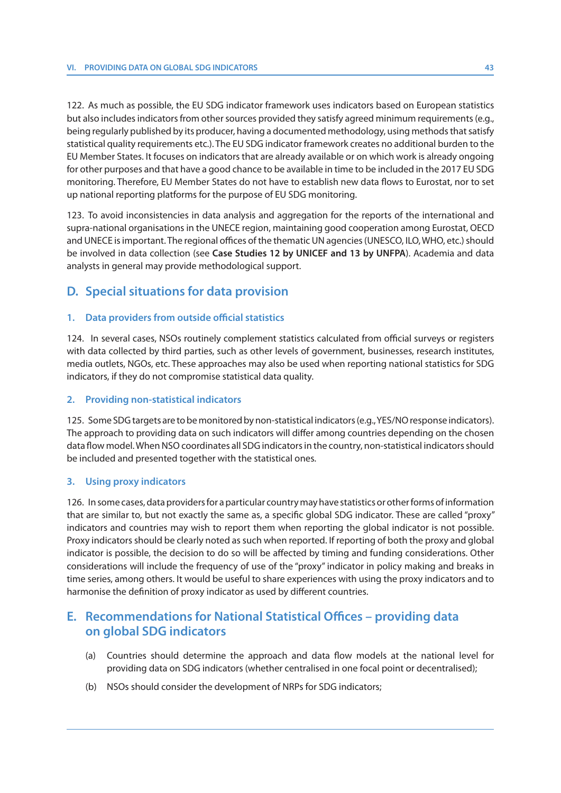122. As much as possible, the EU SDG indicator framework uses indicators based on European statistics but also includes indicators from other sources provided they satisfy agreed minimum requirements (e.g., being regularly published by its producer, having a documented methodology, using methods that satisfy statistical quality requirements etc.). The EU SDG indicator framework creates no additional burden to the EU Member States. It focuses on indicators that are already available or on which work is already ongoing for other purposes and that have a good chance to be available in time to be included in the 2017 EU SDG monitoring. Therefore, EU Member States do not have to establish new data flows to Eurostat, nor to set up national reporting platforms for the purpose of EU SDG monitoring.

123. To avoid inconsistencies in data analysis and aggregation for the reports of the international and supra-national organisations in the UNECE region, maintaining good cooperation among Eurostat, OECD and UNECE is important. The regional offices of the thematic UN agencies (UNESCO, ILO, WHO, etc.) should be involved in data collection (see **Case Studies 12 by UNICEF and 13 by UNFPA**). Academia and data analysts in general may provide methodological support.

# **D. Special situations for data provision**

## **1. Data providers from outside official statistics**

124. In several cases, NSOs routinely complement statistics calculated from official surveys or registers with data collected by third parties, such as other levels of government, businesses, research institutes, media outlets, NGOs, etc. These approaches may also be used when reporting national statistics for SDG indicators, if they do not compromise statistical data quality.

## **2. Providing non-statistical indicators**

125. Some SDG targets are to be monitored by non-statistical indicators (e.g., YES/NO response indicators). The approach to providing data on such indicators will differ among countries depending on the chosen data flow model. When NSO coordinates all SDG indicators in the country, non-statistical indicators should be included and presented together with the statistical ones.

## **3. Using proxy indicators**

126. In some cases, data providers for a particular country may have statistics or other forms of information that are similar to, but not exactly the same as, a specific global SDG indicator. These are called "proxy" indicators and countries may wish to report them when reporting the global indicator is not possible. Proxy indicators should be clearly noted as such when reported. If reporting of both the proxy and global indicator is possible, the decision to do so will be affected by timing and funding considerations. Other considerations will include the frequency of use of the "proxy" indicator in policy making and breaks in time series, among others. It would be useful to share experiences with using the proxy indicators and to harmonise the definition of proxy indicator as used by different countries.

# **E. Recommendations for National Statistical Offices – providing data on global SDG indicators**

- (a) Countries should determine the approach and data flow models at the national level for providing data on SDG indicators (whether centralised in one focal point or decentralised);
- (b) NSOs should consider the development of NRPs for SDG indicators;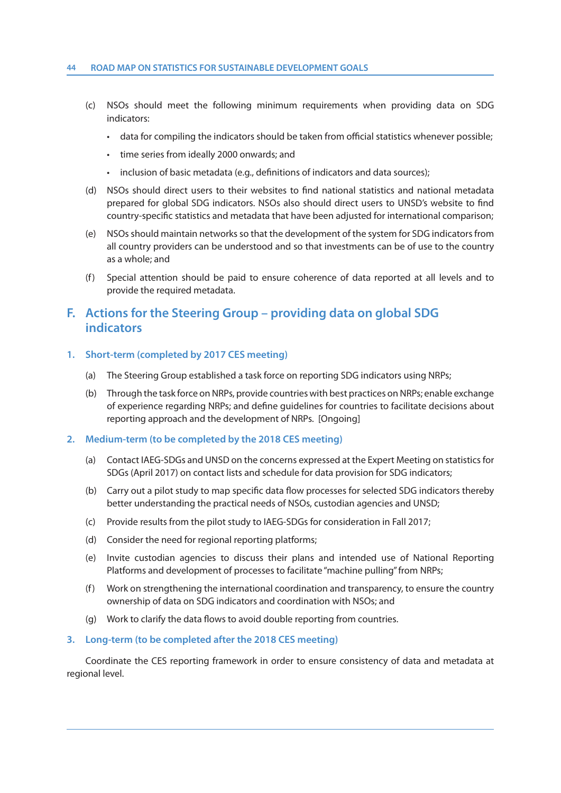#### **44 ROAD MAP ON STATISTICS FOR SUSTAINABLE DEVELOPMENT GOALS**

- (c) NSOs should meet the following minimum requirements when providing data on SDG indicators:
	- data for compiling the indicators should be taken from official statistics whenever possible;
	- time series from ideally 2000 onwards; and
	- inclusion of basic metadata (e.g., definitions of indicators and data sources);
- (d) NSOs should direct users to their websites to find national statistics and national metadata prepared for global SDG indicators. NSOs also should direct users to UNSD's website to find country-specific statistics and metadata that have been adjusted for international comparison;
- (e) NSOs should maintain networks so that the development of the system for SDG indicators from all country providers can be understood and so that investments can be of use to the country as a whole; and
- (f) Special attention should be paid to ensure coherence of data reported at all levels and to provide the required metadata.

# **F. Actions for the Steering Group – providing data on global SDG indicators**

## **1. Short-term (completed by 2017 CES meeting)**

- (a) The Steering Group established a task force on reporting SDG indicators using NRPs;
- (b) Through the task force on NRPs, provide countries with best practices on NRPs; enable exchange of experience regarding NRPs; and define guidelines for countries to facilitate decisions about reporting approach and the development of NRPs. [Ongoing]

## **2. Medium-term (to be completed by the 2018 CES meeting)**

- (a) Contact IAEG-SDGs and UNSD on the concerns expressed at the Expert Meeting on statistics for SDGs (April 2017) on contact lists and schedule for data provision for SDG indicators;
- (b) Carry out a pilot study to map specific data flow processes for selected SDG indicators thereby better understanding the practical needs of NSOs, custodian agencies and UNSD;
- (c) Provide results from the pilot study to IAEG-SDGs for consideration in Fall 2017;
- (d) Consider the need for regional reporting platforms;
- (e) Invite custodian agencies to discuss their plans and intended use of National Reporting Platforms and development of processes to facilitate "machine pulling" from NRPs;
- (f) Work on strengthening the international coordination and transparency, to ensure the country ownership of data on SDG indicators and coordination with NSOs; and
- (g) Work to clarify the data flows to avoid double reporting from countries.

#### **3. Long-term (to be completed after the 2018 CES meeting)**

 Coordinate the CES reporting framework in order to ensure consistency of data and metadata at regional level.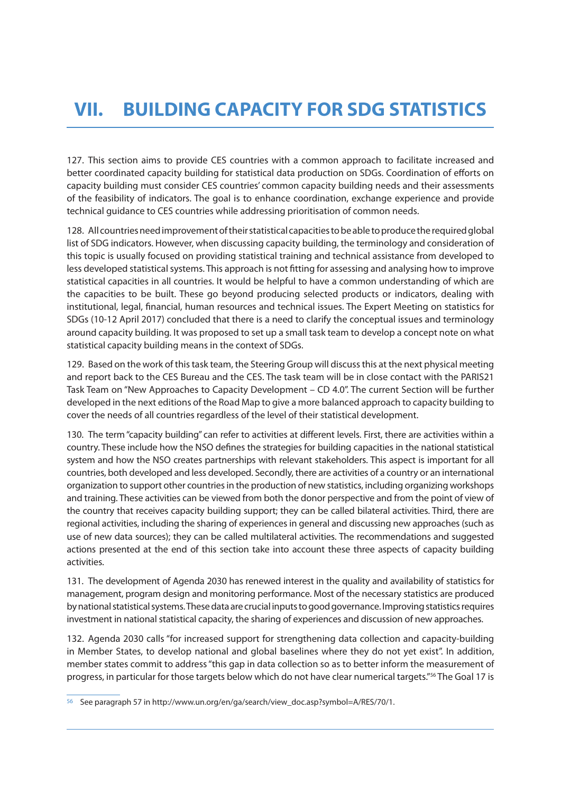127. This section aims to provide CES countries with a common approach to facilitate increased and better coordinated capacity building for statistical data production on SDGs. Coordination of efforts on capacity building must consider CES countries' common capacity building needs and their assessments of the feasibility of indicators. The goal is to enhance coordination, exchange experience and provide technical guidance to CES countries while addressing prioritisation of common needs.

128. All countries need improvement of their statistical capacities to be able to produce the required global list of SDG indicators. However, when discussing capacity building, the terminology and consideration of this topic is usually focused on providing statistical training and technical assistance from developed to less developed statistical systems. This approach is not fitting for assessing and analysing how to improve statistical capacities in all countries. It would be helpful to have a common understanding of which are the capacities to be built. These go beyond producing selected products or indicators, dealing with institutional, legal, financial, human resources and technical issues. The Expert Meeting on statistics for SDGs (10-12 April 2017) concluded that there is a need to clarify the conceptual issues and terminology around capacity building. It was proposed to set up a small task team to develop a concept note on what statistical capacity building means in the context of SDGs.

129. Based on the work of this task team, the Steering Group will discuss this at the next physical meeting and report back to the CES Bureau and the CES. The task team will be in close contact with the PARIS21 Task Team on "New Approaches to Capacity Development – CD 4.0". The current Section will be further developed in the next editions of the Road Map to give a more balanced approach to capacity building to cover the needs of all countries regardless of the level of their statistical development.

130. The term "capacity building" can refer to activities at different levels. First, there are activities within a country. These include how the NSO defines the strategies for building capacities in the national statistical system and how the NSO creates partnerships with relevant stakeholders. This aspect is important for all countries, both developed and less developed. Secondly, there are activities of a country or an international organization to support other countries in the production of new statistics, including organizing workshops and training. These activities can be viewed from both the donor perspective and from the point of view of the country that receives capacity building support; they can be called bilateral activities. Third, there are regional activities, including the sharing of experiences in general and discussing new approaches (such as use of new data sources); they can be called multilateral activities. The recommendations and suggested actions presented at the end of this section take into account these three aspects of capacity building activities.

131. The development of Agenda 2030 has renewed interest in the quality and availability of statistics for management, program design and monitoring performance. Most of the necessary statistics are produced by national statistical systems. These data are crucial inputs to good governance. Improving statistics requires investment in national statistical capacity, the sharing of experiences and discussion of new approaches.

132. Agenda 2030 calls "for increased support for strengthening data collection and capacity-building in Member States, to develop national and global baselines where they do not yet exist". In addition, member states commit to address "this gap in data collection so as to better inform the measurement of progress, in particular for those targets below which do not have clear numerical targets."56 The Goal 17 is

<sup>56</sup> See paragraph 57 in http://www.un.org/en/ga/search/view\_doc.asp?symbol=A/RES/70/1.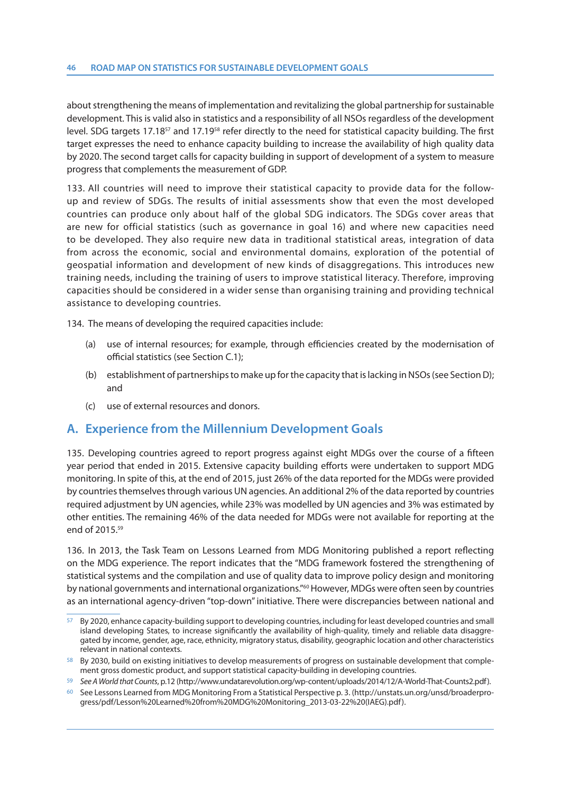about strengthening the means of implementation and revitalizing the global partnership for sustainable development. This is valid also in statistics and a responsibility of all NSOs regardless of the development level. SDG targets 17.1857 and 17.1958 refer directly to the need for statistical capacity building. The first target expresses the need to enhance capacity building to increase the availability of high quality data by 2020. The second target calls for capacity building in support of development of a system to measure progress that complements the measurement of GDP.

133. All countries will need to improve their statistical capacity to provide data for the followup and review of SDGs. The results of initial assessments show that even the most developed countries can produce only about half of the global SDG indicators. The SDGs cover areas that are new for official statistics (such as governance in goal 16) and where new capacities need to be developed. They also require new data in traditional statistical areas, integration of data from across the economic, social and environmental domains, exploration of the potential of geospatial information and development of new kinds of disaggregations. This introduces new training needs, including the training of users to improve statistical literacy. Therefore, improving capacities should be considered in a wider sense than organising training and providing technical assistance to developing countries.

134. The means of developing the required capacities include:

- (a) use of internal resources; for example, through efficiencies created by the modernisation of official statistics (see Section C.1);
- (b) establishment of partnerships to make up for the capacity that is lacking in NSOs (see Section D); and
- (c) use of external resources and donors.

# **A. Experience from the Millennium Development Goals**

135. Developing countries agreed to report progress against eight MDGs over the course of a fifteen year period that ended in 2015. Extensive capacity building efforts were undertaken to support MDG monitoring. In spite of this, at the end of 2015, just 26% of the data reported for the MDGs were provided by countries themselves through various UN agencies. An additional 2% of the data reported by countries required adjustment by UN agencies, while 23% was modelled by UN agencies and 3% was estimated by other entities. The remaining 46% of the data needed for MDGs were not available for reporting at the end of 2015.59

136. In 2013, the Task Team on Lessons Learned from MDG Monitoring published a report reflecting on the MDG experience. The report indicates that the "MDG framework fostered the strengthening of statistical systems and the compilation and use of quality data to improve policy design and monitoring by national governments and international organizations."60 However, MDGs were often seen by countries as an international agency-driven "top-down" initiative. There were discrepancies between national and

<sup>57</sup> By 2020, enhance capacity-building support to developing countries, including for least developed countries and small island developing States, to increase significantly the availability of high-quality, timely and reliable data disaggregated by income, gender, age, race, ethnicity, migratory status, disability, geographic location and other characteristics relevant in national contexts.

<sup>58</sup> By 2030, build on existing initiatives to develop measurements of progress on sustainable development that complement gross domestic product, and support statistical capacity-building in developing countries.

<sup>59</sup> See A World that Counts, p.12 (http://www.undatarevolution.org/wp-content/uploads/2014/12/A-World-That-Counts2.pdf).

<sup>60</sup> See Lessons Learned from MDG Monitoring From a Statistical Perspective p. 3. (http://unstats.un.org/unsd/broaderprogress/pdf/Lesson%20Learned%20from%20MDG%20Monitoring\_2013-03-22%20(IAEG).pdf).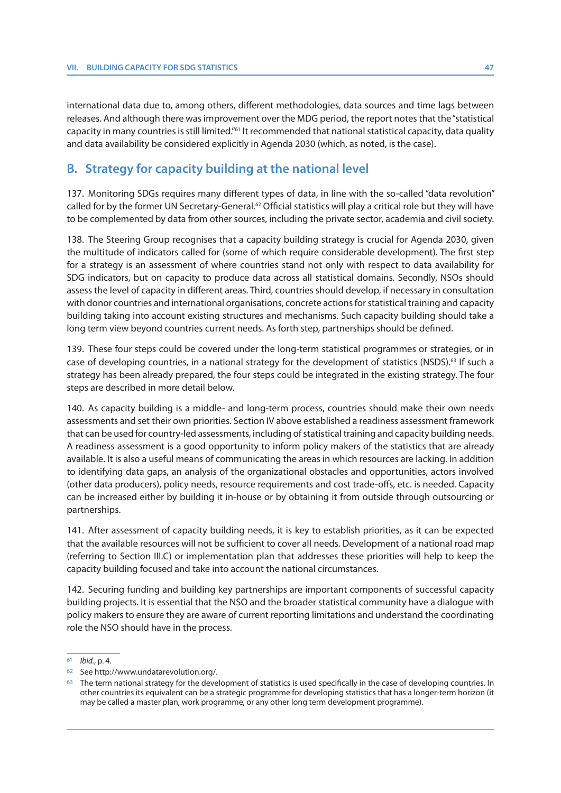international data due to, among others, different methodologies, data sources and time lags between releases. And although there was improvement over the MDG period, the report notes that the "statistical capacity in many countries is still limited."61 It recommended that national statistical capacity, data quality and data availability be considered explicitly in Agenda 2030 (which, as noted, is the case).

## **B. Strategy for capacity building at the national level**

137. Monitoring SDGs requires many different types of data, in line with the so-called "data revolution" called for by the former UN Secretary-General.<sup>62</sup> Official statistics will play a critical role but they will have to be complemented by data from other sources, including the private sector, academia and civil society.

138. The Steering Group recognises that a capacity building strategy is crucial for Agenda 2030, given the multitude of indicators called for (some of which require considerable development). The first step for a strategy is an assessment of where countries stand not only with respect to data availability for SDG indicators, but on capacity to produce data across all statistical domains. Secondly, NSOs should assess the level of capacity in different areas. Third, countries should develop, if necessary in consultation with donor countries and international organisations, concrete actions for statistical training and capacity building taking into account existing structures and mechanisms. Such capacity building should take a long term view beyond countries current needs. As forth step, partnerships should be defined.

139. These four steps could be covered under the long-term statistical programmes or strategies, or in case of developing countries, in a national strategy for the development of statistics (NSDS).<sup>63</sup> If such a strategy has been already prepared, the four steps could be integrated in the existing strategy. The four steps are described in more detail below.

140. As capacity building is a middle- and long-term process, countries should make their own needs assessments and set their own priorities. Section IV above established a readiness assessment framework that can be used for country-led assessments, including of statistical training and capacity building needs. A readiness assessment is a good opportunity to inform policy makers of the statistics that are already available. It is also a useful means of communicating the areas in which resources are lacking. In addition to identifying data gaps, an analysis of the organizational obstacles and opportunities, actors involved (other data producers), policy needs, resource requirements and cost trade-offs, etc. is needed. Capacity can be increased either by building it in-house or by obtaining it from outside through outsourcing or partnerships.

141. After assessment of capacity building needs, it is key to establish priorities, as it can be expected that the available resources will not be sufficient to cover all needs. Development of a national road map (referring to Section III.C) or implementation plan that addresses these priorities will help to keep the capacity building focused and take into account the national circumstances.

142. Securing funding and building key partnerships are important components of successful capacity building projects. It is essential that the NSO and the broader statistical community have a dialogue with policy makers to ensure they are aware of current reporting limitations and understand the coordinating role the NSO should have in the process.

<sup>61</sup> Ibid., p. 4.

<sup>62</sup> See http://www.undatarevolution.org/.

<sup>63</sup> The term national strategy for the development of statistics is used specifically in the case of developing countries. In other countries its equivalent can be a strategic programme for developing statistics that has a longer-term horizon (it may be called a master plan, work programme, or any other long term development programme).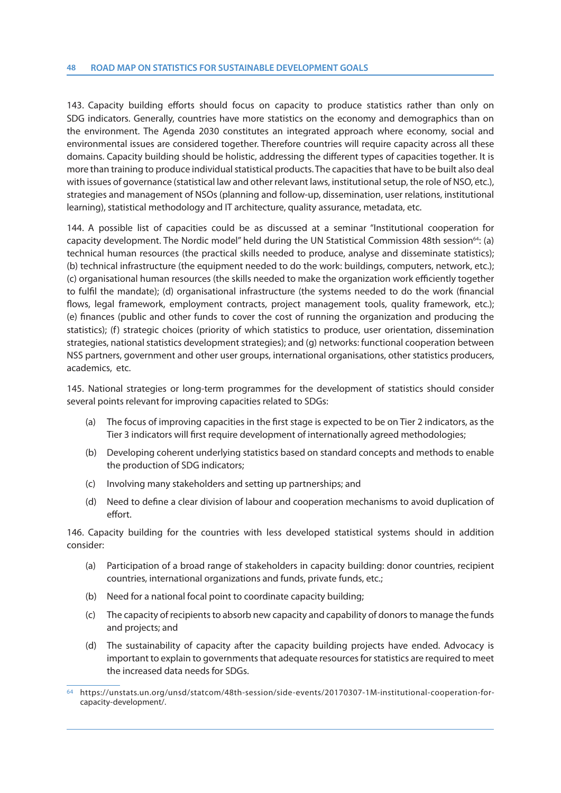143. Capacity building efforts should focus on capacity to produce statistics rather than only on SDG indicators. Generally, countries have more statistics on the economy and demographics than on the environment. The Agenda 2030 constitutes an integrated approach where economy, social and environmental issues are considered together. Therefore countries will require capacity across all these domains. Capacity building should be holistic, addressing the different types of capacities together. It is more than training to produce individual statistical products. The capacities that have to be built also deal with issues of governance (statistical law and other relevant laws, institutional setup, the role of NSO, etc.), strategies and management of NSOs (planning and follow-up, dissemination, user relations, institutional learning), statistical methodology and IT architecture, quality assurance, metadata, etc.

144. A possible list of capacities could be as discussed at a seminar "Institutional cooperation for capacity development. The Nordic model" held during the UN Statistical Commission 48th session<sup>64</sup>: (a) technical human resources (the practical skills needed to produce, analyse and disseminate statistics); (b) technical infrastructure (the equipment needed to do the work: buildings, computers, network, etc.); (c) organisational human resources (the skills needed to make the organization work efficiently together to fulfil the mandate); (d) organisational infrastructure (the systems needed to do the work (financial flows, legal framework, employment contracts, project management tools, quality framework, etc.); (e) finances (public and other funds to cover the cost of running the organization and producing the statistics); (f) strategic choices (priority of which statistics to produce, user orientation, dissemination strategies, national statistics development strategies); and (g) networks: functional cooperation between NSS partners, government and other user groups, international organisations, other statistics producers, academics, etc.

145. National strategies or long-term programmes for the development of statistics should consider several points relevant for improving capacities related to SDGs:

- (a) The focus of improving capacities in the first stage is expected to be on Tier 2 indicators, as the Tier 3 indicators will first require development of internationally agreed methodologies;
- (b) Developing coherent underlying statistics based on standard concepts and methods to enable the production of SDG indicators;
- (c) Involving many stakeholders and setting up partnerships; and
- (d) Need to define a clear division of labour and cooperation mechanisms to avoid duplication of effort.

146. Capacity building for the countries with less developed statistical systems should in addition consider:

- (a) Participation of a broad range of stakeholders in capacity building: donor countries, recipient countries, international organizations and funds, private funds, etc.;
- (b) Need for a national focal point to coordinate capacity building;
- (c) The capacity of recipients to absorb new capacity and capability of donors to manage the funds and projects; and
- (d) The sustainability of capacity after the capacity building projects have ended. Advocacy is important to explain to governments that adequate resources for statistics are required to meet the increased data needs for SDGs.

<sup>64</sup> https://unstats.un.org/unsd/statcom/48th-session/side-events/20170307-1M-institutional-cooperation-forcapacity-development/.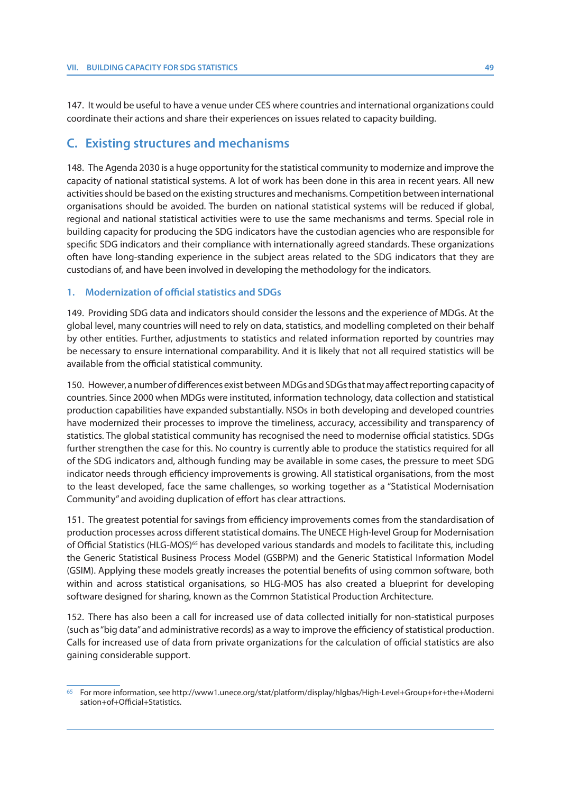147. It would be useful to have a venue under CES where countries and international organizations could coordinate their actions and share their experiences on issues related to capacity building.

## **C. Existing structures and mechanisms**

148. The Agenda 2030 is a huge opportunity for the statistical community to modernize and improve the capacity of national statistical systems. A lot of work has been done in this area in recent years. All new activities should be based on the existing structures and mechanisms. Competition between international organisations should be avoided. The burden on national statistical systems will be reduced if global, regional and national statistical activities were to use the same mechanisms and terms. Special role in building capacity for producing the SDG indicators have the custodian agencies who are responsible for specific SDG indicators and their compliance with internationally agreed standards. These organizations often have long-standing experience in the subject areas related to the SDG indicators that they are custodians of, and have been involved in developing the methodology for the indicators.

## **1. Modernization of official statistics and SDGs**

149. Providing SDG data and indicators should consider the lessons and the experience of MDGs. At the global level, many countries will need to rely on data, statistics, and modelling completed on their behalf by other entities. Further, adjustments to statistics and related information reported by countries may be necessary to ensure international comparability. And it is likely that not all required statistics will be available from the official statistical community.

150. However, a number of differences exist between MDGs and SDGs that may affect reporting capacity of countries. Since 2000 when MDGs were instituted, information technology, data collection and statistical production capabilities have expanded substantially. NSOs in both developing and developed countries have modernized their processes to improve the timeliness, accuracy, accessibility and transparency of statistics. The global statistical community has recognised the need to modernise official statistics. SDGs further strengthen the case for this. No country is currently able to produce the statistics required for all of the SDG indicators and, although funding may be available in some cases, the pressure to meet SDG indicator needs through efficiency improvements is growing. All statistical organisations, from the most to the least developed, face the same challenges, so working together as a "Statistical Modernisation Community" and avoiding duplication of effort has clear attractions.

151. The greatest potential for savings from efficiency improvements comes from the standardisation of production processes across different statistical domains. The UNECE High-level Group for Modernisation of Official Statistics (HLG-MOS)<sup>65</sup> has developed various standards and models to facilitate this, including the Generic Statistical Business Process Model (GSBPM) and the Generic Statistical Information Model (GSIM). Applying these models greatly increases the potential benefits of using common software, both within and across statistical organisations, so HLG-MOS has also created a blueprint for developing software designed for sharing, known as the Common Statistical Production Architecture.

152. There has also been a call for increased use of data collected initially for non-statistical purposes (such as "big data" and administrative records) as a way to improve the efficiency of statistical production. Calls for increased use of data from private organizations for the calculation of official statistics are also gaining considerable support.

<sup>65</sup> For more information, see http://www1.unece.org/stat/platform/display/hlgbas/High-Level+Group+for+the+Moderni sation+of+Official+Statistics.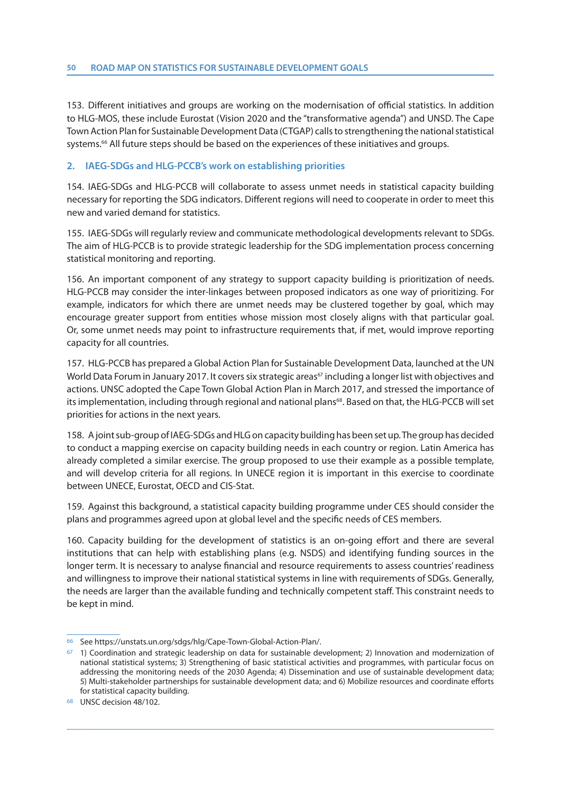153. Different initiatives and groups are working on the modernisation of official statistics. In addition to HLG-MOS, these include Eurostat (Vision 2020 and the "transformative agenda") and UNSD. The Cape Town Action Plan for Sustainable Development Data (CTGAP) calls to strengthening the national statistical systems.<sup>66</sup> All future steps should be based on the experiences of these initiatives and groups.

## **2. IAEG-SDGs and HLG-PCCB's work on establishing priorities**

154. IAEG-SDGs and HLG-PCCB will collaborate to assess unmet needs in statistical capacity building necessary for reporting the SDG indicators. Different regions will need to cooperate in order to meet this new and varied demand for statistics.

155. IAEG-SDGs will regularly review and communicate methodological developments relevant to SDGs. The aim of HLG-PCCB is to provide strategic leadership for the SDG implementation process concerning statistical monitoring and reporting.

156. An important component of any strategy to support capacity building is prioritization of needs. HLG-PCCB may consider the inter-linkages between proposed indicators as one way of prioritizing. For example, indicators for which there are unmet needs may be clustered together by goal, which may encourage greater support from entities whose mission most closely aligns with that particular goal. Or, some unmet needs may point to infrastructure requirements that, if met, would improve reporting capacity for all countries.

157. HLG-PCCB has prepared a Global Action Plan for Sustainable Development Data, launched at the UN World Data Forum in January 2017. It covers six strategic areas<sup>67</sup> including a longer list with objectives and actions. UNSC adopted the Cape Town Global Action Plan in March 2017, and stressed the importance of its implementation, including through regional and national plans<sup>68</sup>. Based on that, the HLG-PCCB will set priorities for actions in the next years.

158. A joint sub-group of IAEG-SDGs and HLG on capacity building has been set up. The group has decided to conduct a mapping exercise on capacity building needs in each country or region. Latin America has already completed a similar exercise. The group proposed to use their example as a possible template, and will develop criteria for all regions. In UNECE region it is important in this exercise to coordinate between UNECE, Eurostat, OECD and CIS-Stat.

159. Against this background, a statistical capacity building programme under CES should consider the plans and programmes agreed upon at global level and the specific needs of CES members.

160. Capacity building for the development of statistics is an on-going effort and there are several institutions that can help with establishing plans (e.g. NSDS) and identifying funding sources in the longer term. It is necessary to analyse financial and resource requirements to assess countries' readiness and willingness to improve their national statistical systems in line with requirements of SDGs. Generally, the needs are larger than the available funding and technically competent staff. This constraint needs to be kept in mind.

<sup>66</sup> See https://unstats.un.org/sdgs/hlg/Cape-Town-Global-Action-Plan/.

<sup>67 1)</sup> Coordination and strategic leadership on data for sustainable development; 2) Innovation and modernization of national statistical systems; 3) Strengthening of basic statistical activities and programmes, with particular focus on addressing the monitoring needs of the 2030 Agenda; 4) Dissemination and use of sustainable development data; 5) Multi-stakeholder partnerships for sustainable development data; and 6) Mobilize resources and coordinate efforts for statistical capacity building.

<sup>68</sup> UNSC decision 48/102.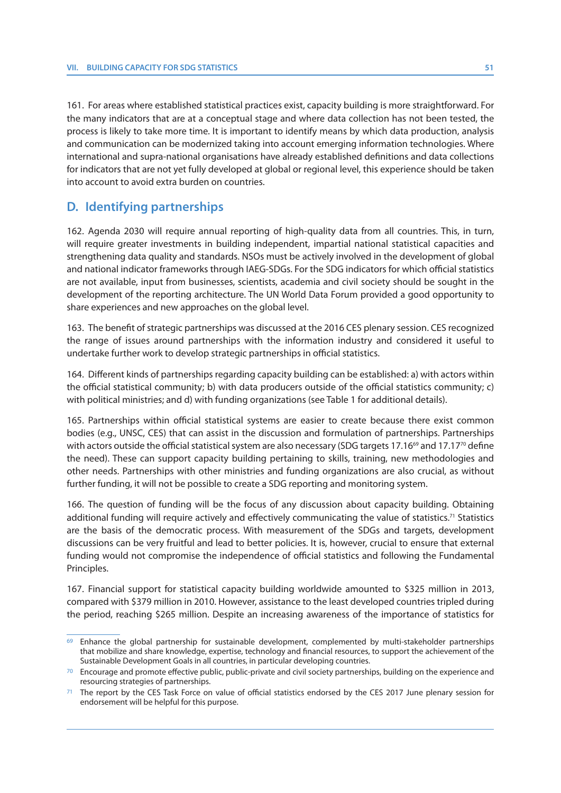161. For areas where established statistical practices exist, capacity building is more straightforward. For the many indicators that are at a conceptual stage and where data collection has not been tested, the process is likely to take more time. It is important to identify means by which data production, analysis and communication can be modernized taking into account emerging information technologies. Where international and supra-national organisations have already established definitions and data collections for indicators that are not yet fully developed at global or regional level, this experience should be taken into account to avoid extra burden on countries.

# **D. Identifying partnerships**

162. Agenda 2030 will require annual reporting of high-quality data from all countries. This, in turn, will require greater investments in building independent, impartial national statistical capacities and strengthening data quality and standards. NSOs must be actively involved in the development of global and national indicator frameworks through IAEG-SDGs. For the SDG indicators for which official statistics are not available, input from businesses, scientists, academia and civil society should be sought in the development of the reporting architecture. The UN World Data Forum provided a good opportunity to share experiences and new approaches on the global level.

163. The benefit of strategic partnerships was discussed at the 2016 CES plenary session. CES recognized the range of issues around partnerships with the information industry and considered it useful to undertake further work to develop strategic partnerships in official statistics.

164. Different kinds of partnerships regarding capacity building can be established: a) with actors within the official statistical community; b) with data producers outside of the official statistics community; c) with political ministries; and d) with funding organizations (see Table 1 for additional details).

165. Partnerships within official statistical systems are easier to create because there exist common bodies (e.g., UNSC, CES) that can assist in the discussion and formulation of partnerships. Partnerships with actors outside the official statistical system are also necessary (SDG targets 17.16<sup>69</sup> and 17.17<sup>70</sup> define the need). These can support capacity building pertaining to skills, training, new methodologies and other needs. Partnerships with other ministries and funding organizations are also crucial, as without further funding, it will not be possible to create a SDG reporting and monitoring system.

166. The question of funding will be the focus of any discussion about capacity building. Obtaining additional funding will require actively and effectively communicating the value of statistics.<sup>71</sup> Statistics are the basis of the democratic process. With measurement of the SDGs and targets, development discussions can be very fruitful and lead to better policies. It is, however, crucial to ensure that external funding would not compromise the independence of official statistics and following the Fundamental Principles.

167. Financial support for statistical capacity building worldwide amounted to \$325 million in 2013, compared with \$379 million in 2010. However, assistance to the least developed countries tripled during the period, reaching \$265 million. Despite an increasing awareness of the importance of statistics for

<sup>69</sup> Enhance the global partnership for sustainable development, complemented by multi-stakeholder partnerships that mobilize and share knowledge, expertise, technology and financial resources, to support the achievement of the Sustainable Development Goals in all countries, in particular developing countries.

<sup>70</sup> Encourage and promote effective public, public-private and civil society partnerships, building on the experience and resourcing strategies of partnerships.

The report by the CES Task Force on value of official statistics endorsed by the CES 2017 June plenary session for endorsement will be helpful for this purpose.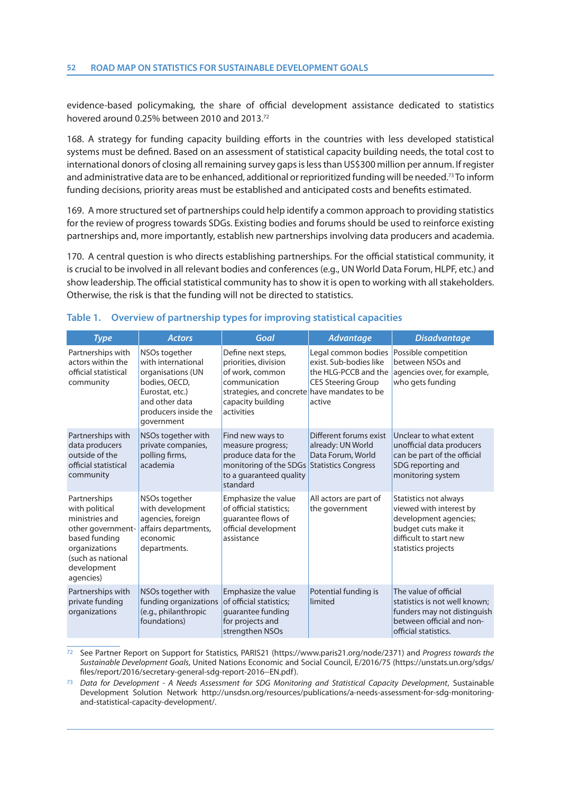evidence-based policymaking, the share of official development assistance dedicated to statistics hovered around 0.25% between 2010 and 2013.72

168. A strategy for funding capacity building efforts in the countries with less developed statistical systems must be defined. Based on an assessment of statistical capacity building needs, the total cost to international donors of closing all remaining survey gaps is less than US\$300 million per annum. If register and administrative data are to be enhanced, additional or reprioritized funding will be needed.73 To inform funding decisions, priority areas must be established and anticipated costs and benefits estimated.

169. A more structured set of partnerships could help identify a common approach to providing statistics for the review of progress towards SDGs. Existing bodies and forums should be used to reinforce existing partnerships and, more importantly, establish new partnerships involving data producers and academia.

170. A central question is who directs establishing partnerships. For the official statistical community, it is crucial to be involved in all relevant bodies and conferences (e.g., UN World Data Forum, HLPF, etc.) and show leadership. The official statistical community has to show it is open to working with all stakeholders. Otherwise, the risk is that the funding will not be directed to statistics.

| <b>Type</b>                                                                                                                                              | <b>Actors</b>                                                                                                                                                    | Goal                                                                                                                                                              | <b>Advantage</b>                                                                                             | <b>Disadvantage</b>                                                                                                                               |
|----------------------------------------------------------------------------------------------------------------------------------------------------------|------------------------------------------------------------------------------------------------------------------------------------------------------------------|-------------------------------------------------------------------------------------------------------------------------------------------------------------------|--------------------------------------------------------------------------------------------------------------|---------------------------------------------------------------------------------------------------------------------------------------------------|
| Partnerships with<br>actors within the<br>official statistical<br>community                                                                              | NSO <sub>s</sub> together<br>with international<br>organisations (UN<br>bodies, OECD,<br>Eurostat, etc.)<br>and other data<br>producers inside the<br>government | Define next steps,<br>priorities, division<br>of work, common<br>communication<br>strategies, and concrete have mandates to be<br>capacity building<br>activities | Legal common bodies<br>exist. Sub-bodies like<br>the HLG-PCCB and the<br><b>CES Steering Group</b><br>active | Possible competition<br>between NSOs and<br>agencies over, for example,<br>who gets funding                                                       |
| Partnerships with<br>data producers<br>outside of the<br>official statistical<br>community                                                               | NSOs together with<br>private companies,<br>polling firms,<br>academia                                                                                           | Find new ways to<br>measure progress;<br>produce data for the<br>monitoring of the SDGs<br>to a guaranteed quality<br>standard                                    | Different forums exist<br>already: UN World<br>Data Forum, World<br><b>Statistics Congress</b>               | Unclear to what extent<br>unofficial data producers<br>can be part of the official<br>SDG reporting and<br>monitoring system                      |
| Partnerships<br>with political<br>ministries and<br>other government-<br>based funding<br>organizations<br>(such as national<br>development<br>agencies) | NSOs together<br>with development<br>agencies, foreign<br>affairs departments,<br>economic<br>departments.                                                       | Emphasize the value<br>of official statistics;<br>quarantee flows of<br>official development<br>assistance                                                        | All actors are part of<br>the government                                                                     | Statistics not always<br>viewed with interest by<br>development agencies;<br>budget cuts make it<br>difficult to start new<br>statistics projects |
| Partnerships with<br>private funding<br>organizations                                                                                                    | NSOs together with<br>funding organizations<br>(e.g., philanthropic<br>foundations)                                                                              | Emphasize the value<br>of official statistics;<br>guarantee funding<br>for projects and<br>strengthen NSOs                                                        | Potential funding is<br>limited                                                                              | The value of official<br>statistics is not well known;<br>funders may not distinguish<br>between official and non-<br>official statistics.        |

#### **Table 1. Overview of partnership types for improving statistical capacities**

72 See Partner Report on Support for Statistics, PARIS21 (https://www.paris21.org/node/2371) and Progress towards the Sustainable Development Goals, United Nations Economic and Social Council, E/2016/75 (https://unstats.un.org/sdgs/ files/report/2016/secretary-general-sdg-report-2016--EN.pdf).

73 Data for Development - A Needs Assessment for SDG Monitoring and Statistical Capacity Development, Sustainable Development Solution Network http://unsdsn.org/resources/publications/a-needs-assessment-for-sdg-monitoringand-statistical-capacity-development/.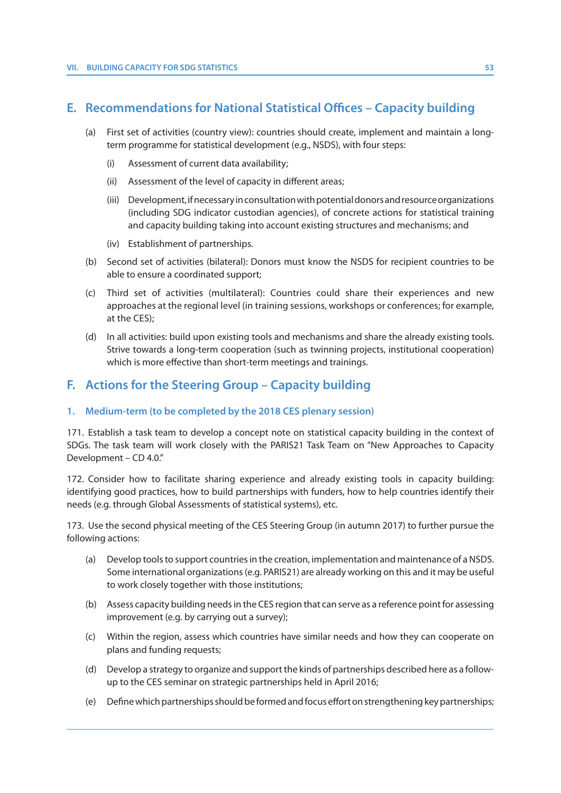# **E. Recommendations for National Statistical Offices – Capacity building**

- (a) First set of activities (country view): countries should create, implement and maintain a longterm programme for statistical development (e.g., NSDS), with four steps:
	- (i) Assessment of current data availability;
	- (ii) Assessment of the level of capacity in different areas;
	- (iii) Development, if necessary in consultation with potential donors and resource organizations (including SDG indicator custodian agencies), of concrete actions for statistical training and capacity building taking into account existing structures and mechanisms; and
	- (iv) Establishment of partnerships.
- (b) Second set of activities (bilateral): Donors must know the NSDS for recipient countries to be able to ensure a coordinated support;
- (c) Third set of activities (multilateral): Countries could share their experiences and new approaches at the regional level (in training sessions, workshops or conferences; for example, at the CES);
- (d) In all activities: build upon existing tools and mechanisms and share the already existing tools. Strive towards a long-term cooperation (such as twinning projects, institutional cooperation) which is more effective than short-term meetings and trainings.

## **F. Actions for the Steering Group – Capacity building**

## **1. Medium-term (to be completed by the 2018 CES plenary session)**

171. Establish a task team to develop a concept note on statistical capacity building in the context of SDGs. The task team will work closely with the PARIS21 Task Team on "New Approaches to Capacity Development – CD 4.0."

172. Consider how to facilitate sharing experience and already existing tools in capacity building: identifying good practices, how to build partnerships with funders, how to help countries identify their needs (e.g. through Global Assessments of statistical systems), etc.

173. Use the second physical meeting of the CES Steering Group (in autumn 2017) to further pursue the following actions:

- (a) Develop tools to support countries in the creation, implementation and maintenance of a NSDS. Some international organizations (e.g. PARIS21) are already working on this and it may be useful to work closely together with those institutions;
- (b) Assess capacity building needs in the CES region that can serve as a reference point for assessing improvement (e.g. by carrying out a survey);
- (c) Within the region, assess which countries have similar needs and how they can cooperate on plans and funding requests;
- (d) Develop a strategy to organize and support the kinds of partnerships described here as a followup to the CES seminar on strategic partnerships held in April 2016;
- (e) Define which partnerships should be formed and focus effort on strengthening key partnerships;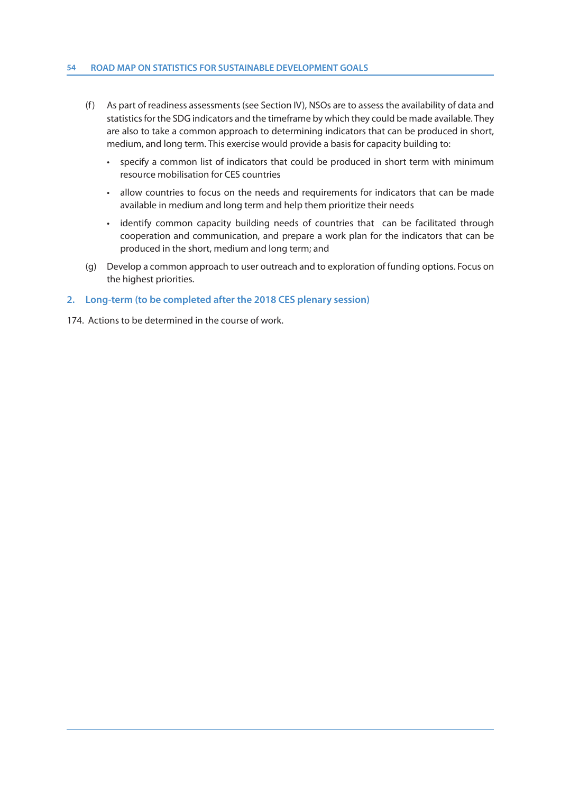#### **54 ROAD MAP ON STATISTICS FOR SUSTAINABLE DEVELOPMENT GOALS**

- (f) As part of readiness assessments (see Section IV), NSOs are to assess the availability of data and statistics for the SDG indicators and the timeframe by which they could be made available. They are also to take a common approach to determining indicators that can be produced in short, medium, and long term. This exercise would provide a basis for capacity building to:
	- specify a common list of indicators that could be produced in short term with minimum resource mobilisation for CES countries
	- allow countries to focus on the needs and requirements for indicators that can be made available in medium and long term and help them prioritize their needs
	- identify common capacity building needs of countries that can be facilitated through cooperation and communication, and prepare a work plan for the indicators that can be produced in the short, medium and long term; and
- (g) Develop a common approach to user outreach and to exploration of funding options. Focus on the highest priorities.

## **2. Long-term (to be completed after the 2018 CES plenary session)**

174. Actions to be determined in the course of work.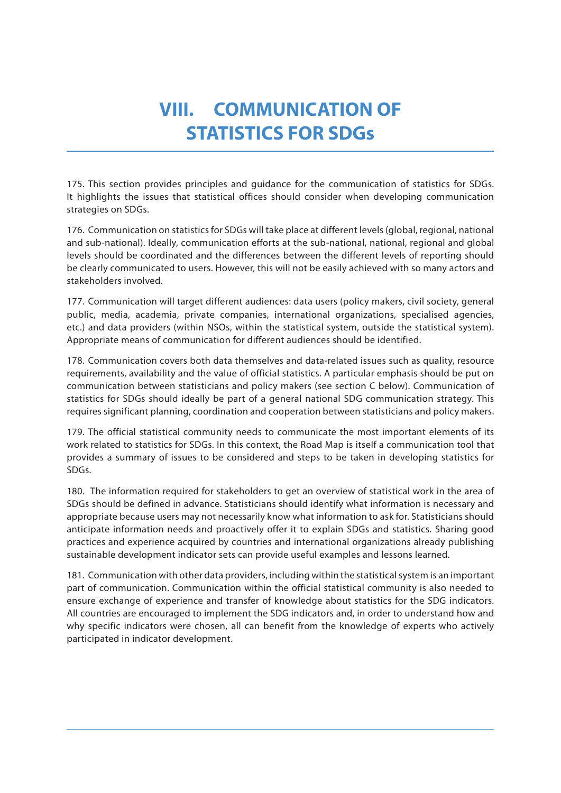# **VIII. COMMUNICATION OF STATISTICS FOR SDGs**

175. This section provides principles and guidance for the communication of statistics for SDGs. It highlights the issues that statistical offices should consider when developing communication strategies on SDGs.

176. Communication on statistics for SDGs will take place at different levels (global, regional, national and sub-national). Ideally, communication efforts at the sub-national, national, regional and global levels should be coordinated and the differences between the different levels of reporting should be clearly communicated to users. However, this will not be easily achieved with so many actors and stakeholders involved.

177. Communication will target different audiences: data users (policy makers, civil society, general public, media, academia, private companies, international organizations, specialised agencies, etc.) and data providers (within NSOs, within the statistical system, outside the statistical system). Appropriate means of communication for different audiences should be identified.

178. Communication covers both data themselves and data-related issues such as quality, resource requirements, availability and the value of official statistics. A particular emphasis should be put on communication between statisticians and policy makers (see section C below). Communication of statistics for SDGs should ideally be part of a general national SDG communication strategy. This requires significant planning, coordination and cooperation between statisticians and policy makers.

179. The official statistical community needs to communicate the most important elements of its work related to statistics for SDGs. In this context, the Road Map is itself a communication tool that provides a summary of issues to be considered and steps to be taken in developing statistics for SDGs.

180. The information required for stakeholders to get an overview of statistical work in the area of SDGs should be defined in advance. Statisticians should identify what information is necessary and appropriate because users may not necessarily know what information to ask for. Statisticians should anticipate information needs and proactively offer it to explain SDGs and statistics. Sharing good practices and experience acquired by countries and international organizations already publishing sustainable development indicator sets can provide useful examples and lessons learned.

181. Communication with other data providers, including within the statistical system is an important part of communication. Communication within the official statistical community is also needed to ensure exchange of experience and transfer of knowledge about statistics for the SDG indicators. All countries are encouraged to implement the SDG indicators and, in order to understand how and why specific indicators were chosen, all can benefit from the knowledge of experts who actively participated in indicator development.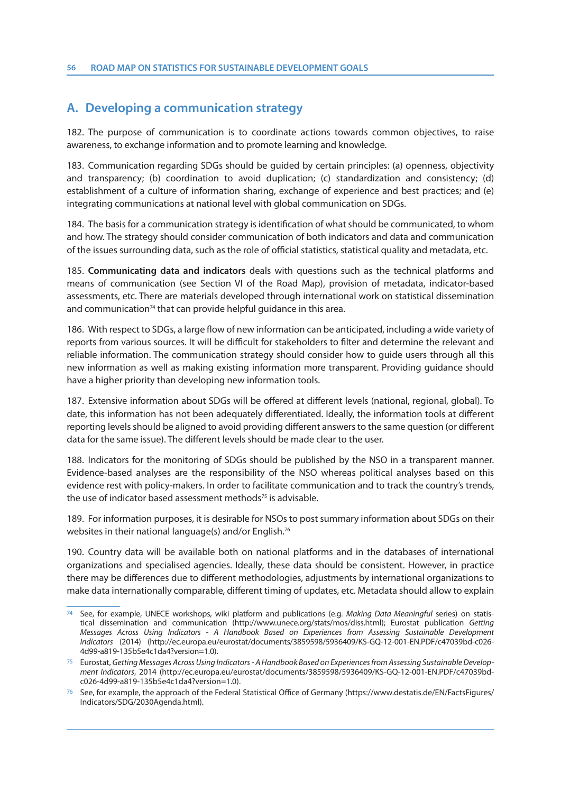## **A. Developing a communication strategy**

182. The purpose of communication is to coordinate actions towards common objectives, to raise awareness, to exchange information and to promote learning and knowledge.

183. Communication regarding SDGs should be guided by certain principles: (a) openness, objectivity and transparency; (b) coordination to avoid duplication; (c) standardization and consistency; (d) establishment of a culture of information sharing, exchange of experience and best practices; and (e) integrating communications at national level with global communication on SDGs.

184. The basis for a communication strategy is identification of what should be communicated, to whom and how. The strategy should consider communication of both indicators and data and communication of the issues surrounding data, such as the role of official statistics, statistical quality and metadata, etc.

185. **Communicating data and indicators** deals with questions such as the technical platforms and means of communication (see Section VI of the Road Map), provision of metadata, indicator-based assessments, etc. There are materials developed through international work on statistical dissemination and communication<sup>74</sup> that can provide helpful quidance in this area.

186. With respect to SDGs, a large flow of new information can be anticipated, including a wide variety of reports from various sources. It will be difficult for stakeholders to filter and determine the relevant and reliable information. The communication strategy should consider how to guide users through all this new information as well as making existing information more transparent. Providing guidance should have a higher priority than developing new information tools.

187. Extensive information about SDGs will be offered at different levels (national, regional, global). To date, this information has not been adequately differentiated. Ideally, the information tools at different reporting levels should be aligned to avoid providing different answers to the same question (or different data for the same issue). The different levels should be made clear to the user.

188. Indicators for the monitoring of SDGs should be published by the NSO in a transparent manner. Evidence-based analyses are the responsibility of the NSO whereas political analyses based on this evidence rest with policy-makers. In order to facilitate communication and to track the country's trends, the use of indicator based assessment methods<sup>75</sup> is advisable.

189. For information purposes, it is desirable for NSOs to post summary information about SDGs on their websites in their national language(s) and/or English.76

190. Country data will be available both on national platforms and in the databases of international organizations and specialised agencies. Ideally, these data should be consistent. However, in practice there may be differences due to different methodologies, adjustments by international organizations to make data internationally comparable, different timing of updates, etc. Metadata should allow to explain

See, for example, UNECE workshops, wiki platform and publications (e.g. Making Data Meaningful series) on statistical dissemination and communication (http://www.unece.org/stats/mos/diss.html); Eurostat publication Getting Messages Across Using Indicators - A Handbook Based on Experiences from Assessing Sustainable Development Indicators (2014) (http://ec.europa.eu/eurostat/documents/3859598/5936409/KS-GQ-12-001-EN.PDF/c47039bd-c026- 4d99-a819-135b5e4c1da4?version=1.0).

<sup>75</sup> Eurostat, Getting Messages Across Using Indicators- A Handbook Based on Experiences from Assessing Sustainable Development Indicators, 2014 (http://ec.europa.eu/eurostat/documents/3859598/5936409/KS-GQ-12-001-EN.PDF/c47039bdc026-4d99-a819-135b5e4c1da4?version=1.0).

<sup>76</sup> See, for example, the approach of the Federal Statistical Office of Germany (https://www.destatis.de/EN/FactsFigures/ Indicators/SDG/2030Agenda.html).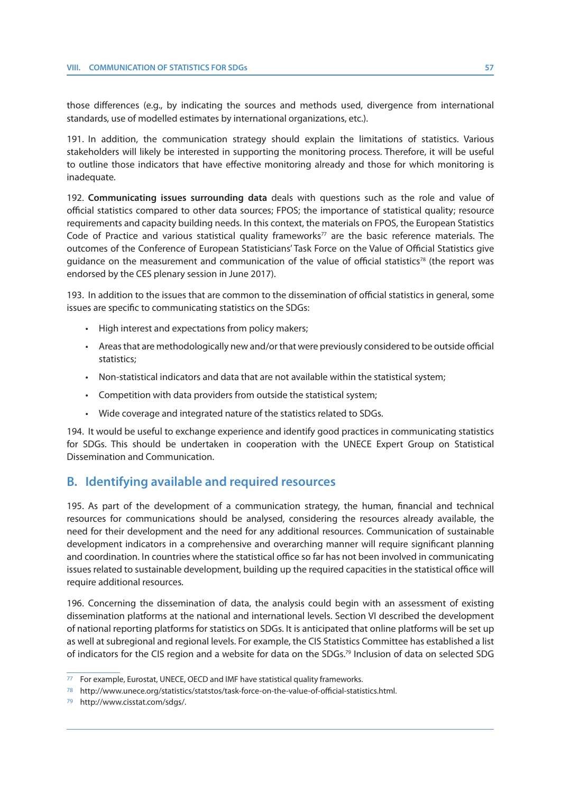those differences (e.g., by indicating the sources and methods used, divergence from international standards, use of modelled estimates by international organizations, etc.).

191. In addition, the communication strategy should explain the limitations of statistics. Various stakeholders will likely be interested in supporting the monitoring process. Therefore, it will be useful to outline those indicators that have effective monitoring already and those for which monitoring is inadequate.

192. **Communicating issues surrounding data** deals with questions such as the role and value of official statistics compared to other data sources; FPOS; the importance of statistical quality; resource requirements and capacity building needs. In this context, the materials on FPOS, the European Statistics Code of Practice and various statistical quality frameworks<sup>77</sup> are the basic reference materials. The outcomes of the Conference of European Statisticians' Task Force on the Value of Official Statistics give guidance on the measurement and communication of the value of official statistics<sup>78</sup> (the report was endorsed by the CES plenary session in June 2017).

193. In addition to the issues that are common to the dissemination of official statistics in general, some issues are specific to communicating statistics on the SDGs:

- High interest and expectations from policy makers;
- Areas that are methodologically new and/or that were previously considered to be outside official statistics;
- Non-statistical indicators and data that are not available within the statistical system;
- Competition with data providers from outside the statistical system;
- Wide coverage and integrated nature of the statistics related to SDGs.

194. It would be useful to exchange experience and identify good practices in communicating statistics for SDGs. This should be undertaken in cooperation with the UNECE Expert Group on Statistical Dissemination and Communication.

## **B. Identifying available and required resources**

195. As part of the development of a communication strategy, the human, financial and technical resources for communications should be analysed, considering the resources already available, the need for their development and the need for any additional resources. Communication of sustainable development indicators in a comprehensive and overarching manner will require significant planning and coordination. In countries where the statistical office so far has not been involved in communicating issues related to sustainable development, building up the required capacities in the statistical office will require additional resources.

196. Concerning the dissemination of data, the analysis could begin with an assessment of existing dissemination platforms at the national and international levels. Section VI described the development of national reporting platforms for statistics on SDGs. It is anticipated that online platforms will be set up as well at subregional and regional levels. For example, the CIS Statistics Committee has established a list of indicators for the CIS region and a website for data on the SDGs.79 Inclusion of data on selected SDG

<sup>77</sup> For example, Eurostat, UNECE, OECD and IMF have statistical quality frameworks.

<sup>78</sup> http://www.unece.org/statistics/statstos/task-force-on-the-value-of-official-statistics.html.

<sup>79</sup> http://www.cisstat.com/sdgs/.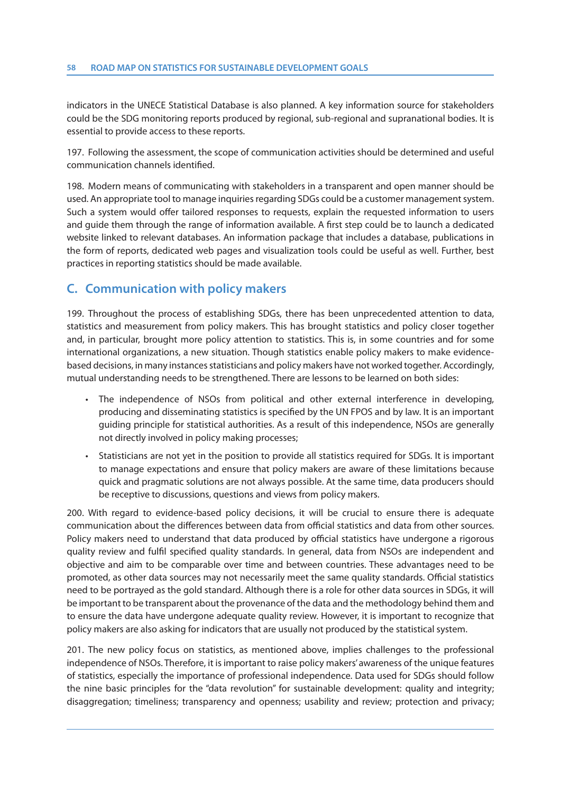indicators in the UNECE Statistical Database is also planned. A key information source for stakeholders could be the SDG monitoring reports produced by regional, sub-regional and supranational bodies. It is essential to provide access to these reports.

197. Following the assessment, the scope of communication activities should be determined and useful communication channels identified.

198. Modern means of communicating with stakeholders in a transparent and open manner should be used. An appropriate tool to manage inquiries regarding SDGs could be a customer management system. Such a system would offer tailored responses to requests, explain the requested information to users and guide them through the range of information available. A first step could be to launch a dedicated website linked to relevant databases. An information package that includes a database, publications in the form of reports, dedicated web pages and visualization tools could be useful as well. Further, best practices in reporting statistics should be made available.

# **C. Communication with policy makers**

199. Throughout the process of establishing SDGs, there has been unprecedented attention to data, statistics and measurement from policy makers. This has brought statistics and policy closer together and, in particular, brought more policy attention to statistics. This is, in some countries and for some international organizations, a new situation. Though statistics enable policy makers to make evidencebased decisions, in many instances statisticians and policy makers have not worked together. Accordingly, mutual understanding needs to be strengthened. There are lessons to be learned on both sides:

- The independence of NSOs from political and other external interference in developing, producing and disseminating statistics is specified by the UN FPOS and by law. It is an important guiding principle for statistical authorities. As a result of this independence, NSOs are generally not directly involved in policy making processes;
- Statisticians are not yet in the position to provide all statistics required for SDGs. It is important to manage expectations and ensure that policy makers are aware of these limitations because quick and pragmatic solutions are not always possible. At the same time, data producers should be receptive to discussions, questions and views from policy makers.

200. With regard to evidence-based policy decisions, it will be crucial to ensure there is adequate communication about the differences between data from official statistics and data from other sources. Policy makers need to understand that data produced by official statistics have undergone a rigorous quality review and fulfil specified quality standards. In general, data from NSOs are independent and objective and aim to be comparable over time and between countries. These advantages need to be promoted, as other data sources may not necessarily meet the same quality standards. Official statistics need to be portrayed as the gold standard. Although there is a role for other data sources in SDGs, it will be important to be transparent about the provenance of the data and the methodology behind them and to ensure the data have undergone adequate quality review. However, it is important to recognize that policy makers are also asking for indicators that are usually not produced by the statistical system.

201. The new policy focus on statistics, as mentioned above, implies challenges to the professional independence of NSOs. Therefore, it is important to raise policy makers' awareness of the unique features of statistics, especially the importance of professional independence. Data used for SDGs should follow the nine basic principles for the "data revolution" for sustainable development: quality and integrity; disaggregation; timeliness; transparency and openness; usability and review; protection and privacy;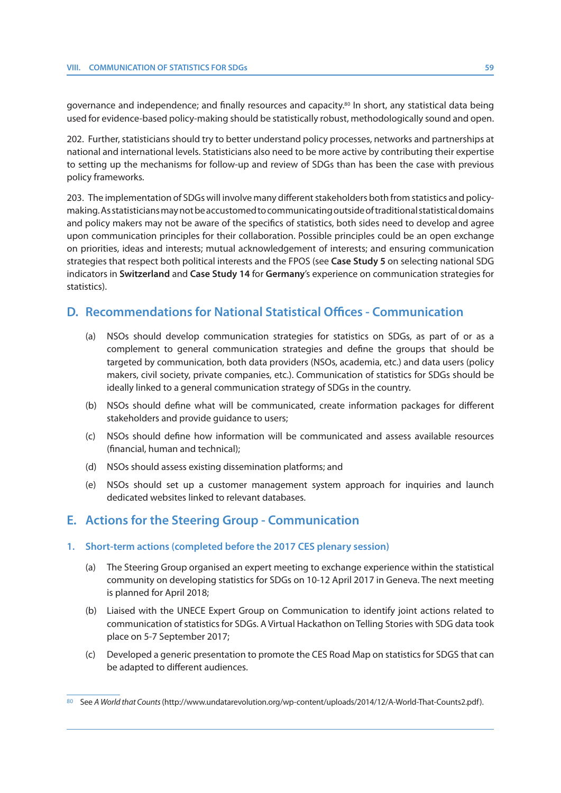governance and independence; and finally resources and capacity.<sup>80</sup> In short, any statistical data being used for evidence-based policy-making should be statistically robust, methodologically sound and open.

202. Further, statisticians should try to better understand policy processes, networks and partnerships at national and international levels. Statisticians also need to be more active by contributing their expertise to setting up the mechanisms for follow-up and review of SDGs than has been the case with previous policy frameworks.

203. The implementation of SDGs will involve many different stakeholders both from statistics and policymaking. As statisticians may not be accustomed to communicating outside of traditional statistical domains and policy makers may not be aware of the specifics of statistics, both sides need to develop and agree upon communication principles for their collaboration. Possible principles could be an open exchange on priorities, ideas and interests; mutual acknowledgement of interests; and ensuring communication strategies that respect both political interests and the FPOS (see **Case Study 5** on selecting national SDG indicators in **Switzerland** and **Case Study 14** for **Germany**'s experience on communication strategies for statistics).

# **D. Recommendations for National Statistical Offices - Communication**

- (a) NSOs should develop communication strategies for statistics on SDGs, as part of or as a complement to general communication strategies and define the groups that should be targeted by communication, both data providers (NSOs, academia, etc.) and data users (policy makers, civil society, private companies, etc.). Communication of statistics for SDGs should be ideally linked to a general communication strategy of SDGs in the country.
- (b) NSOs should define what will be communicated, create information packages for different stakeholders and provide guidance to users;
- (c) NSOs should define how information will be communicated and assess available resources (financial, human and technical);
- (d) NSOs should assess existing dissemination platforms; and
- (e) NSOs should set up a customer management system approach for inquiries and launch dedicated websites linked to relevant databases.

# **E. Actions for the Steering Group - Communication**

## **1. Short-term actions (completed before the 2017 CES plenary session)**

- (a) The Steering Group organised an expert meeting to exchange experience within the statistical community on developing statistics for SDGs on 10-12 April 2017 in Geneva. The next meeting is planned for April 2018;
- (b) Liaised with the UNECE Expert Group on Communication to identify joint actions related to communication of statistics for SDGs. A Virtual Hackathon on Telling Stories with SDG data took place on 5-7 September 2017;
- (c) Developed a generic presentation to promote the CES Road Map on statistics for SDGS that can be adapted to different audiences.

<sup>80</sup> See A World that Counts (http://www.undatarevolution.org/wp-content/uploads/2014/12/A-World-That-Counts2.pdf).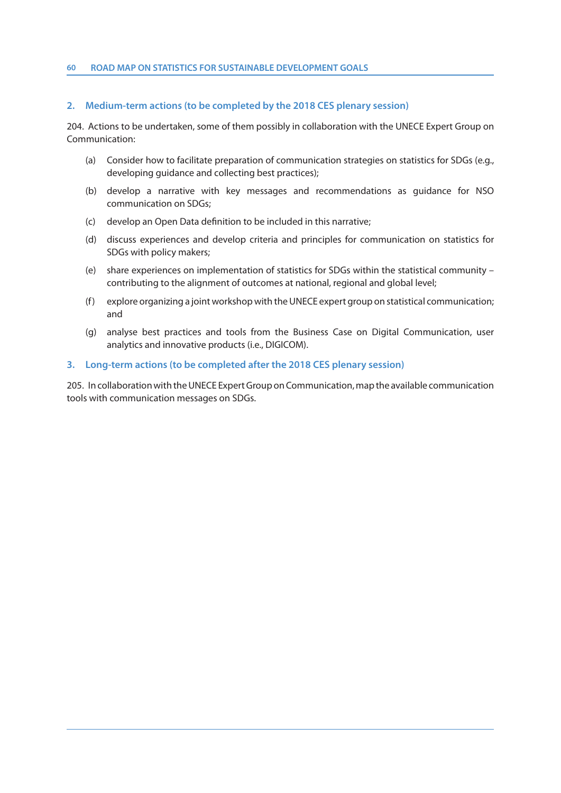#### **60 ROAD MAP ON STATISTICS FOR SUSTAINABLE DEVELOPMENT GOALS**

#### **2. Medium-term actions (to be completed by the 2018 CES plenary session)**

204. Actions to be undertaken, some of them possibly in collaboration with the UNECE Expert Group on Communication:

- (a) Consider how to facilitate preparation of communication strategies on statistics for SDGs (e.g., developing guidance and collecting best practices);
- (b) develop a narrative with key messages and recommendations as guidance for NSO communication on SDGs;
- (c) develop an Open Data definition to be included in this narrative;
- (d) discuss experiences and develop criteria and principles for communication on statistics for SDGs with policy makers;
- (e) share experiences on implementation of statistics for SDGs within the statistical community contributing to the alignment of outcomes at national, regional and global level;
- (f) explore organizing a joint workshop with the UNECE expert group on statistical communication; and
- (g) analyse best practices and tools from the Business Case on Digital Communication, user analytics and innovative products (i.e., DIGICOM).

## **3. Long-term actions (to be completed after the 2018 CES plenary session)**

205. In collaboration with the UNECE Expert Group on Communication, map the available communication tools with communication messages on SDGs.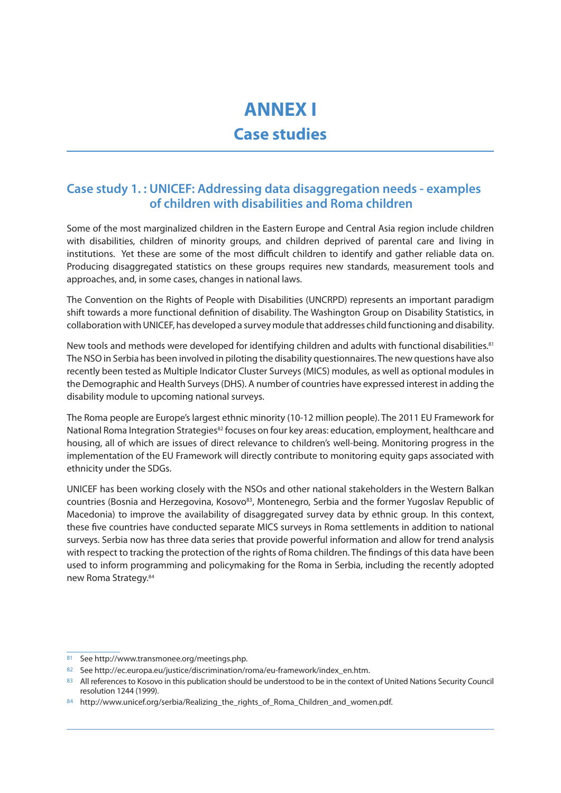# **ANNEX I**

# **Case studies**

# **Case study 1. : UNICEF: Addressing data disaggregation needs - examples of children with disabilities and Roma children**

Some of the most marginalized children in the Eastern Europe and Central Asia region include children with disabilities, children of minority groups, and children deprived of parental care and living in institutions. Yet these are some of the most difficult children to identify and gather reliable data on. Producing disaggregated statistics on these groups requires new standards, measurement tools and approaches, and, in some cases, changes in national laws.

The Convention on the Rights of People with Disabilities (UNCRPD) represents an important paradigm shift towards a more functional definition of disability. The Washington Group on Disability Statistics, in collaboration with UNICEF, has developed a survey module that addresses child functioning and disability.

New tools and methods were developed for identifying children and adults with functional disabilities.<sup>81</sup> The NSO in Serbia has been involved in piloting the disability questionnaires. The new questions have also recently been tested as Multiple Indicator Cluster Surveys (MICS) modules, as well as optional modules in the Demographic and Health Surveys (DHS). A number of countries have expressed interest in adding the disability module to upcoming national surveys.

The Roma people are Europe's largest ethnic minority (10-12 million people). The 2011 EU Framework for National Roma Integration Strategies<sup>82</sup> focuses on four key areas: education, employment, healthcare and housing, all of which are issues of direct relevance to children's well-being. Monitoring progress in the implementation of the EU Framework will directly contribute to monitoring equity gaps associated with ethnicity under the SDGs.

UNICEF has been working closely with the NSOs and other national stakeholders in the Western Balkan countries (Bosnia and Herzegovina, Kosovo<sup>83</sup>, Montenegro, Serbia and the former Yugoslay Republic of Macedonia) to improve the availability of disaggregated survey data by ethnic group. In this context, these five countries have conducted separate MICS surveys in Roma settlements in addition to national surveys. Serbia now has three data series that provide powerful information and allow for trend analysis with respect to tracking the protection of the rights of Roma children. The findings of this data have been used to inform programming and policymaking for the Roma in Serbia, including the recently adopted new Roma Strategy.84

<sup>81</sup> See http://www.transmonee.org/meetings.php.

<sup>82</sup> See http://ec.europa.eu/justice/discrimination/roma/eu-framework/index\_en.htm.

<sup>83</sup> All references to Kosovo in this publication should be understood to be in the context of United Nations Security Council resolution 1244 (1999).

<sup>84</sup> http://www.unicef.org/serbia/Realizing\_the\_rights\_of\_Roma\_Children\_and\_women.pdf.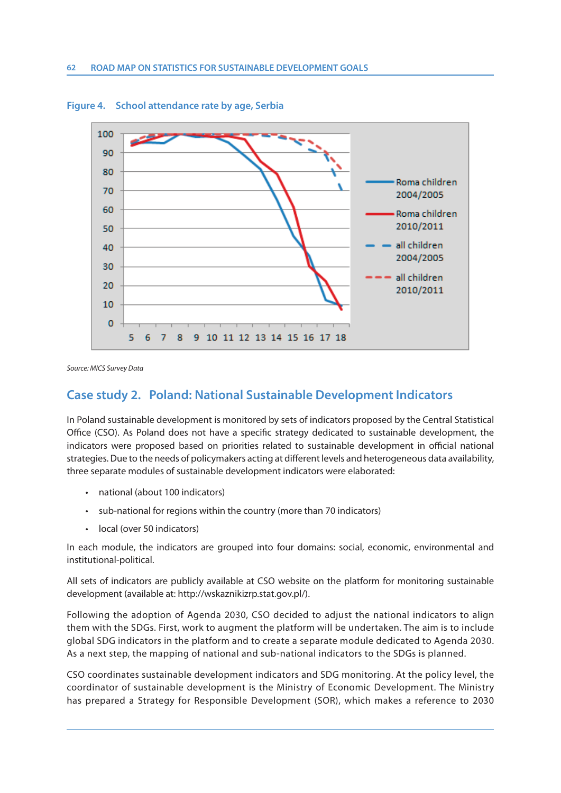

**Figure 4. School attendance rate by age, Serbia**

Source: MICS Survey Data

# **Case study 2. Poland: National Sustainable Development Indicators**

In Poland sustainable development is monitored by sets of indicators proposed by the Central Statistical Office (CSO). As Poland does not have a specific strategy dedicated to sustainable development, the indicators were proposed based on priorities related to sustainable development in official national strategies. Due to the needs of policymakers acting at different levels and heterogeneous data availability, three separate modules of sustainable development indicators were elaborated:

- national (about 100 indicators)
- sub-national for regions within the country (more than 70 indicators)
- local (over 50 indicators)

In each module, the indicators are grouped into four domains: social, economic, environmental and institutional-political.

All sets of indicators are publicly available at CSO website on the platform for monitoring sustainable development (available at: http://wskaznikizrp.stat.gov.pl/).

Following the adoption of Agenda 2030, CSO decided to adjust the national indicators to align them with the SDGs. First, work to augment the platform will be undertaken. The aim is to include global SDG indicators in the platform and to create a separate module dedicated to Agenda 2030. As a next step, the mapping of national and sub-national indicators to the SDGs is planned.

CSO coordinates sustainable development indicators and SDG monitoring. At the policy level, the coordinator of sustainable development is the Ministry of Economic Development. The Ministry has prepared a Strategy for Responsible Development (SOR), which makes a reference to 2030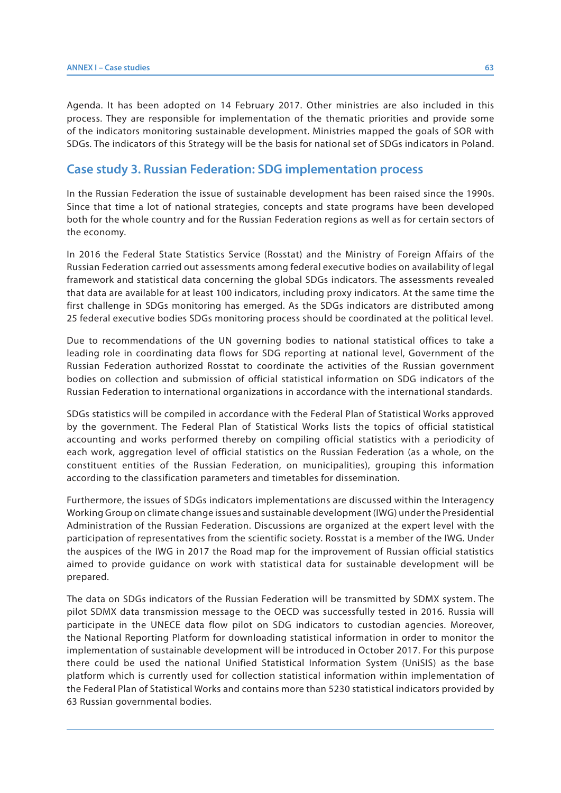Agenda. It has been adopted on 14 February 2017. Other ministries are also included in this process. They are responsible for implementation of the thematic priorities and provide some of the indicators monitoring sustainable development. Ministries mapped the goals of SOR with SDGs. The indicators of this Strategy will be the basis for national set of SDGs indicators in Poland.

## **Case study 3. Russian Federation: SDG implementation process**

In the Russian Federation the issue of sustainable development has been raised since the 1990s. Since that time a lot of national strategies, concepts and state programs have been developed both for the whole country and for the Russian Federation regions as well as for certain sectors of the economy.

In 2016 the Federal State Statistics Service (Rosstat) and the Ministry of Foreign Affairs of the Russian Federation carried out assessments among federal executive bodies on availability of legal framework and statistical data concerning the global SDGs indicators. The assessments revealed that data are available for at least 100 indicators, including proxy indicators. At the same time the first challenge in SDGs monitoring has emerged. As the SDGs indicators are distributed among 25 federal executive bodies SDGs monitoring process should be coordinated at the political level.

Due to recommendations of the UN governing bodies to national statistical offices to take a leading role in coordinating data flows for SDG reporting at national level, Government of the Russian Federation authorized Rosstat to coordinate the activities of the Russian government bodies on collection and submission of official statistical information on SDG indicators of the Russian Federation to international organizations in accordance with the international standards.

SDGs statistics will be compiled in accordance with the Federal Plan of Statistical Works approved by the government. The Federal Plan of Statistical Works lists the topics of official statistical accounting and works performed thereby on compiling official statistics with a periodicity of each work, aggregation level of official statistics on the Russian Federation (as a whole, on the constituent entities of the Russian Federation, on municipalities), grouping this information according to the classification parameters and timetables for dissemination.

Furthermore, the issues of SDGs indicators implementations are discussed within the Interagency Working Group on climate change issues and sustainable development (IWG) under the Presidential Administration of the Russian Federation. Discussions are organized at the expert level with the participation of representatives from the scientific society. Rosstat is a member of the IWG. Under the auspices of the IWG in 2017 the Road map for the improvement of Russian official statistics aimed to provide guidance on work with statistical data for sustainable development will be prepared.

The data on SDGs indicators of the Russian Federation will be transmitted by SDMX system. The pilot SDMX data transmission message to the OECD was successfully tested in 2016. Russia will participate in the UNECE data flow pilot on SDG indicators to custodian agencies. Moreover, the National Reporting Platform for downloading statistical information in order to monitor the implementation of sustainable development will be introduced in October 2017. For this purpose there could be used the national Unified Statistical Information System (UniSIS) as the base platform which is currently used for collection statistical information within implementation of the Federal Plan of Statistical Works and contains more than 5230 statistical indicators provided by 63 Russian governmental bodies.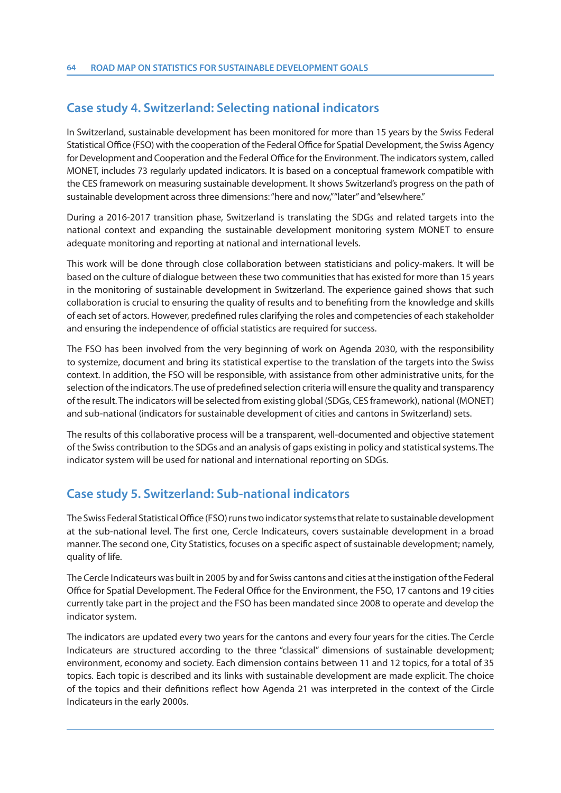# **Case study 4. Switzerland: Selecting national indicators**

In Switzerland, sustainable development has been monitored for more than 15 years by the Swiss Federal Statistical Office (FSO) with the cooperation of the Federal Office for Spatial Development, the Swiss Agency for Development and Cooperation and the Federal Office for the Environment. The indicators system, called MONET, includes 73 regularly updated indicators. It is based on a conceptual framework compatible with the CES framework on measuring sustainable development. It shows Switzerland's progress on the path of sustainable development across three dimensions: "here and now," "later" and "elsewhere."

During a 2016-2017 transition phase, Switzerland is translating the SDGs and related targets into the national context and expanding the sustainable development monitoring system MONET to ensure adequate monitoring and reporting at national and international levels.

This work will be done through close collaboration between statisticians and policy-makers. It will be based on the culture of dialogue between these two communities that has existed for more than 15 years in the monitoring of sustainable development in Switzerland. The experience gained shows that such collaboration is crucial to ensuring the quality of results and to benefiting from the knowledge and skills of each set of actors. However, predefined rules clarifying the roles and competencies of each stakeholder and ensuring the independence of official statistics are required for success.

The FSO has been involved from the very beginning of work on Agenda 2030, with the responsibility to systemize, document and bring its statistical expertise to the translation of the targets into the Swiss context. In addition, the FSO will be responsible, with assistance from other administrative units, for the selection of the indicators. The use of predefined selection criteria will ensure the quality and transparency of the result. The indicators will be selected from existing global (SDGs, CES framework), national (MONET) and sub-national (indicators for sustainable development of cities and cantons in Switzerland) sets.

The results of this collaborative process will be a transparent, well-documented and objective statement of the Swiss contribution to the SDGs and an analysis of gaps existing in policy and statistical systems. The indicator system will be used for national and international reporting on SDGs.

# **Case study 5. Switzerland: Sub-national indicators**

The Swiss Federal Statistical Office (FSO) runs two indicator systems that relate to sustainable development at the sub-national level. The first one, Cercle Indicateurs, covers sustainable development in a broad manner. The second one, City Statistics, focuses on a specific aspect of sustainable development; namely, quality of life.

The Cercle Indicateurs was built in 2005 by and for Swiss cantons and cities at the instigation of the Federal Office for Spatial Development. The Federal Office for the Environment, the FSO, 17 cantons and 19 cities currently take part in the project and the FSO has been mandated since 2008 to operate and develop the indicator system.

The indicators are updated every two years for the cantons and every four years for the cities. The Cercle Indicateurs are structured according to the three "classical" dimensions of sustainable development; environment, economy and society. Each dimension contains between 11 and 12 topics, for a total of 35 topics. Each topic is described and its links with sustainable development are made explicit. The choice of the topics and their definitions reflect how Agenda 21 was interpreted in the context of the Circle Indicateurs in the early 2000s.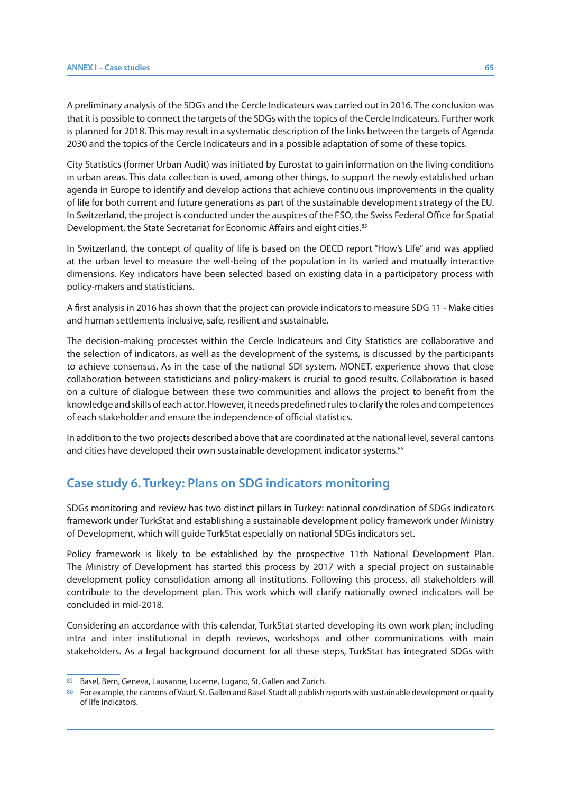A preliminary analysis of the SDGs and the Cercle Indicateurs was carried out in 2016. The conclusion was that it is possible to connect the targets of the SDGs with the topics of the Cercle Indicateurs. Further work is planned for 2018. This may result in a systematic description of the links between the targets of Agenda 2030 and the topics of the Cercle Indicateurs and in a possible adaptation of some of these topics.

City Statistics (former Urban Audit) was initiated by Eurostat to gain information on the living conditions in urban areas. This data collection is used, among other things, to support the newly established urban agenda in Europe to identify and develop actions that achieve continuous improvements in the quality of life for both current and future generations as part of the sustainable development strategy of the EU. In Switzerland, the project is conducted under the auspices of the FSO, the Swiss Federal Office for Spatial Development, the State Secretariat for Economic Affairs and eight cities.<sup>85</sup>

In Switzerland, the concept of quality of life is based on the OECD report "How's Life" and was applied at the urban level to measure the well-being of the population in its varied and mutually interactive dimensions. Key indicators have been selected based on existing data in a participatory process with policy-makers and statisticians.

A first analysis in 2016 has shown that the project can provide indicators to measure SDG 11 - Make cities and human settlements inclusive, safe, resilient and sustainable.

The decision-making processes within the Cercle Indicateurs and City Statistics are collaborative and the selection of indicators, as well as the development of the systems, is discussed by the participants to achieve consensus. As in the case of the national SDI system, MONET, experience shows that close collaboration between statisticians and policy-makers is crucial to good results. Collaboration is based on a culture of dialogue between these two communities and allows the project to benefit from the knowledge and skills of each actor. However, it needs predefined rules to clarify the roles and competences of each stakeholder and ensure the independence of official statistics.

In addition to the two projects described above that are coordinated at the national level, several cantons and cities have developed their own sustainable development indicator systems.<sup>86</sup>

## **Case study 6. Turkey: Plans on SDG indicators monitoring**

SDGs monitoring and review has two distinct pillars in Turkey: national coordination of SDGs indicators framework under TurkStat and establishing a sustainable development policy framework under Ministry of Development, which will guide TurkStat especially on national SDGs indicators set.

Policy framework is likely to be established by the prospective 11th National Development Plan. The Ministry of Development has started this process by 2017 with a special project on sustainable development policy consolidation among all institutions. Following this process, all stakeholders will contribute to the development plan. This work which will clarify nationally owned indicators will be concluded in mid-2018.

Considering an accordance with this calendar, TurkStat started developing its own work plan; including intra and inter institutional in depth reviews, workshops and other communications with main stakeholders. As a legal background document for all these steps, TurkStat has integrated SDGs with

<sup>85</sup> Basel, Bern, Geneva, Lausanne, Lucerne, Lugano, St. Gallen and Zurich.

<sup>86</sup> For example, the cantons of Vaud, St. Gallen and Basel-Stadt all publish reports with sustainable development or quality of life indicators.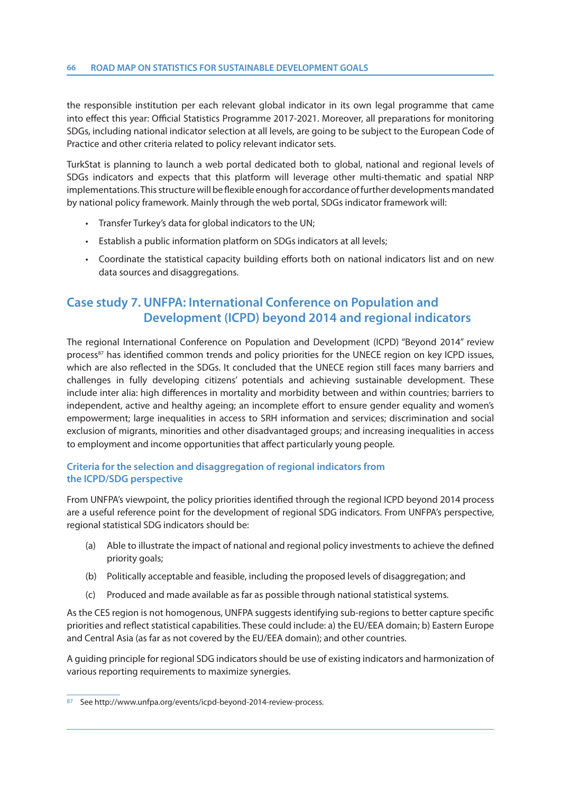the responsible institution per each relevant global indicator in its own legal programme that came into effect this year: Official Statistics Programme 2017-2021. Moreover, all preparations for monitoring SDGs, including national indicator selection at all levels, are going to be subject to the European Code of Practice and other criteria related to policy relevant indicator sets.

TurkStat is planning to launch a web portal dedicated both to global, national and regional levels of SDGs indicators and expects that this platform will leverage other multi-thematic and spatial NRP implementations. This structure will be flexible enough for accordance of further developments mandated by national policy framework. Mainly through the web portal, SDGs indicator framework will:

- Transfer Turkey's data for global indicators to the UN;
- Establish a public information platform on SDGs indicators at all levels;
- Coordinate the statistical capacity building efforts both on national indicators list and on new data sources and disaggregations.

# **Case study 7. UNFPA: International Conference on Population and Development (ICPD) beyond 2014 and regional indicators**

The regional International Conference on Population and Development (ICPD) "Beyond 2014" review process<sup>87</sup> has identified common trends and policy priorities for the UNECE region on key ICPD issues, which are also reflected in the SDGs. It concluded that the UNECE region still faces many barriers and challenges in fully developing citizens' potentials and achieving sustainable development. These include inter alia: high differences in mortality and morbidity between and within countries; barriers to independent, active and healthy ageing; an incomplete effort to ensure gender equality and women's empowerment; large inequalities in access to SRH information and services; discrimination and social exclusion of migrants, minorities and other disadvantaged groups; and increasing inequalities in access to employment and income opportunities that affect particularly young people.

## **Criteria for the selection and disaggregation of regional indicators from the ICPD/SDG perspective**

From UNFPA's viewpoint, the policy priorities identified through the regional ICPD beyond 2014 process are a useful reference point for the development of regional SDG indicators. From UNFPA's perspective, regional statistical SDG indicators should be:

- (a) Able to illustrate the impact of national and regional policy investments to achieve the defined priority goals;
- (b) Politically acceptable and feasible, including the proposed levels of disaggregation; and
- (c) Produced and made available as far as possible through national statistical systems.

As the CES region is not homogenous, UNFPA suggests identifying sub-regions to better capture specific priorities and reflect statistical capabilities. These could include: a) the EU/EEA domain; b) Eastern Europe and Central Asia (as far as not covered by the EU/EEA domain); and other countries.

A guiding principle for regional SDG indicators should be use of existing indicators and harmonization of various reporting requirements to maximize synergies.

<sup>87</sup> See http://www.unfpa.org/events/icpd-beyond-2014-review-process.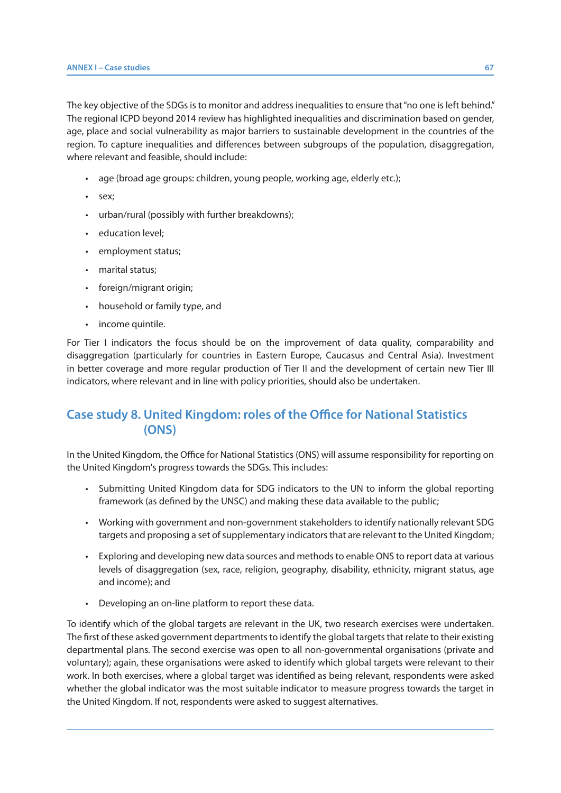The key objective of the SDGs is to monitor and address inequalities to ensure that "no one is left behind." The regional ICPD beyond 2014 review has highlighted inequalities and discrimination based on gender, age, place and social vulnerability as major barriers to sustainable development in the countries of the region. To capture inequalities and differences between subgroups of the population, disaggregation, where relevant and feasible, should include:

- age (broad age groups: children, young people, working age, elderly etc.);
- sex;
- urban/rural (possibly with further breakdowns);
- education level;
- employment status;
- marital status;
- foreign/migrant origin;
- household or family type, and
- income quintile.

For Tier I indicators the focus should be on the improvement of data quality, comparability and disaggregation (particularly for countries in Eastern Europe, Caucasus and Central Asia). Investment in better coverage and more regular production of Tier II and the development of certain new Tier III indicators, where relevant and in line with policy priorities, should also be undertaken.

# **Case study 8. United Kingdom: roles of the Office for National Statistics (ONS)**

In the United Kingdom, the Office for National Statistics (ONS) will assume responsibility for reporting on the United Kingdom's progress towards the SDGs. This includes:

- Submitting United Kingdom data for SDG indicators to the UN to inform the global reporting framework (as defined by the UNSC) and making these data available to the public;
- Working with government and non-government stakeholders to identify nationally relevant SDG targets and proposing a set of supplementary indicators that are relevant to the United Kingdom;
- Exploring and developing new data sources and methods to enable ONS to report data at various levels of disaggregation (sex, race, religion, geography, disability, ethnicity, migrant status, age and income); and
- Developing an on-line platform to report these data.

To identify which of the global targets are relevant in the UK, two research exercises were undertaken. The first of these asked government departments to identify the global targets that relate to their existing departmental plans. The second exercise was open to all non-governmental organisations (private and voluntary); again, these organisations were asked to identify which global targets were relevant to their work. In both exercises, where a global target was identified as being relevant, respondents were asked whether the global indicator was the most suitable indicator to measure progress towards the target in the United Kingdom. If not, respondents were asked to suggest alternatives.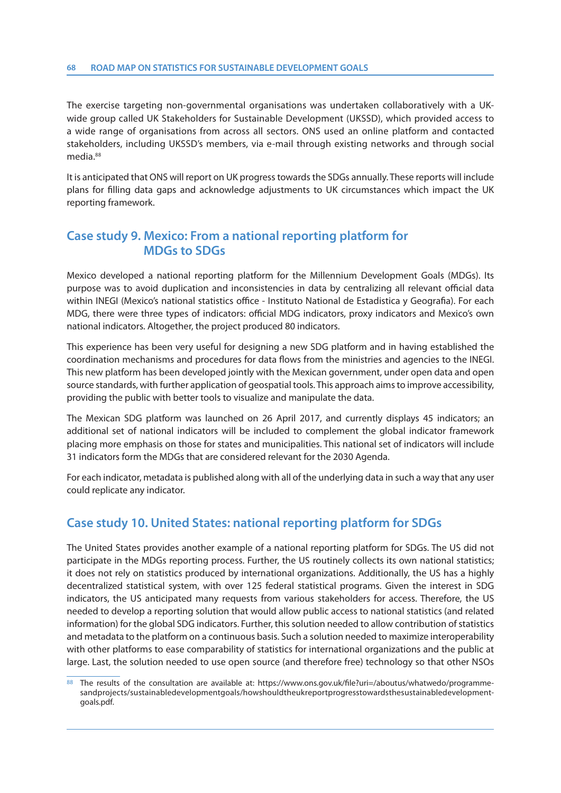#### **68 ROAD MAP ON STATISTICS FOR SUSTAINABLE DEVELOPMENT GOALS**

The exercise targeting non-governmental organisations was undertaken collaboratively with a UKwide group called UK Stakeholders for Sustainable Development (UKSSD), which provided access to a wide range of organisations from across all sectors. ONS used an online platform and contacted stakeholders, including UKSSD's members, via e-mail through existing networks and through social media.88

It is anticipated that ONS will report on UK progress towards the SDGs annually. These reports will include plans for filling data gaps and acknowledge adjustments to UK circumstances which impact the UK reporting framework.

# **Case study 9. Mexico: From a national reporting platform for MDGs to SDGs**

Mexico developed a national reporting platform for the Millennium Development Goals (MDGs). Its purpose was to avoid duplication and inconsistencies in data by centralizing all relevant official data within INEGI (Mexico's national statistics office - Instituto National de Estadistica y Geografia). For each MDG, there were three types of indicators: official MDG indicators, proxy indicators and Mexico's own national indicators. Altogether, the project produced 80 indicators.

This experience has been very useful for designing a new SDG platform and in having established the coordination mechanisms and procedures for data flows from the ministries and agencies to the INEGI. This new platform has been developed jointly with the Mexican government, under open data and open source standards, with further application of geospatial tools. This approach aims to improve accessibility, providing the public with better tools to visualize and manipulate the data.

The Mexican SDG platform was launched on 26 April 2017, and currently displays 45 indicators; an additional set of national indicators will be included to complement the global indicator framework placing more emphasis on those for states and municipalities. This national set of indicators will include 31 indicators form the MDGs that are considered relevant for the 2030 Agenda.

For each indicator, metadata is published along with all of the underlying data in such a way that any user could replicate any indicator.

# **Case study 10. United States: national reporting platform for SDGs**

The United States provides another example of a national reporting platform for SDGs. The US did not participate in the MDGs reporting process. Further, the US routinely collects its own national statistics; it does not rely on statistics produced by international organizations. Additionally, the US has a highly decentralized statistical system, with over 125 federal statistical programs. Given the interest in SDG indicators, the US anticipated many requests from various stakeholders for access. Therefore, the US needed to develop a reporting solution that would allow public access to national statistics (and related information) for the global SDG indicators. Further, this solution needed to allow contribution of statistics and metadata to the platform on a continuous basis. Such a solution needed to maximize interoperability with other platforms to ease comparability of statistics for international organizations and the public at large. Last, the solution needed to use open source (and therefore free) technology so that other NSOs

<sup>88</sup> The results of the consultation are available at: https://www.ons.gov.uk/file?uri=/aboutus/whatwedo/programmesandprojects/sustainabledevelopmentgoals/howshouldtheukreportprogresstowardsthesustainabledevelopmentgoals.pdf.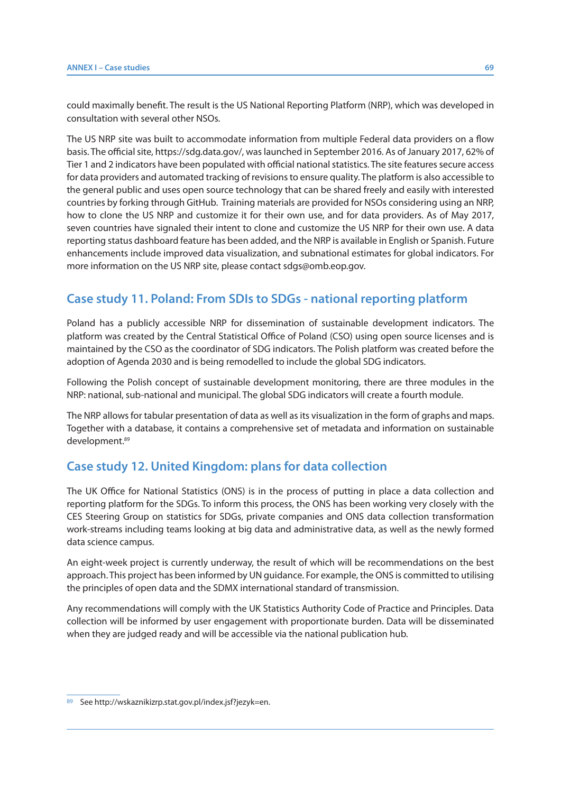could maximally benefit. The result is the US National Reporting Platform (NRP), which was developed in consultation with several other NSOs.

The US NRP site was built to accommodate information from multiple Federal data providers on a flow basis. The official site, https://sdg.data.gov/, was launched in September 2016. As of January 2017, 62% of Tier 1 and 2 indicators have been populated with official national statistics. The site features secure access for data providers and automated tracking of revisions to ensure quality. The platform is also accessible to the general public and uses open source technology that can be shared freely and easily with interested countries by forking through GitHub. Training materials are provided for NSOs considering using an NRP, how to clone the US NRP and customize it for their own use, and for data providers. As of May 2017, seven countries have signaled their intent to clone and customize the US NRP for their own use. A data reporting status dashboard feature has been added, and the NRP is available in English or Spanish. Future enhancements include improved data visualization, and subnational estimates for global indicators. For more information on the US NRP site, please contact sdgs@omb.eop.gov.

# **Case study 11. Poland: From SDIs to SDGs - national reporting platform**

Poland has a publicly accessible NRP for dissemination of sustainable development indicators. The platform was created by the Central Statistical Office of Poland (CSO) using open source licenses and is maintained by the CSO as the coordinator of SDG indicators. The Polish platform was created before the adoption of Agenda 2030 and is being remodelled to include the global SDG indicators.

Following the Polish concept of sustainable development monitoring, there are three modules in the NRP: national, sub-national and municipal. The global SDG indicators will create a fourth module.

The NRP allows for tabular presentation of data as well as its visualization in the form of graphs and maps. Together with a database, it contains a comprehensive set of metadata and information on sustainable development.89

# **Case study 12. United Kingdom: plans for data collection**

The UK Office for National Statistics (ONS) is in the process of putting in place a data collection and reporting platform for the SDGs. To inform this process, the ONS has been working very closely with the CES Steering Group on statistics for SDGs, private companies and ONS data collection transformation work-streams including teams looking at big data and administrative data, as well as the newly formed data science campus.

An eight-week project is currently underway, the result of which will be recommendations on the best approach. This project has been informed by UN guidance. For example, the ONS is committed to utilising the principles of open data and the SDMX international standard of transmission.

Any recommendations will comply with the UK Statistics Authority Code of Practice and Principles. Data collection will be informed by user engagement with proportionate burden. Data will be disseminated when they are judged ready and will be accessible via the national publication hub.

<sup>89</sup> See http://wskaznikizrp.stat.gov.pl/index.jsf?jezyk=en.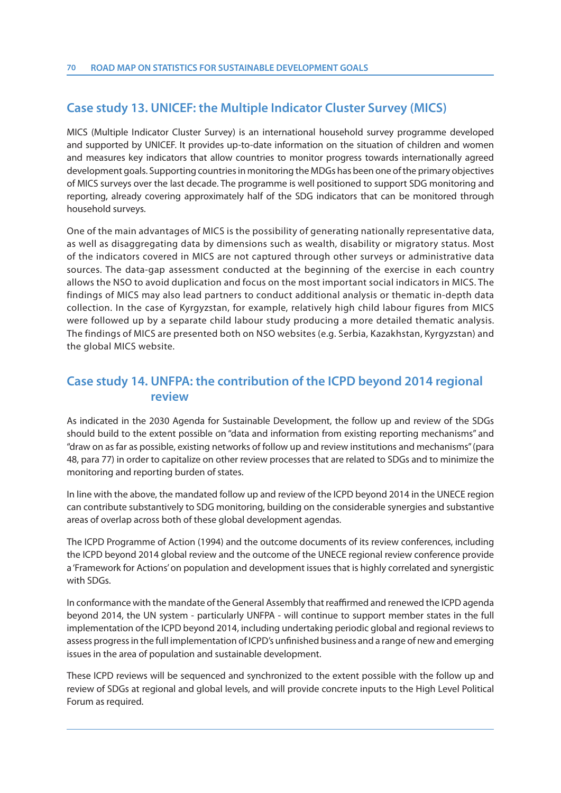# **Case study 13. UNICEF: the Multiple Indicator Cluster Survey (MICS)**

MICS (Multiple Indicator Cluster Survey) is an international household survey programme developed and supported by UNICEF. It provides up-to-date information on the situation of children and women and measures key indicators that allow countries to monitor progress towards internationally agreed development goals. Supporting countries in monitoring the MDGs has been one of the primary objectives of MICS surveys over the last decade. The programme is well positioned to support SDG monitoring and reporting, already covering approximately half of the SDG indicators that can be monitored through household surveys.

One of the main advantages of MICS is the possibility of generating nationally representative data, as well as disaggregating data by dimensions such as wealth, disability or migratory status. Most of the indicators covered in MICS are not captured through other surveys or administrative data sources. The data-gap assessment conducted at the beginning of the exercise in each country allows the NSO to avoid duplication and focus on the most important social indicators in MICS. The findings of MICS may also lead partners to conduct additional analysis or thematic in-depth data collection. In the case of Kyrgyzstan, for example, relatively high child labour figures from MICS were followed up by a separate child labour study producing a more detailed thematic analysis. The findings of MICS are presented both on NSO websites (e.g. Serbia, Kazakhstan, Kyrgyzstan) and the global MICS website.

# **Case study 14. UNFPA: the contribution of the ICPD beyond 2014 regional review**

As indicated in the 2030 Agenda for Sustainable Development, the follow up and review of the SDGs should build to the extent possible on "data and information from existing reporting mechanisms" and "draw on as far as possible, existing networks of follow up and review institutions and mechanisms" (para 48, para 77) in order to capitalize on other review processes that are related to SDGs and to minimize the monitoring and reporting burden of states.

In line with the above, the mandated follow up and review of the ICPD beyond 2014 in the UNECE region can contribute substantively to SDG monitoring, building on the considerable synergies and substantive areas of overlap across both of these global development agendas.

The ICPD Programme of Action (1994) and the outcome documents of its review conferences, including the ICPD beyond 2014 global review and the outcome of the UNECE regional review conference provide a 'Framework for Actions' on population and development issues that is highly correlated and synergistic with SDGs.

In conformance with the mandate of the General Assembly that reaffirmed and renewed the ICPD agenda beyond 2014, the UN system - particularly UNFPA - will continue to support member states in the full implementation of the ICPD beyond 2014, including undertaking periodic global and regional reviews to assess progress in the full implementation of ICPD's unfinished business and a range of new and emerging issues in the area of population and sustainable development.

These ICPD reviews will be sequenced and synchronized to the extent possible with the follow up and review of SDGs at regional and global levels, and will provide concrete inputs to the High Level Political Forum as required.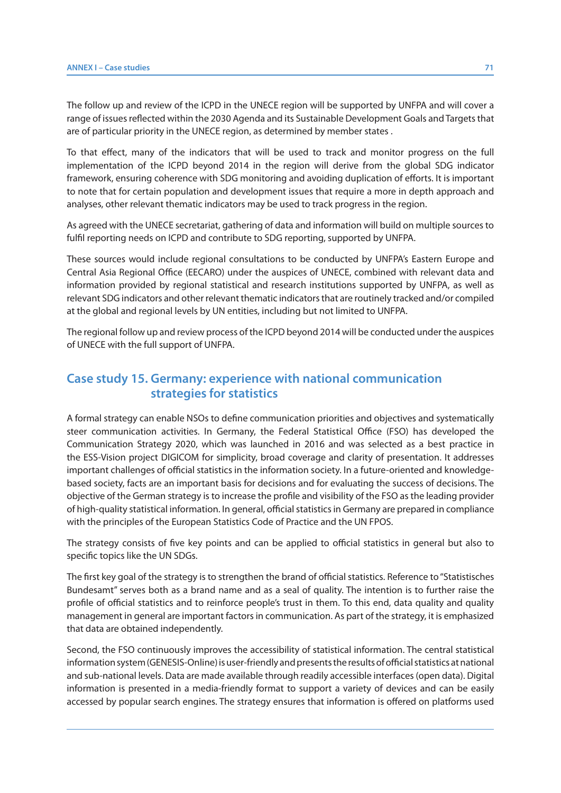The follow up and review of the ICPD in the UNECE region will be supported by UNFPA and will cover a range of issues reflected within the 2030 Agenda and its Sustainable Development Goals and Targets that are of particular priority in the UNECE region, as determined by member states .

To that effect, many of the indicators that will be used to track and monitor progress on the full implementation of the ICPD beyond 2014 in the region will derive from the global SDG indicator framework, ensuring coherence with SDG monitoring and avoiding duplication of efforts. It is important to note that for certain population and development issues that require a more in depth approach and analyses, other relevant thematic indicators may be used to track progress in the region.

As agreed with the UNECE secretariat, gathering of data and information will build on multiple sources to fulfil reporting needs on ICPD and contribute to SDG reporting, supported by UNFPA.

These sources would include regional consultations to be conducted by UNFPA's Eastern Europe and Central Asia Regional Office (EECARO) under the auspices of UNECE, combined with relevant data and information provided by regional statistical and research institutions supported by UNFPA, as well as relevant SDG indicators and other relevant thematic indicators that are routinely tracked and/or compiled at the global and regional levels by UN entities, including but not limited to UNFPA.

The regional follow up and review process of the ICPD beyond 2014 will be conducted under the auspices of UNECE with the full support of UNFPA.

# **Case study 15. Germany: experience with national communication strategies for statistics**

A formal strategy can enable NSOs to define communication priorities and objectives and systematically steer communication activities. In Germany, the Federal Statistical Office (FSO) has developed the Communication Strategy 2020, which was launched in 2016 and was selected as a best practice in the ESS-Vision project DIGICOM for simplicity, broad coverage and clarity of presentation. It addresses important challenges of official statistics in the information society. In a future-oriented and knowledgebased society, facts are an important basis for decisions and for evaluating the success of decisions. The objective of the German strategy is to increase the profile and visibility of the FSO as the leading provider of high-quality statistical information. In general, official statistics in Germany are prepared in compliance with the principles of the European Statistics Code of Practice and the UN FPOS.

The strategy consists of five key points and can be applied to official statistics in general but also to specific topics like the UN SDGs.

The first key goal of the strategy is to strengthen the brand of official statistics. Reference to "Statistisches Bundesamt" serves both as a brand name and as a seal of quality. The intention is to further raise the profile of official statistics and to reinforce people's trust in them. To this end, data quality and quality management in general are important factors in communication. As part of the strategy, it is emphasized that data are obtained independently.

Second, the FSO continuously improves the accessibility of statistical information. The central statistical information system (GENESIS-Online) is user-friendly and presents the results of official statistics at national and sub-national levels. Data are made available through readily accessible interfaces (open data). Digital information is presented in a media-friendly format to support a variety of devices and can be easily accessed by popular search engines. The strategy ensures that information is offered on platforms used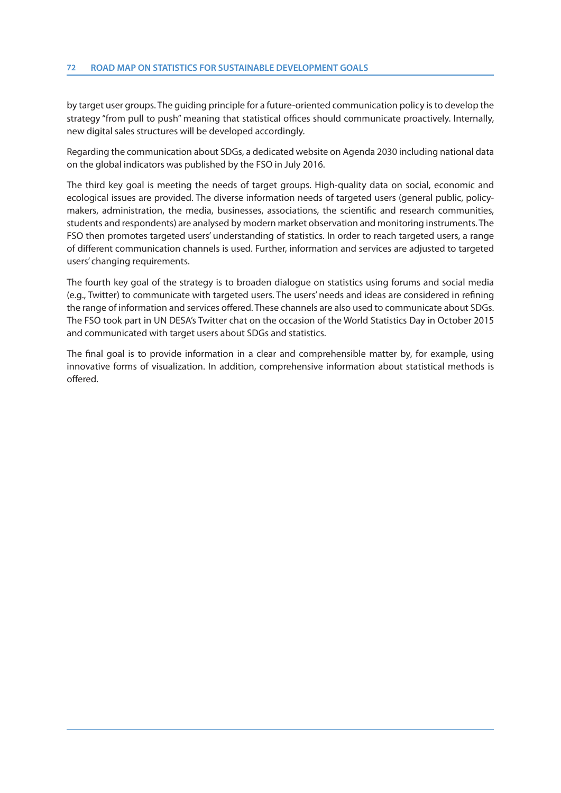by target user groups. The guiding principle for a future-oriented communication policy is to develop the strategy "from pull to push" meaning that statistical offices should communicate proactively. Internally, new digital sales structures will be developed accordingly.

Regarding the communication about SDGs, a dedicated website on Agenda 2030 including national data on the global indicators was published by the FSO in July 2016.

The third key goal is meeting the needs of target groups. High-quality data on social, economic and ecological issues are provided. The diverse information needs of targeted users (general public, policymakers, administration, the media, businesses, associations, the scientific and research communities, students and respondents) are analysed by modern market observation and monitoring instruments. The FSO then promotes targeted users' understanding of statistics. In order to reach targeted users, a range of different communication channels is used. Further, information and services are adjusted to targeted users' changing requirements.

The fourth key goal of the strategy is to broaden dialogue on statistics using forums and social media (e.g., Twitter) to communicate with targeted users. The users' needs and ideas are considered in refining the range of information and services offered. These channels are also used to communicate about SDGs. The FSO took part in UN DESA's Twitter chat on the occasion of the World Statistics Day in October 2015 and communicated with target users about SDGs and statistics.

The final goal is to provide information in a clear and comprehensible matter by, for example, using innovative forms of visualization. In addition, comprehensive information about statistical methods is offered.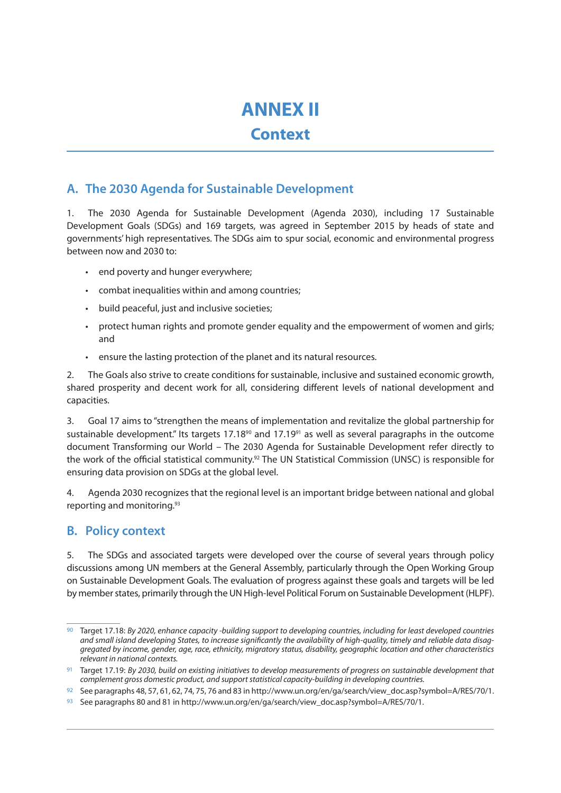# **ANNEX II**

# **Context**

## **A. The 2030 Agenda for Sustainable Development**

1. The 2030 Agenda for Sustainable Development (Agenda 2030), including 17 Sustainable Development Goals (SDGs) and 169 targets, was agreed in September 2015 by heads of state and governments' high representatives. The SDGs aim to spur social, economic and environmental progress between now and 2030 to:

- end poverty and hunger everywhere;
- combat inequalities within and among countries;
- build peaceful, just and inclusive societies;
- protect human rights and promote gender equality and the empowerment of women and girls; and
- ensure the lasting protection of the planet and its natural resources.

2. The Goals also strive to create conditions for sustainable, inclusive and sustained economic growth, shared prosperity and decent work for all, considering different levels of national development and capacities.

3. Goal 17 aims to "strengthen the means of implementation and revitalize the global partnership for sustainable development." Its targets  $17.18<sup>90</sup>$  and  $17.19<sup>91</sup>$  as well as several paragraphs in the outcome document Transforming our World – The 2030 Agenda for Sustainable Development refer directly to the work of the official statistical community.92 The UN Statistical Commission (UNSC) is responsible for ensuring data provision on SDGs at the global level.

4. Agenda 2030 recognizes that the regional level is an important bridge between national and global reporting and monitoring.93

## **B. Policy context**

5. The SDGs and associated targets were developed over the course of several years through policy discussions among UN members at the General Assembly, particularly through the Open Working Group on Sustainable Development Goals. The evaluation of progress against these goals and targets will be led by member states, primarily through the UN High-level Political Forum on Sustainable Development (HLPF).

<sup>90</sup> Target 17.18: By 2020, enhance capacity -building support to developing countries, including for least developed countries and small island developing States, to increase significantly the availability of high-quality, timely and reliable data disaggregated by income, gender, age, race, ethnicity, migratory status, disability, geographic location and other characteristics relevant in national contexts.

<sup>91</sup> Target 17.19: By 2030, build on existing initiatives to develop measurements of progress on sustainable development that complement gross domestic product, and support statistical capacity-building in developing countries.

<sup>92</sup> See paragraphs 48, 57, 61, 62, 74, 75, 76 and 83 in http://www.un.org/en/ga/search/view\_doc.asp?symbol=A/RES/70/1.

<sup>93</sup> See paragraphs 80 and 81 in http://www.un.org/en/ga/search/view\_doc.asp?symbol=A/RES/70/1.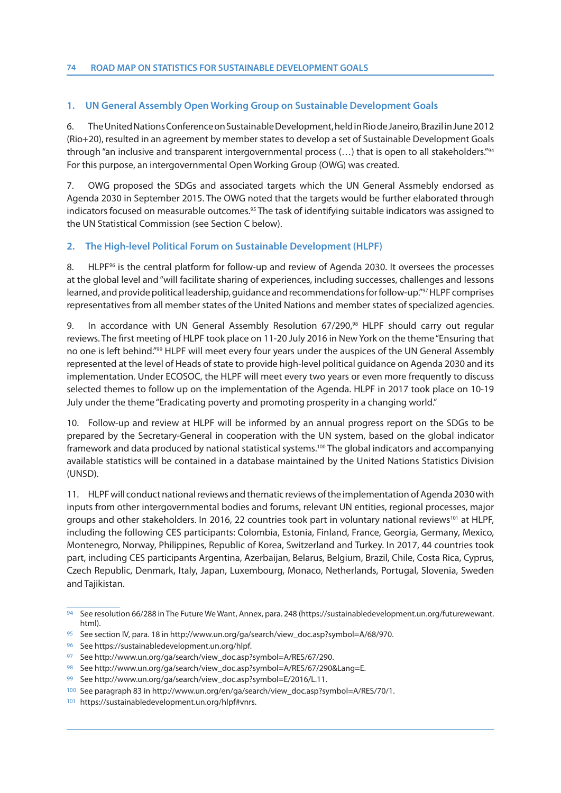#### **1. UN General Assembly Open Working Group on Sustainable Development Goals**

6. The United Nations Conference on Sustainable Development, held in Rio de Janeiro, Brazil in June 2012 (Rio+20), resulted in an agreement by member states to develop a set of Sustainable Development Goals through "an inclusive and transparent intergovernmental process (…) that is open to all stakeholders."94 For this purpose, an intergovernmental Open Working Group (OWG) was created.

7. OWG proposed the SDGs and associated targets which the UN General Assmebly endorsed as Agenda 2030 in September 2015. The OWG noted that the targets would be further elaborated through indicators focused on measurable outcomes.95 The task of identifying suitable indicators was assigned to the UN Statistical Commission (see Section C below).

#### **2. The High-level Political Forum on Sustainable Development (HLPF)**

8. HLPF<sup>96</sup> is the central platform for follow-up and review of Agenda 2030. It oversees the processes at the global level and "will facilitate sharing of experiences, including successes, challenges and lessons learned, and provide political leadership, guidance and recommendations for follow-up."97 HLPF comprises representatives from all member states of the United Nations and member states of specialized agencies.

9. In accordance with UN General Assembly Resolution 67/290,<sup>98</sup> HLPF should carry out regular reviews. The first meeting of HLPF took place on 11-20 July 2016 in New York on the theme "Ensuring that no one is left behind."99 HLPF will meet every four years under the auspices of the UN General Assembly represented at the level of Heads of state to provide high-level political guidance on Agenda 2030 and its implementation. Under ECOSOC, the HLPF will meet every two years or even more frequently to discuss selected themes to follow up on the implementation of the Agenda. HLPF in 2017 took place on 10-19 July under the theme "Eradicating poverty and promoting prosperity in a changing world."

10. Follow-up and review at HLPF will be informed by an annual progress report on the SDGs to be prepared by the Secretary-General in cooperation with the UN system, based on the global indicator framework and data produced by national statistical systems.100 The global indicators and accompanying available statistics will be contained in a database maintained by the United Nations Statistics Division (UNSD).

11. HLPF will conduct national reviews and thematic reviews of the implementation of Agenda 2030 with inputs from other intergovernmental bodies and forums, relevant UN entities, regional processes, major groups and other stakeholders. In 2016, 22 countries took part in voluntary national reviews<sup>101</sup> at HLPF, including the following CES participants: Colombia, Estonia, Finland, France, Georgia, Germany, Mexico, Montenegro, Norway, Philippines, Republic of Korea, Switzerland and Turkey. In 2017, 44 countries took part, including CES participants Argentina, Azerbaijan, Belarus, Belgium, Brazil, Chile, Costa Rica, Cyprus, Czech Republic, Denmark, Italy, Japan, Luxembourg, Monaco, Netherlands, Portugal, Slovenia, Sweden and Tajikistan.

<sup>94</sup> See resolution 66/288 in The Future We Want, Annex, para. 248 (https://sustainabledevelopment.un.org/futurewewant. html).

<sup>95</sup> See section IV, para. 18 in http://www.un.org/ga/search/view\_doc.asp?symbol=A/68/970.

<sup>96</sup> See https://sustainabledevelopment.un.org/hlpf.

<sup>97</sup> See http://www.un.org/ga/search/view\_doc.asp?symbol=A/RES/67/290.

<sup>98</sup> See http://www.un.org/ga/search/view\_doc.asp?symbol=A/RES/67/290&Lang=E.

<sup>99</sup> See http://www.un.org/ga/search/view\_doc.asp?symbol=E/2016/L.11.

<sup>100</sup> See paragraph 83 in http://www.un.org/en/ga/search/view\_doc.asp?symbol=A/RES/70/1.

<sup>101</sup> https://sustainabledevelopment.un.org/hlpf#vnrs.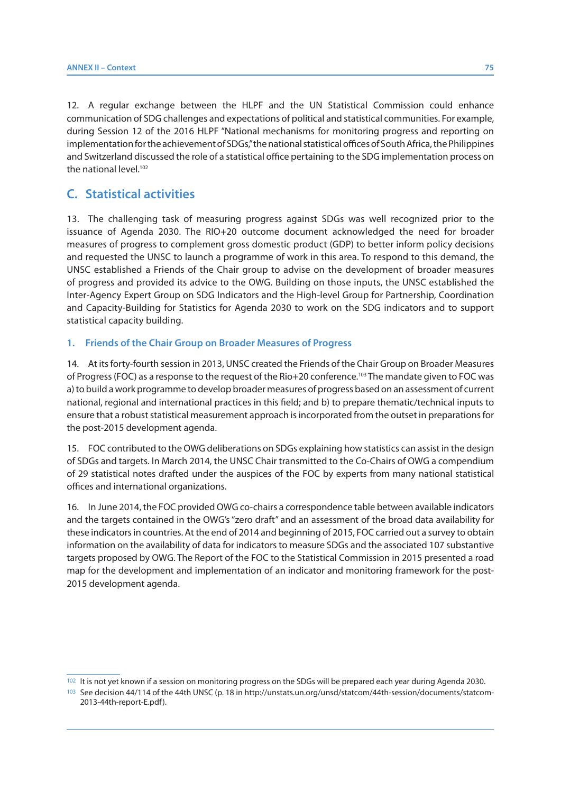12. A regular exchange between the HLPF and the UN Statistical Commission could enhance communication of SDG challenges and expectations of political and statistical communities. For example, during Session 12 of the 2016 HLPF "National mechanisms for monitoring progress and reporting on implementation for the achievement of SDGs," the national statistical offices of South Africa, the Philippines and Switzerland discussed the role of a statistical office pertaining to the SDG implementation process on the national level.<sup>102</sup>

### **C. Statistical activities**

13. The challenging task of measuring progress against SDGs was well recognized prior to the issuance of Agenda 2030. The RIO+20 outcome document acknowledged the need for broader measures of progress to complement gross domestic product (GDP) to better inform policy decisions and requested the UNSC to launch a programme of work in this area. To respond to this demand, the UNSC established a Friends of the Chair group to advise on the development of broader measures of progress and provided its advice to the OWG. Building on those inputs, the UNSC established the Inter-Agency Expert Group on SDG Indicators and the High-level Group for Partnership, Coordination and Capacity-Building for Statistics for Agenda 2030 to work on the SDG indicators and to support statistical capacity building.

#### **1. Friends of the Chair Group on Broader Measures of Progress**

14. At its forty-fourth session in 2013, UNSC created the Friends of the Chair Group on Broader Measures of Progress (FOC) as a response to the request of the Rio+20 conference.103 The mandate given to FOC was a) to build a work programme to develop broader measures of progress based on an assessment of current national, regional and international practices in this field; and b) to prepare thematic/technical inputs to ensure that a robust statistical measurement approach is incorporated from the outset in preparations for the post-2015 development agenda.

15. FOC contributed to the OWG deliberations on SDGs explaining how statistics can assist in the design of SDGs and targets. In March 2014, the UNSC Chair transmitted to the Co-Chairs of OWG a compendium of 29 statistical notes drafted under the auspices of the FOC by experts from many national statistical offices and international organizations.

16. In June 2014, the FOC provided OWG co-chairs a correspondence table between available indicators and the targets contained in the OWG's "zero draft" and an assessment of the broad data availability for these indicators in countries. At the end of 2014 and beginning of 2015, FOC carried out a survey to obtain information on the availability of data for indicators to measure SDGs and the associated 107 substantive targets proposed by OWG. The Report of the FOC to the Statistical Commission in 2015 presented a road map for the development and implementation of an indicator and monitoring framework for the post-2015 development agenda.

<sup>102</sup> It is not yet known if a session on monitoring progress on the SDGs will be prepared each year during Agenda 2030.

<sup>103</sup> See decision 44/114 of the 44th UNSC (p. 18 in http://unstats.un.org/unsd/statcom/44th-session/documents/statcom-2013-44th-report-E.pdf).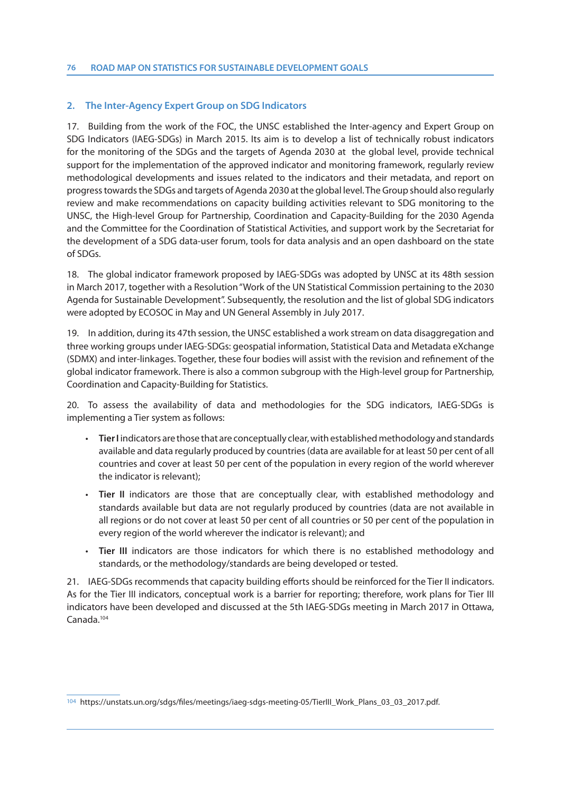#### **2. The Inter-Agency Expert Group on SDG Indicators**

17. Building from the work of the FOC, the UNSC established the Inter-agency and Expert Group on SDG Indicators (IAEG-SDGs) in March 2015. Its aim is to develop a list of technically robust indicators for the monitoring of the SDGs and the targets of Agenda 2030 at the global level, provide technical support for the implementation of the approved indicator and monitoring framework, regularly review methodological developments and issues related to the indicators and their metadata, and report on progress towards the SDGs and targets of Agenda 2030 at the global level. The Group should also regularly review and make recommendations on capacity building activities relevant to SDG monitoring to the UNSC, the High-level Group for Partnership, Coordination and Capacity-Building for the 2030 Agenda and the Committee for the Coordination of Statistical Activities, and support work by the Secretariat for the development of a SDG data-user forum, tools for data analysis and an open dashboard on the state of SDGs.

18. The global indicator framework proposed by IAEG-SDGs was adopted by UNSC at its 48th session in March 2017, together with a Resolution "Work of the UN Statistical Commission pertaining to the 2030 Agenda for Sustainable Development". Subsequently, the resolution and the list of global SDG indicators were adopted by ECOSOC in May and UN General Assembly in July 2017.

19. In addition, during its 47th session, the UNSC established a work stream on data disaggregation and three working groups under IAEG-SDGs: geospatial information, Statistical Data and Metadata eXchange (SDMX) and inter-linkages. Together, these four bodies will assist with the revision and refinement of the global indicator framework. There is also a common subgroup with the High-level group for Partnership, Coordination and Capacity-Building for Statistics.

20. To assess the availability of data and methodologies for the SDG indicators, IAEG-SDGs is implementing a Tier system as follows:

- **Tier I** indicators are those that are conceptually clear, with established methodology and standards available and data regularly produced by countries (data are available for at least 50 per cent of all countries and cover at least 50 per cent of the population in every region of the world wherever the indicator is relevant);
- **Tier II** indicators are those that are conceptually clear, with established methodology and standards available but data are not regularly produced by countries (data are not available in all regions or do not cover at least 50 per cent of all countries or 50 per cent of the population in every region of the world wherever the indicator is relevant); and
- **Tier III** indicators are those indicators for which there is no established methodology and standards, or the methodology/standards are being developed or tested.

21. IAEG-SDGs recommends that capacity building efforts should be reinforced for the Tier II indicators. As for the Tier III indicators, conceptual work is a barrier for reporting; therefore, work plans for Tier III indicators have been developed and discussed at the 5th IAEG-SDGs meeting in March 2017 in Ottawa, Canada.104

<sup>104</sup> https://unstats.un.org/sdgs/files/meetings/iaeg-sdgs-meeting-05/TierIII\_Work\_Plans\_03\_03\_2017.pdf.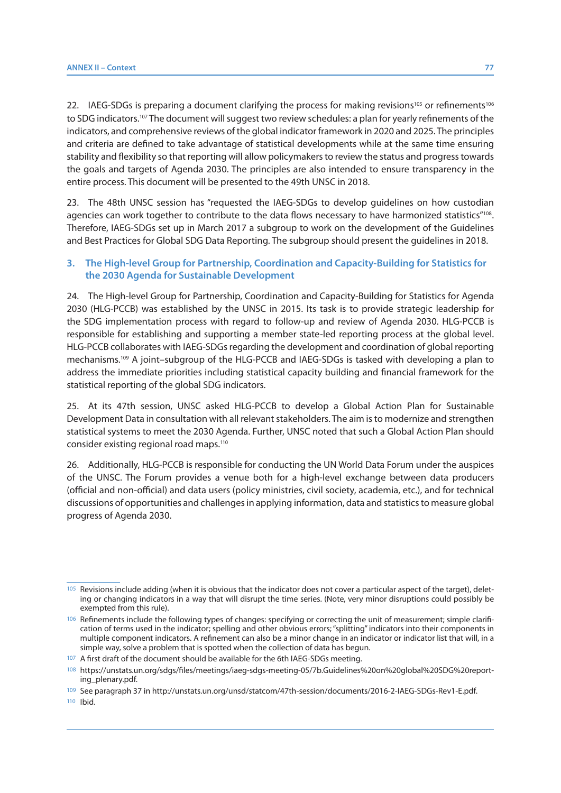22. IAEG-SDGs is preparing a document clarifying the process for making revisions<sup>105</sup> or refinements<sup>106</sup> to SDG indicators.<sup>107</sup> The document will suggest two review schedules: a plan for yearly refinements of the indicators, and comprehensive reviews of the global indicator framework in 2020 and 2025. The principles and criteria are defined to take advantage of statistical developments while at the same time ensuring stability and flexibility so that reporting will allow policymakers to review the status and progress towards the goals and targets of Agenda 2030. The principles are also intended to ensure transparency in the entire process. This document will be presented to the 49th UNSC in 2018.

23. The 48th UNSC session has "requested the IAEG-SDGs to develop guidelines on how custodian agencies can work together to contribute to the data flows necessary to have harmonized statistics"<sup>108</sup>. Therefore, IAEG-SDGs set up in March 2017 a subgroup to work on the development of the Guidelines and Best Practices for Global SDG Data Reporting. The subgroup should present the guidelines in 2018.

#### **3. The High-level Group for Partnership, Coordination and Capacity-Building for Statistics for the 2030 Agenda for Sustainable Development**

24. The High-level Group for Partnership, Coordination and Capacity-Building for Statistics for Agenda 2030 (HLG-PCCB) was established by the UNSC in 2015. Its task is to provide strategic leadership for the SDG implementation process with regard to follow-up and review of Agenda 2030. HLG-PCCB is responsible for establishing and supporting a member state-led reporting process at the global level. HLG-PCCB collaborates with IAEG-SDGs regarding the development and coordination of global reporting mechanisms.109 A joint–subgroup of the HLG-PCCB and IAEG-SDGs is tasked with developing a plan to address the immediate priorities including statistical capacity building and financial framework for the statistical reporting of the global SDG indicators.

25. At its 47th session, UNSC asked HLG-PCCB to develop a Global Action Plan for Sustainable Development Data in consultation with all relevant stakeholders. The aim is to modernize and strengthen statistical systems to meet the 2030 Agenda. Further, UNSC noted that such a Global Action Plan should consider existing regional road maps.110

26. Additionally, HLG-PCCB is responsible for conducting the UN World Data Forum under the auspices of the UNSC. The Forum provides a venue both for a high-level exchange between data producers (official and non-official) and data users (policy ministries, civil society, academia, etc.), and for technical discussions of opportunities and challenges in applying information, data and statistics to measure global progress of Agenda 2030.

<sup>105</sup> Revisions include adding (when it is obvious that the indicator does not cover a particular aspect of the target), deleting or changing indicators in a way that will disrupt the time series. (Note, very minor disruptions could possibly be exempted from this rule).

<sup>106</sup> Refinements include the following types of changes: specifying or correcting the unit of measurement; simple clarification of terms used in the indicator; spelling and other obvious errors; "splitting" indicators into their components in multiple component indicators. A refinement can also be a minor change in an indicator or indicator list that will, in a simple way, solve a problem that is spotted when the collection of data has begun.

<sup>107</sup> A first draft of the document should be available for the 6th IAEG-SDGs meeting.

<sup>108</sup> https://unstats.un.org/sdgs/files/meetings/iaeg-sdgs-meeting-05/7b.Guidelines%20on%20global%20SDG%20reporting\_plenary.pdf.

<sup>109</sup> See paragraph 37 in http://unstats.un.org/unsd/statcom/47th-session/documents/2016-2-IAEG-SDGs-Rev1-E.pdf.

<sup>110</sup> Ibid.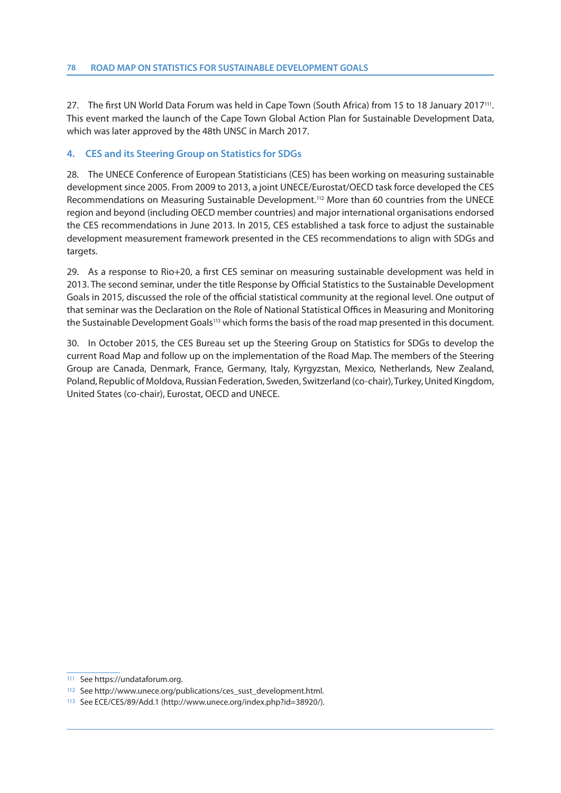27. The first UN World Data Forum was held in Cape Town (South Africa) from 15 to 18 January 2017111. This event marked the launch of the Cape Town Global Action Plan for Sustainable Development Data, which was later approved by the 48th UNSC in March 2017.

#### **4. CES and its Steering Group on Statistics for SDGs**

28. The UNECE Conference of European Statisticians (CES) has been working on measuring sustainable development since 2005. From 2009 to 2013, a joint UNECE/Eurostat/OECD task force developed the CES Recommendations on Measuring Sustainable Development.<sup>112</sup> More than 60 countries from the UNECE region and beyond (including OECD member countries) and major international organisations endorsed the CES recommendations in June 2013. In 2015, CES established a task force to adjust the sustainable development measurement framework presented in the CES recommendations to align with SDGs and targets.

29. As a response to Rio+20, a first CES seminar on measuring sustainable development was held in 2013. The second seminar, under the title Response by Official Statistics to the Sustainable Development Goals in 2015, discussed the role of the official statistical community at the regional level. One output of that seminar was the Declaration on the Role of National Statistical Offices in Measuring and Monitoring the Sustainable Development Goals<sup>113</sup> which forms the basis of the road map presented in this document.

30. In October 2015, the CES Bureau set up the Steering Group on Statistics for SDGs to develop the current Road Map and follow up on the implementation of the Road Map. The members of the Steering Group are Canada, Denmark, France, Germany, Italy, Kyrgyzstan, Mexico, Netherlands, New Zealand, Poland, Republic of Moldova, Russian Federation, Sweden, Switzerland (co-chair), Turkey, United Kingdom, United States (co-chair), Eurostat, OECD and UNECE.

<sup>111</sup> See https://undataforum.org.

<sup>112</sup> See http://www.unece.org/publications/ces\_sust\_development.html.

<sup>113</sup> See ECE/CES/89/Add.1 (http://www.unece.org/index.php?id=38920/).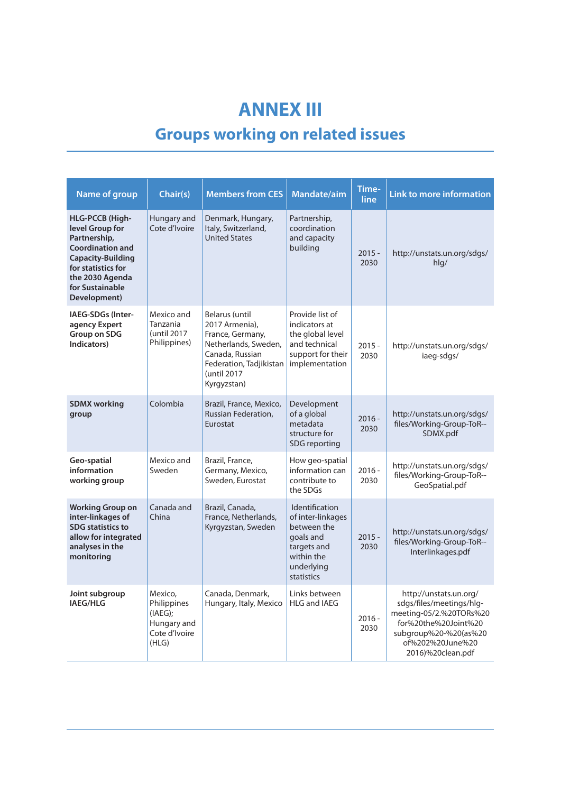# **ANNEX III Groups working on related issues**

| <b>Name of group</b>                                                                                                                                                                         | Chair(s)                                                                   | <b>Members from CES</b>                                                                                                                                  | Mandate/aim                                                                                                              | Time-<br>line    | <b>Link to more information</b>                                                                                                                                         |
|----------------------------------------------------------------------------------------------------------------------------------------------------------------------------------------------|----------------------------------------------------------------------------|----------------------------------------------------------------------------------------------------------------------------------------------------------|--------------------------------------------------------------------------------------------------------------------------|------------------|-------------------------------------------------------------------------------------------------------------------------------------------------------------------------|
| <b>HLG-PCCB (High-</b><br>level Group for<br>Partnership,<br><b>Coordination and</b><br><b>Capacity-Building</b><br>for statistics for<br>the 2030 Agenda<br>for Sustainable<br>Development) | Hungary and<br>Cote d'Ivoire                                               | Denmark, Hungary,<br>Italy, Switzerland,<br><b>United States</b>                                                                                         | Partnership,<br>coordination<br>and capacity<br>building                                                                 | $2015 -$<br>2030 | http://unstats.un.org/sdgs/<br>$h$ lg/                                                                                                                                  |
| IAEG-SDGs (Inter-<br>agency Expert<br>Group on SDG<br>Indicators)                                                                                                                            | Mexico and<br>Tanzania<br>(until 2017<br>Philippines)                      | Belarus (until<br>2017 Armenia).<br>France, Germany,<br>Netherlands, Sweden,<br>Canada, Russian<br>Federation, Tadjikistan<br>(until 2017<br>Kyrgyzstan) | Provide list of<br>indicators at<br>the global level<br>and technical<br>support for their<br>implementation             | $2015 -$<br>2030 | http://unstats.un.org/sdgs/<br>iaeg-sdgs/                                                                                                                               |
| <b>SDMX working</b><br>group                                                                                                                                                                 | Colombia                                                                   | Brazil, France, Mexico,<br>Russian Federation,<br>Eurostat                                                                                               | Development<br>of a global<br>metadata<br>structure for<br>SDG reporting                                                 | $2016 -$<br>2030 | http://unstats.un.org/sdgs/<br>files/Working-Group-ToR--<br>SDMX.pdf                                                                                                    |
| Geo-spatial<br>information<br>working group                                                                                                                                                  | Mexico and<br>Sweden                                                       | Brazil, France,<br>Germany, Mexico,<br>Sweden, Eurostat                                                                                                  | How geo-spatial<br>information can<br>contribute to<br>the SDGs                                                          | $2016 -$<br>2030 | http://unstats.un.org/sdgs/<br>files/Working-Group-ToR--<br>GeoSpatial.pdf                                                                                              |
| <b>Working Group on</b><br>inter-linkages of<br><b>SDG</b> statistics to<br>allow for integrated<br>analyses in the<br>monitoring                                                            | Canada and<br>China                                                        | Brazil, Canada,<br>France, Netherlands,<br>Kyrgyzstan, Sweden                                                                                            | Identification<br>of inter-linkages<br>between the<br>goals and<br>targets and<br>within the<br>underlying<br>statistics | $2015 -$<br>2030 | http://unstats.un.org/sdgs/<br>files/Working-Group-ToR--<br>Interlinkages.pdf                                                                                           |
| Joint subgroup<br>IAEG/HLG                                                                                                                                                                   | Mexico,<br>Philippines<br>(IAEG);<br>Hungary and<br>Cote d'Ivoire<br>(HLG) | Canada, Denmark,<br>Hungary, Italy, Mexico                                                                                                               | Links between<br><b>HLG and IAEG</b>                                                                                     | $2016 -$<br>2030 | http://unstats.un.org/<br>sdgs/files/meetings/hlg-<br>meeting-05/2.%20TORs%20<br>for%20the%20Joint%20<br>subgroup%20-%20(as%20<br>of%202%20June%20<br>2016)%20clean.pdf |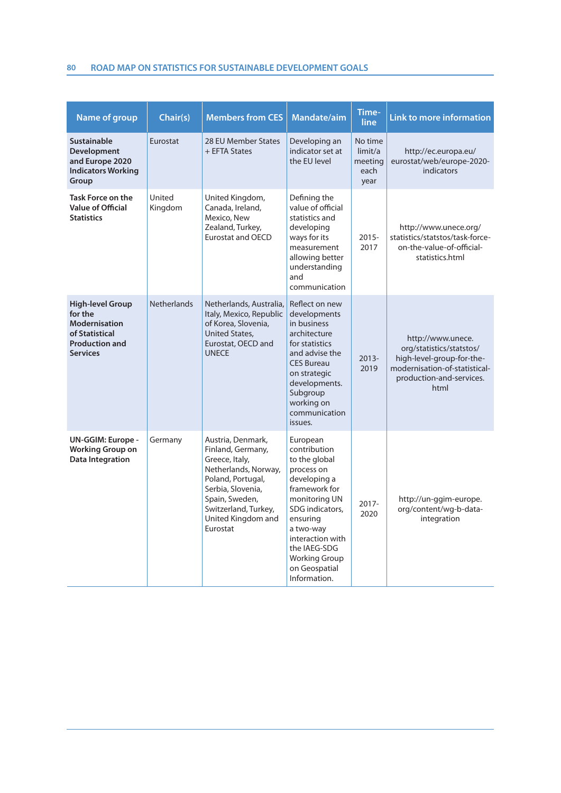### **80 ROAD MAP ON STATISTICS FOR SUSTAINABLE DEVELOPMENT GOALS**

| <b>Name of group</b>                                                                                                     | Chair(s)           | <b>Members from CES</b>                                                                                                                                                                                | Mandate/aim                                                                                                                                                                                                                                        | Time-<br>line                                 | <b>Link to more information</b>                                                                                                                 |
|--------------------------------------------------------------------------------------------------------------------------|--------------------|--------------------------------------------------------------------------------------------------------------------------------------------------------------------------------------------------------|----------------------------------------------------------------------------------------------------------------------------------------------------------------------------------------------------------------------------------------------------|-----------------------------------------------|-------------------------------------------------------------------------------------------------------------------------------------------------|
| <b>Sustainable</b><br>Development<br>and Europe 2020<br><b>Indicators Working</b><br>Group                               | Eurostat           | 28 EU Member States<br>+ EFTA States                                                                                                                                                                   | Developing an<br>indicator set at<br>the EU level                                                                                                                                                                                                  | No time<br>limit/a<br>meeting<br>each<br>year | http://ec.europa.eu/<br>eurostat/web/europe-2020-<br>indicators                                                                                 |
| <b>Task Force on the</b><br><b>Value of Official</b><br><b>Statistics</b>                                                | United<br>Kingdom  | United Kingdom,<br>Canada, Ireland,<br>Mexico, New<br>Zealand, Turkey,<br><b>Eurostat and OECD</b>                                                                                                     | Defining the<br>value of official<br>statistics and<br>developing<br>ways for its<br>measurement<br>allowing better<br>understanding<br>and<br>communication                                                                                       | $2015 -$<br>2017                              | http://www.unece.org/<br>statistics/statstos/task-force-<br>on-the-value-of-official-<br>statistics.html                                        |
| <b>High-level Group</b><br>for the<br><b>Modernisation</b><br>of Statistical<br><b>Production and</b><br><b>Services</b> | <b>Netherlands</b> | Netherlands, Australia,<br>Italy, Mexico, Republic<br>of Korea, Slovenia,<br><b>United States,</b><br>Eurostat, OECD and<br><b>UNECE</b>                                                               | Reflect on new<br>developments<br>in business<br>architecture<br>for statistics<br>and advise the<br><b>CES Bureau</b><br>on strategic<br>developments.<br>Subgroup<br>working on<br>communication<br>issues.                                      | $2013 -$<br>2019                              | http://www.unece.<br>org/statistics/statstos/<br>high-level-group-for-the-<br>modernisation-of-statistical-<br>production-and-services.<br>html |
| UN-GGIM: Europe -<br><b>Working Group on</b><br>Data Integration                                                         | Germany            | Austria, Denmark,<br>Finland, Germany,<br>Greece, Italy,<br>Netherlands, Norway,<br>Poland, Portugal,<br>Serbia, Slovenia,<br>Spain, Sweden,<br>Switzerland, Turkey,<br>United Kingdom and<br>Eurostat | European<br>contribution<br>to the global<br>process on<br>developing a<br>framework for<br>monitoring UN<br>SDG indicators,<br>ensuring<br>a two-way<br>interaction with<br>the IAEG-SDG<br><b>Working Group</b><br>on Geospatial<br>Information. | $2017 -$<br>2020                              | http://un-ggim-europe.<br>org/content/wg-b-data-<br>integration                                                                                 |